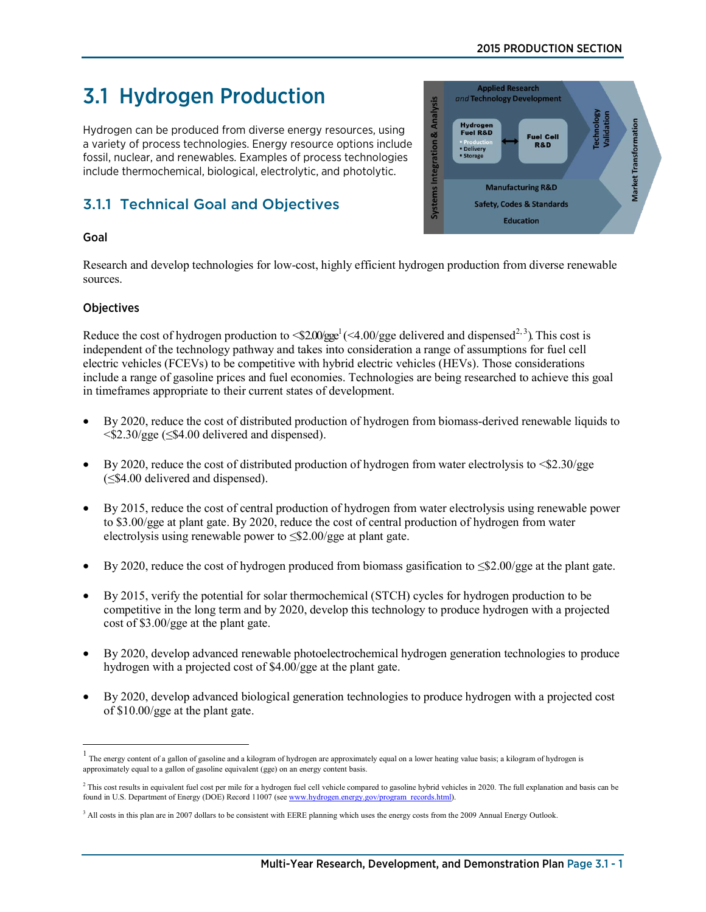# 2015 PRODUCTION SECTION

# 3.1 Hydrogen Production

Hydrogen can be produced from diverse energy resources, using a variety of process technologies. Energy resource options include fossil, nuclear, and renewables. Examples of process technologies include thermochemical, biological, electrolytic, and photolytic.

# 3.1.1 Technical Goal and Objectives

# Goal

Research and develop technologies for low-cost, highly efficient hydrogen production from diverse renewable sources.

# **Objectives**

Reduce the cost of hydrogen production to  $\langle $2.00/\text{gge}^1(\langle 4.00/\text{gge}^1 \text{ delivered and dispensed}^{2,3})$  $\langle $2.00/\text{gge}^1(\langle 4.00/\text{gge}^1 \text{ delivered and dispensed}^{2,3})$  $\langle $2.00/\text{gge}^1(\langle 4.00/\text{gge}^1 \text{ delivered and dispensed}^{2,3})$  $\langle $2.00/\text{gge}^1(\langle 4.00/\text{gge}^1 \text{ delivered and dispensed}^{2,3})$  $\langle $2.00/\text{gge}^1(\langle 4.00/\text{gge}^1 \text{ delivered and dispensed}^{2,3})$ . This cost is independent of the technology pathway and takes into consideration a range of assumptions for fuel cell electric vehicles (FCEVs) to be competitive with hybrid electric vehicles (HEVs). Those considerations include a range of gasoline prices and fuel economies. Technologies are being researched to achieve this goal in timeframes appropriate to their current states of development.

- By 2020, reduce the cost of distributed production of hydrogen from biomass-derived renewable liquids to <\$2.30/gge (≤\$4.00 delivered and dispensed).
- By 2020, reduce the cost of distributed production of hydrogen from water electrolysis to  $\leq 2.30/gge$ (≤\$4.00 delivered and dispensed).
- By 2015, reduce the cost of central production of hydrogen from water electrolysis using renewable power to \$3.00/gge at plant gate. By 2020, reduce the cost of central production of hydrogen from water electrolysis using renewable power to ≤\$2.00/gge at plant gate.
- By 2020, reduce the cost of hydrogen produced from biomass gasification to  $\leq 2.00/gge$  at the plant gate.
- By 2015, verify the potential for solar thermochemical (STCH) cycles for hydrogen production to be competitive in the long term and by 2020, develop this technology to produce hydrogen with a projected cost of \$3.00/gge at the plant gate.
- By 2020, develop advanced renewable photoelectrochemical hydrogen generation technologies to produce hydrogen with a projected cost of \$4.00/gge at the plant gate.
- By 2020, develop advanced biological generation technologies to produce hydrogen with a projected cost of \$10.00/gge at the plant gate.



<span id="page-0-0"></span> $<sup>1</sup>$  The energy content of a gallon of gasoline and a kilogram of hydrogen are approximately equal on a lower heating value basis; a kilogram of hydrogen is</sup> approximately equal to a gallon of gasoline equivalent (gge) on an energy content basis.

<span id="page-0-1"></span><sup>&</sup>lt;sup>2</sup> This cost results in equivalent fuel cost per mile for a hydrogen fuel cell vehicle compared to gasoline hybrid vehicles in 2020. The full explanation and basis can be found in U.S. Department of Energy (DOE) Record 11007 (se[e www.hydrogen.energy.gov/program\\_records.html\)](http://www.hydrogen.energy.gov/program_records.html).

<span id="page-0-2"></span><sup>&</sup>lt;sup>3</sup> All costs in this plan are in 2007 dollars to be consistent with EERE planning which uses the energy costs from the 2009 Annual Energy Outlook.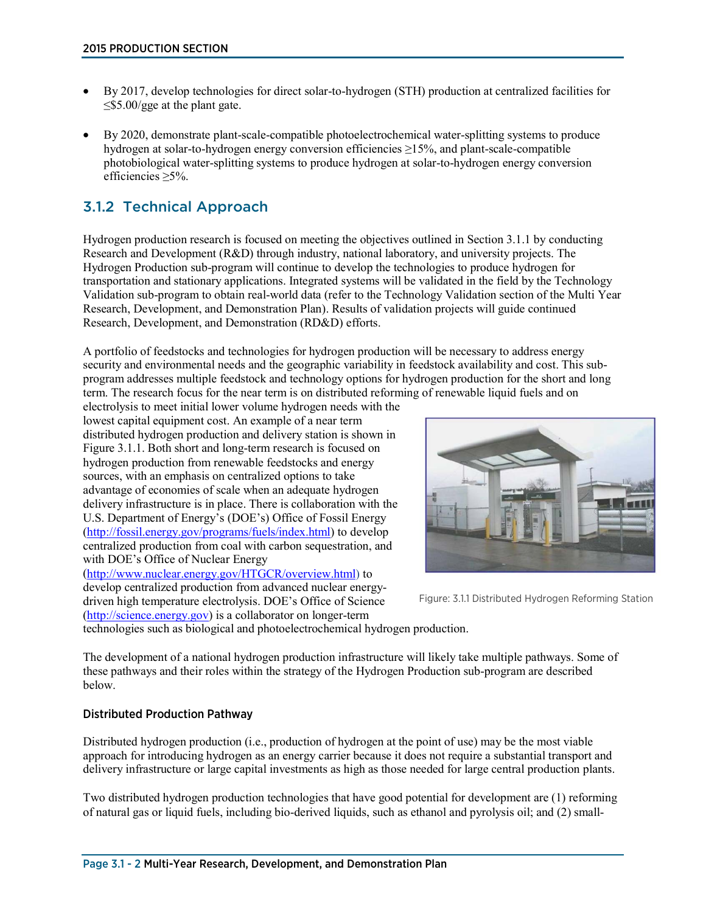- By 2017, develop technologies for direct solar-to-hydrogen (STH) production at centralized facilities for  $\leq$ \$5.00/gge at the plant gate.
- By 2020, demonstrate plant-scale-compatible photoelectrochemical water-splitting systems to produce hydrogen at solar-to-hydrogen energy conversion efficiencies ≥15%, and plant-scale-compatible photobiological water-splitting systems to produce hydrogen at solar-to-hydrogen energy conversion efficiencies ≥5%.

# 3.1.2 Technical Approach

Hydrogen production research is focused on meeting the objectives outlined in Section 3.1.1 by conducting Research and Development (R&D) through industry, national laboratory, and university projects. The Hydrogen Production sub-program will continue to develop the technologies to produce hydrogen for transportation and stationary applications. Integrated systems will be validated in the field by the Technology Validation sub-program to obtain real-world data (refer to the Technology Validation section of the Multi Year Research, Development, and Demonstration Plan). Results of validation projects will guide continued Research, Development, and Demonstration (RD&D) efforts.

A portfolio of feedstocks and technologies for hydrogen production will be necessary to address energy security and environmental needs and the geographic variability in feedstock availability and cost. This subprogram addresses multiple feedstock and technology options for hydrogen production for the short and long term. The research focus for the near term is on distributed reforming of renewable liquid fuels and on

electrolysis to meet initial lower volume hydrogen needs with the lowest capital equipment cost. An example of a near term distributed hydrogen production and delivery station is shown in Figure 3.1.1. Both short and long-term research is focused on hydrogen production from renewable feedstocks and energy sources, with an emphasis on centralized options to take advantage of economies of scale when an adequate hydrogen delivery infrastructure is in place. There is collaboration with the U.S. Department of Energy's (DOE's) Office of Fossil Energy [\(http://fossil.energy.gov/programs/fuels/index.html\)](http://fossil.energy.gov/programs/fuels/index.html) to develop centralized production from coal with carbon sequestration, and with DOE's Office of Nuclear Energy [\(http://www.nuclear.energy.gov/HTGCR/overview.html\)](http://www.nuclear.energy.gov/HTGCR/overview.html) to

develop centralized production from advanced nuclear energydriven high temperature electrolysis. DOE's Office of Science [\(http://science.energy.gov\)](http://science.energy.gov/) is a collaborator on longer-term



Figure: 3.1.1 Distributed Hydrogen Reforming Station

technologies such as biological and photoelectrochemical hydrogen production.

The development of a national hydrogen production infrastructure will likely take multiple pathways. Some of these pathways and their roles within the strategy of the Hydrogen Production sub-program are described below.

### Distributed Production Pathway

Distributed hydrogen production (i.e., production of hydrogen at the point of use) may be the most viable approach for introducing hydrogen as an energy carrier because it does not require a substantial transport and delivery infrastructure or large capital investments as high as those needed for large central production plants.

Two distributed hydrogen production technologies that have good potential for development are (1) reforming of natural gas or liquid fuels, including bio-derived liquids, such as ethanol and pyrolysis oil; and (2) small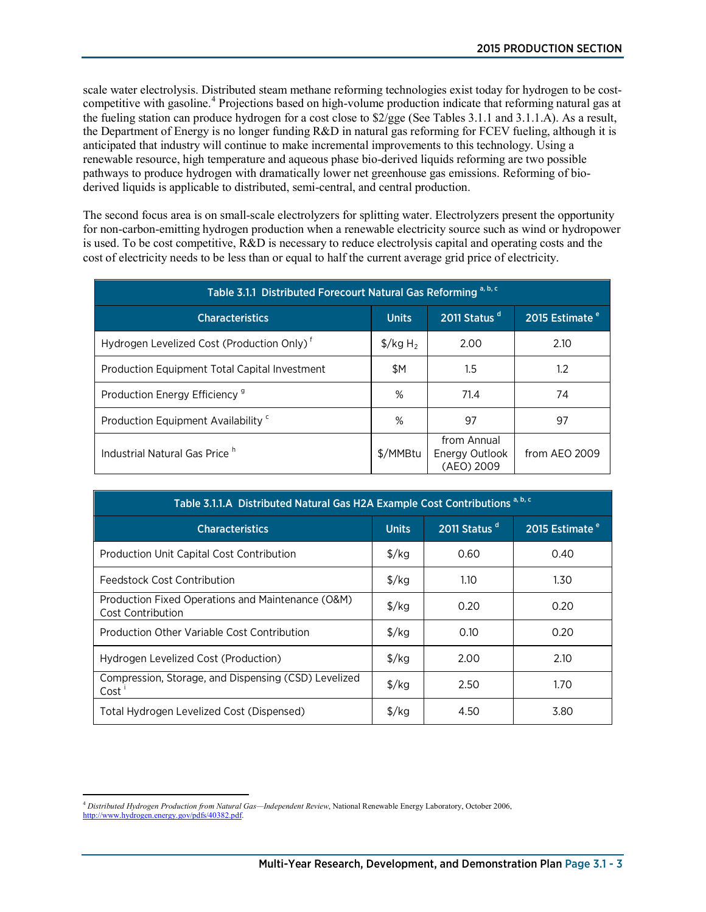scale water electrolysis. Distributed steam methane reforming technologies exist today for hydrogen to be costcompetitive with gasoline. [4](#page-2-0) Projections based on high-volume production indicate that reforming natural gas at the fueling station can produce hydrogen for a cost close to \$2/gge (See Tables 3.1.1 and 3.1.1.A). As a result, the Department of Energy is no longer funding R&D in natural gas reforming for FCEV fueling, although it is anticipated that industry will continue to make incremental improvements to this technology. Using a renewable resource, high temperature and aqueous phase bio-derived liquids reforming are two possible pathways to produce hydrogen with dramatically lower net greenhouse gas emissions. Reforming of bioderived liquids is applicable to distributed, semi-central, and central production.

The second focus area is on small-scale electrolyzers for splitting water. Electrolyzers present the opportunity for non-carbon-emitting hydrogen production when a renewable electricity source such as wind or hydropower is used. To be cost competitive, R&D is necessary to reduce electrolysis capital and operating costs and the cost of electricity needs to be less than or equal to half the current average grid price of electricity.

| Table 3.1.1 Distributed Forecourt Natural Gas Reforming a, b, c |                                  |                                             |               |  |  |
|-----------------------------------------------------------------|----------------------------------|---------------------------------------------|---------------|--|--|
| <b>Characteristics</b>                                          | 2015 Estimate <sup>e</sup>       |                                             |               |  |  |
| Hydrogen Levelized Cost (Production Only) <sup>f</sup>          | $\frac{1}{2}$ /kg H <sub>2</sub> | 2.00                                        | 2.10          |  |  |
| Production Equipment Total Capital Investment                   | \$Μ                              | $1.5\,$                                     | 1.2           |  |  |
| Production Energy Efficiency <sup>9</sup>                       | ℅                                | 71.4                                        | 74            |  |  |
| Production Equipment Availability <sup>c</sup>                  | ℅                                | 97                                          | 97            |  |  |
| Industrial Natural Gas Price <sup>h</sup>                       | \$/MMBtu                         | from Annual<br>Energy Outlook<br>(AEO) 2009 | from AEO 2009 |  |  |

| Table 3.1.1.A Distributed Natural Gas H2A Example Cost Contributions <sup>a, b, c</sup>          |                      |      |      |  |  |  |
|--------------------------------------------------------------------------------------------------|----------------------|------|------|--|--|--|
| 2011 Status <sup>d</sup><br>2015 Estimate <sup>e</sup><br><b>Characteristics</b><br><b>Units</b> |                      |      |      |  |  |  |
| Production Unit Capital Cost Contribution                                                        | $\frac{\sqrt{2}}{2}$ | 0.60 | 0.40 |  |  |  |
| Feedstock Cost Contribution                                                                      | $\frac{1}{2}$ /kg    | 1.10 | 1.30 |  |  |  |
| Production Fixed Operations and Maintenance (O&M)<br><b>Cost Contribution</b>                    | $\frac{\sqrt{2}}{2}$ | 0.20 | 0.20 |  |  |  |
| Production Other Variable Cost Contribution                                                      | $\frac{1}{2}$ /kg    | 0.10 | 0.20 |  |  |  |
| Hydrogen Levelized Cost (Production)                                                             | $\frac{1}{2}$ /kg    | 2.00 | 2.10 |  |  |  |
| Compression, Storage, and Dispensing (CSD) Levelized<br>Cost                                     | $\frac{1}{2}$ /kg    | 2.50 | 1.70 |  |  |  |
| Total Hydrogen Levelized Cost (Dispensed)                                                        | $\frac{f}{g}$        | 4.50 | 3.80 |  |  |  |

<span id="page-2-0"></span> $\overline{a}$ <sup>4</sup> *Distributed Hydrogen Production from Natural Gas—Independent Review*, National Renewable Energy Laboratory, October 2006, [http://www.hydrogen.energy.gov/pdfs/40382.pdf.](http://www.hydrogen.energy.gov/pdfs/40382.pdf)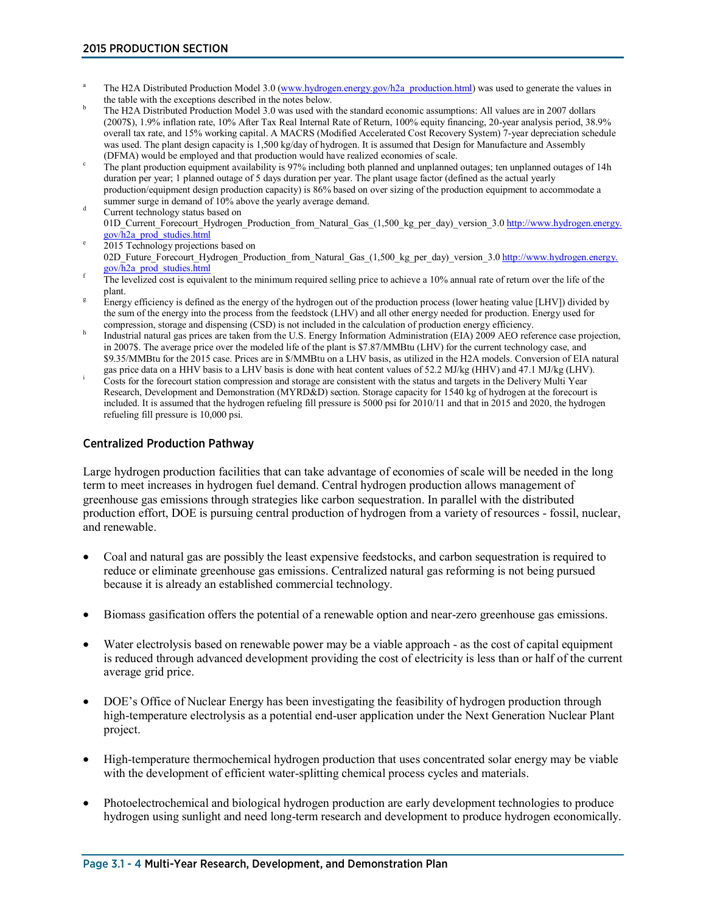- <sup>a</sup> The H2A Distributed Production Model 3.0 [\(www.hydrogen.energy.gov/h2a\\_production.html\)](http://www.hydrogen.energy.gov/h2a_production.html) was used to generate the values in the table with the exceptions described in the notes below.<br>The H2A Distributed Production Model 3.0 was used with the standard economic assumptions: All values are in 2007 dollars
- (2007\$), 1.9% inflation rate, 10% After Tax Real Internal Rate of Return, 100% equity financing, 20-year analysis period, 38.9% overall tax rate, and 15% working capital. A MACRS (Modified Accelerated Cost Recovery System) 7-year depreciation schedule was used. The plant design capacity is 1,500 kg/day of hydrogen. It is assumed that Design for Manufacture and Assembly (DFMA) would be employed and that production would have realized economies of scale.
- The plant production equipment availability is 97% including both planned and unplanned outages; ten unplanned outages of 14h duration per year; 1 planned outage of 5 days duration per year. The plant usage factor (defined as the actual yearly production/equipment design production capacity) is 86% based on over sizing of the production equipment to accommodate a
- summer surge in demand of 10% above the yearly average demand. Current technology status based on 01D\_Current\_Forecourt\_Hydrogen\_Production\_from\_Natural\_Gas\_(1,500\_kg\_per\_day)\_version\_3.[0 http://www.hydrogen.energy.](http://www.hydrogen.energy.gov/h2a_prod_studies.html)<br>gov/h2a\_prod\_studies.html
- 2015 Technology projections based on 02D\_Future\_Forecourt\_Hydrogen\_Production\_from\_Natural\_Gas\_(1,500\_kg\_per\_day)\_version\_3.0 [http://www.hydrogen.energy.](http://www.hydrogen.energy.gov/h2a_prod_studies.html)<br>gov/h2a\_prod\_studies.html
- $\frac{1}{2}$  The levelized cost is equivalent to the minimum required selling price to achieve a 10% annual rate of return over the life of the plant.
- Energy efficiency is defined as the energy of the hydrogen out of the production process (lower heating value [LHV]) divided by the sum of the energy into the process from the feedstock (LHV) and all other energy needed for production. Energy used for
- compression, storage and dispensing (CSD) is not included in the calculation of production energy efficiency.<br>Industrial natural gas prices are taken from the U.S. Energy Information Administration (EIA) 2009 AEO reference in 2007\$. The average price over the modeled life of the plant is \$7.87/MMBtu (LHV) for the current technology case, and \$9.35/MMBtu for the 2015 case. Prices are in \$/MMBtu on a LHV basis, as utilized in the H2A models. Conversion of EIA natural gas price data on a HHV basis to a LHV basis is done with heat content values of 52.2 MJ/kg (HHV
- Costs for the forecourt station compression and storage are consistent with the status and targets in the Delivery Multi Year Research, Development and Demonstration (MYRD&D) section. Storage capacity for 1540 kg of hydrogen at the forecourt is included. It is assumed that the hydrogen refueling fill pressure is 5000 psi for 2010/11 and that in 2015 and 2020, the hydrogen refueling fill pressure is 10,000 psi.

# Centralized Production Pathway

Large hydrogen production facilities that can take advantage of economies of scale will be needed in the long term to meet increases in hydrogen fuel demand. Central hydrogen production allows management of greenhouse gas emissions through strategies like carbon sequestration. In parallel with the distributed production effort, DOE is pursuing central production of hydrogen from a variety of resources - fossil, nuclear, and renewable.

- Coal and natural gas are possibly the least expensive feedstocks, and carbon sequestration is required to reduce or eliminate greenhouse gas emissions. Centralized natural gas reforming is not being pursued because it is already an established commercial technology.
- Biomass gasification offers the potential of a renewable option and near-zero greenhouse gas emissions.
- Water electrolysis based on renewable power may be a viable approach as the cost of capital equipment is reduced through advanced development providing the cost of electricity is less than or half of the current average grid price.
- DOE's Office of Nuclear Energy has been investigating the feasibility of hydrogen production through high-temperature electrolysis as a potential end-user application under the Next Generation Nuclear Plant project.
- High-temperature thermochemical hydrogen production that uses concentrated solar energy may be viable with the development of efficient water-splitting chemical process cycles and materials.
- Photoelectrochemical and biological hydrogen production are early development technologies to produce hydrogen using sunlight and need long-term research and development to produce hydrogen economically.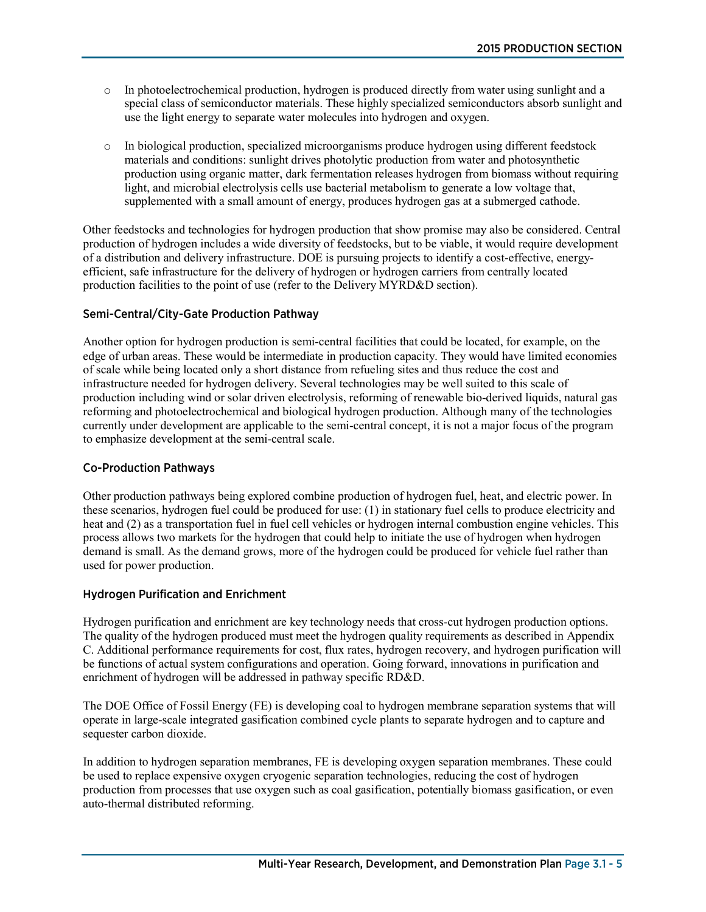- o In photoelectrochemical production, hydrogen is produced directly from water using sunlight and a special class of semiconductor materials. These highly specialized semiconductors absorb sunlight and use the light energy to separate water molecules into hydrogen and oxygen.
- o In biological production, specialized microorganisms produce hydrogen using different feedstock materials and conditions: sunlight drives photolytic production from water and photosynthetic production using organic matter, dark fermentation releases hydrogen from biomass without requiring light, and microbial electrolysis cells use bacterial metabolism to generate a low voltage that, supplemented with a small amount of energy, produces hydrogen gas at a submerged cathode.

Other feedstocks and technologies for hydrogen production that show promise may also be considered. Central production of hydrogen includes a wide diversity of feedstocks, but to be viable, it would require development of a distribution and delivery infrastructure. DOE is pursuing projects to identify a cost-effective, energyefficient, safe infrastructure for the delivery of hydrogen or hydrogen carriers from centrally located production facilities to the point of use (refer to the Delivery MYRD&D section).

# Semi-Central/City-Gate Production Pathway

Another option for hydrogen production is semi-central facilities that could be located, for example, on the edge of urban areas. These would be intermediate in production capacity. They would have limited economies of scale while being located only a short distance from refueling sites and thus reduce the cost and infrastructure needed for hydrogen delivery. Several technologies may be well suited to this scale of production including wind or solar driven electrolysis, reforming of renewable bio-derived liquids, natural gas reforming and photoelectrochemical and biological hydrogen production. Although many of the technologies currently under development are applicable to the semi-central concept, it is not a major focus of the program to emphasize development at the semi-central scale.

### Co-Production Pathways

Other production pathways being explored combine production of hydrogen fuel, heat, and electric power. In these scenarios, hydrogen fuel could be produced for use: (1) in stationary fuel cells to produce electricity and heat and (2) as a transportation fuel in fuel cell vehicles or hydrogen internal combustion engine vehicles. This process allows two markets for the hydrogen that could help to initiate the use of hydrogen when hydrogen demand is small. As the demand grows, more of the hydrogen could be produced for vehicle fuel rather than used for power production.

### Hydrogen Purification and Enrichment

Hydrogen purification and enrichment are key technology needs that cross-cut hydrogen production options. The quality of the hydrogen produced must meet the hydrogen quality requirements as described in Appendix C. Additional performance requirements for cost, flux rates, hydrogen recovery, and hydrogen purification will be functions of actual system configurations and operation. Going forward, innovations in purification and enrichment of hydrogen will be addressed in pathway specific RD&D.

The DOE Office of Fossil Energy (FE) is developing coal to hydrogen membrane separation systems that will operate in large-scale integrated gasification combined cycle plants to separate hydrogen and to capture and sequester carbon dioxide.

In addition to hydrogen separation membranes, FE is developing oxygen separation membranes. These could be used to replace expensive oxygen cryogenic separation technologies, reducing the cost of hydrogen production from processes that use oxygen such as coal gasification, potentially biomass gasification, or even auto-thermal distributed reforming.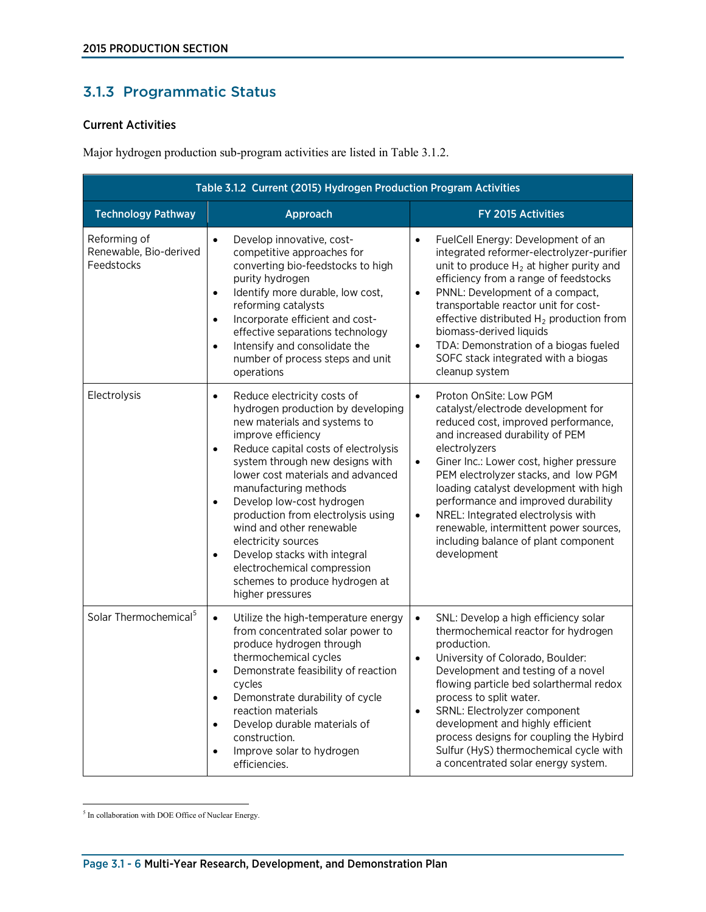# 3.1.3 Programmatic Status

# Current Activities

Major hydrogen production sub-program activities are listed in Table 3.1.2.

| Table 3.1.2 Current (2015) Hydrogen Production Program Activities |                                                                                                                                                                                                                                                                                                                                                                                                                                                                                                                                                                |                                                                                                                                                                                                                                                                                                                                                                                                                                                                                                           |  |  |  |
|-------------------------------------------------------------------|----------------------------------------------------------------------------------------------------------------------------------------------------------------------------------------------------------------------------------------------------------------------------------------------------------------------------------------------------------------------------------------------------------------------------------------------------------------------------------------------------------------------------------------------------------------|-----------------------------------------------------------------------------------------------------------------------------------------------------------------------------------------------------------------------------------------------------------------------------------------------------------------------------------------------------------------------------------------------------------------------------------------------------------------------------------------------------------|--|--|--|
| <b>Technology Pathway</b>                                         | Approach                                                                                                                                                                                                                                                                                                                                                                                                                                                                                                                                                       | FY 2015 Activities                                                                                                                                                                                                                                                                                                                                                                                                                                                                                        |  |  |  |
| Reforming of<br>Renewable, Bio-derived<br>Feedstocks              | Develop innovative, cost-<br>$\bullet$<br>competitive approaches for<br>converting bio-feedstocks to high<br>purity hydrogen<br>Identify more durable, low cost,<br>$\bullet$<br>reforming catalysts<br>Incorporate efficient and cost-<br>$\bullet$<br>effective separations technology<br>Intensify and consolidate the<br>$\bullet$<br>number of process steps and unit<br>operations                                                                                                                                                                       | FuelCell Energy: Development of an<br>$\bullet$<br>integrated reformer-electrolyzer-purifier<br>unit to produce $H_2$ at higher purity and<br>efficiency from a range of feedstocks<br>PNNL: Development of a compact,<br>$\bullet$<br>transportable reactor unit for cost-<br>effective distributed $H_2$ production from<br>biomass-derived liquids<br>TDA: Demonstration of a biogas fueled<br>$\bullet$<br>SOFC stack integrated with a biogas<br>cleanup system                                      |  |  |  |
| Electrolysis                                                      | Reduce electricity costs of<br>$\bullet$<br>hydrogen production by developing<br>new materials and systems to<br>improve efficiency<br>Reduce capital costs of electrolysis<br>$\bullet$<br>system through new designs with<br>lower cost materials and advanced<br>manufacturing methods<br>Develop low-cost hydrogen<br>$\bullet$<br>production from electrolysis using<br>wind and other renewable<br>electricity sources<br>Develop stacks with integral<br>$\bullet$<br>electrochemical compression<br>schemes to produce hydrogen at<br>higher pressures | Proton OnSite: Low PGM<br>$\bullet$<br>catalyst/electrode development for<br>reduced cost, improved performance,<br>and increased durability of PEM<br>electrolyzers<br>Giner Inc.: Lower cost, higher pressure<br>$\bullet$<br>PEM electrolyzer stacks, and low PGM<br>loading catalyst development with high<br>performance and improved durability<br>NREL: Integrated electrolysis with<br>$\bullet$<br>renewable, intermittent power sources,<br>including balance of plant component<br>development |  |  |  |
| Solar Thermochemical <sup>5</sup>                                 | Utilize the high-temperature energy<br>$\bullet$<br>from concentrated solar power to<br>produce hydrogen through<br>thermochemical cycles<br>Demonstrate feasibility of reaction<br>٠<br>cycles<br>Demonstrate durability of cycle<br>$\bullet$<br>reaction materials<br>Develop durable materials of<br>$\bullet$<br>construction.<br>Improve solar to hydrogen<br>$\bullet$<br>efficiencies.                                                                                                                                                                 | SNL: Develop a high efficiency solar<br>$\bullet$<br>thermochemical reactor for hydrogen<br>production.<br>University of Colorado, Boulder:<br>$\bullet$<br>Development and testing of a novel<br>flowing particle bed solarthermal redox<br>process to split water.<br>SRNL: Electrolyzer component<br>$\bullet$<br>development and highly efficient<br>process designs for coupling the Hybird<br>Sulfur (HyS) thermochemical cycle with<br>a concentrated solar energy system.                         |  |  |  |

<span id="page-5-0"></span> $\overline{a}$ <sup>5</sup> In collaboration with DOE Office of Nuclear Energy.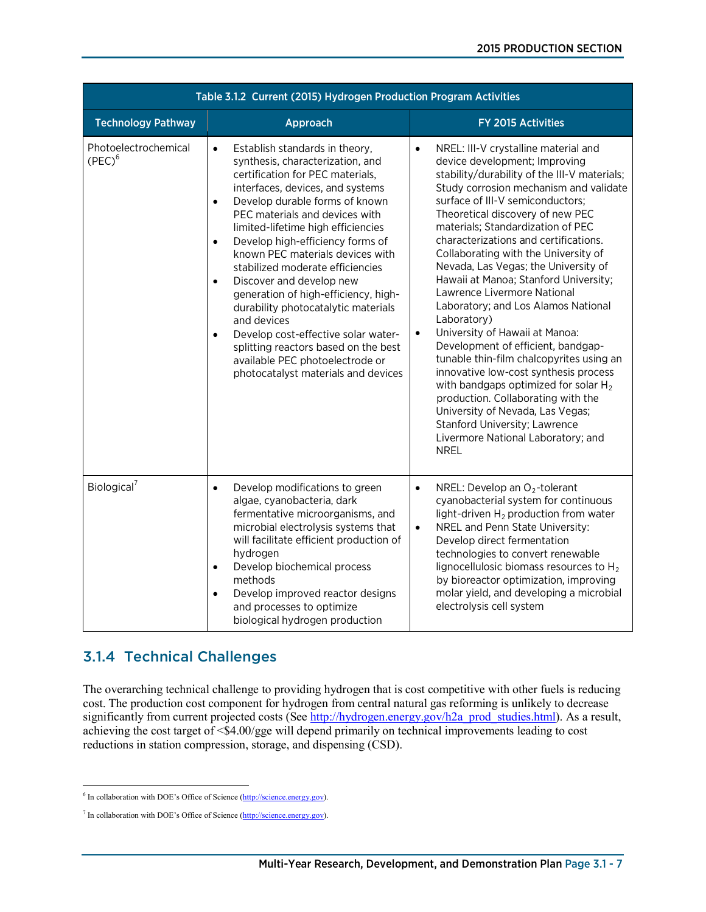| Table 3.1.2 Current (2015) Hydrogen Production Program Activities |                                                                                                                                                                                                                                                                                                                                                                                                                                                                                                                                                                                                                                                                                                              |                                                                                                                                                                                                                                                                                                                                                                                                                                                                                                                                                                                                                                                                                                                                                                                                                                                                                                                                       |  |  |  |
|-------------------------------------------------------------------|--------------------------------------------------------------------------------------------------------------------------------------------------------------------------------------------------------------------------------------------------------------------------------------------------------------------------------------------------------------------------------------------------------------------------------------------------------------------------------------------------------------------------------------------------------------------------------------------------------------------------------------------------------------------------------------------------------------|---------------------------------------------------------------------------------------------------------------------------------------------------------------------------------------------------------------------------------------------------------------------------------------------------------------------------------------------------------------------------------------------------------------------------------------------------------------------------------------------------------------------------------------------------------------------------------------------------------------------------------------------------------------------------------------------------------------------------------------------------------------------------------------------------------------------------------------------------------------------------------------------------------------------------------------|--|--|--|
| <b>Technology Pathway</b>                                         | Approach                                                                                                                                                                                                                                                                                                                                                                                                                                                                                                                                                                                                                                                                                                     | FY 2015 Activities                                                                                                                                                                                                                                                                                                                                                                                                                                                                                                                                                                                                                                                                                                                                                                                                                                                                                                                    |  |  |  |
| Photoelectrochemical<br>$(PEC)^6$                                 | Establish standards in theory,<br>$\bullet$<br>synthesis, characterization, and<br>certification for PEC materials,<br>interfaces, devices, and systems<br>Develop durable forms of known<br>$\bullet$<br>PEC materials and devices with<br>limited-lifetime high efficiencies<br>Develop high-efficiency forms of<br>$\bullet$<br>known PEC materials devices with<br>stabilized moderate efficiencies<br>Discover and develop new<br>$\bullet$<br>generation of high-efficiency, high-<br>durability photocatalytic materials<br>and devices<br>Develop cost-effective solar water-<br>٠<br>splitting reactors based on the best<br>available PEC photoelectrode or<br>photocatalyst materials and devices | NREL: III-V crystalline material and<br>$\bullet$<br>device development; Improving<br>stability/durability of the III-V materials;<br>Study corrosion mechanism and validate<br>surface of III-V semiconductors;<br>Theoretical discovery of new PEC<br>materials; Standardization of PEC<br>characterizations and certifications.<br>Collaborating with the University of<br>Nevada, Las Vegas; the University of<br>Hawaii at Manoa; Stanford University;<br>Lawrence Livermore National<br>Laboratory; and Los Alamos National<br>Laboratory)<br>University of Hawaii at Manoa:<br>$\bullet$<br>Development of efficient, bandgap-<br>tunable thin-film chalcopyrites using an<br>innovative low-cost synthesis process<br>with bandgaps optimized for solar $H_2$<br>production. Collaborating with the<br>University of Nevada, Las Vegas;<br>Stanford University; Lawrence<br>Livermore National Laboratory; and<br><b>NREL</b> |  |  |  |
| Biological <sup>7</sup>                                           | Develop modifications to green<br>$\bullet$<br>algae, cyanobacteria, dark<br>fermentative microorganisms, and<br>microbial electrolysis systems that<br>will facilitate efficient production of<br>hydrogen<br>Develop biochemical process<br>$\bullet$<br>methods<br>Develop improved reactor designs<br>$\bullet$<br>and processes to optimize<br>biological hydrogen production                                                                                                                                                                                                                                                                                                                           | NREL: Develop an $O_2$ -tolerant<br>$\bullet$<br>cyanobacterial system for continuous<br>light-driven $H_2$ production from water<br>NREL and Penn State University:<br>$\bullet$<br>Develop direct fermentation<br>technologies to convert renewable<br>lignocellulosic biomass resources to H <sub>2</sub><br>by bioreactor optimization, improving<br>molar yield, and developing a microbial<br>electrolysis cell system                                                                                                                                                                                                                                                                                                                                                                                                                                                                                                          |  |  |  |

# 3.1.4 Technical Challenges

The overarching technical challenge to providing hydrogen that is cost competitive with other fuels is reducing cost. The production cost component for hydrogen from central natural gas reforming is unlikely to decrease significantly from current projected costs (See [http://hydrogen.energy.gov/h2a\\_prod\\_studies.html\)](http://hydrogen.energy.gov/h2a_prod_studies.html). As a result, achieving the cost target of <\$4.00/gge will depend primarily on technical improvements leading to cost reductions in station compression, storage, and dispensing (CSD).

<span id="page-6-0"></span> $\overline{a}$ <sup>6</sup> In collaboration with DOE's Office of Science [\(http://science.energy.gov\)](http://science.energy.gov/).

<span id="page-6-1"></span><sup>7</sup> In collaboration with DOE's Office of Science [\(http://science.energy.gov\)](http://science.energy.gov/).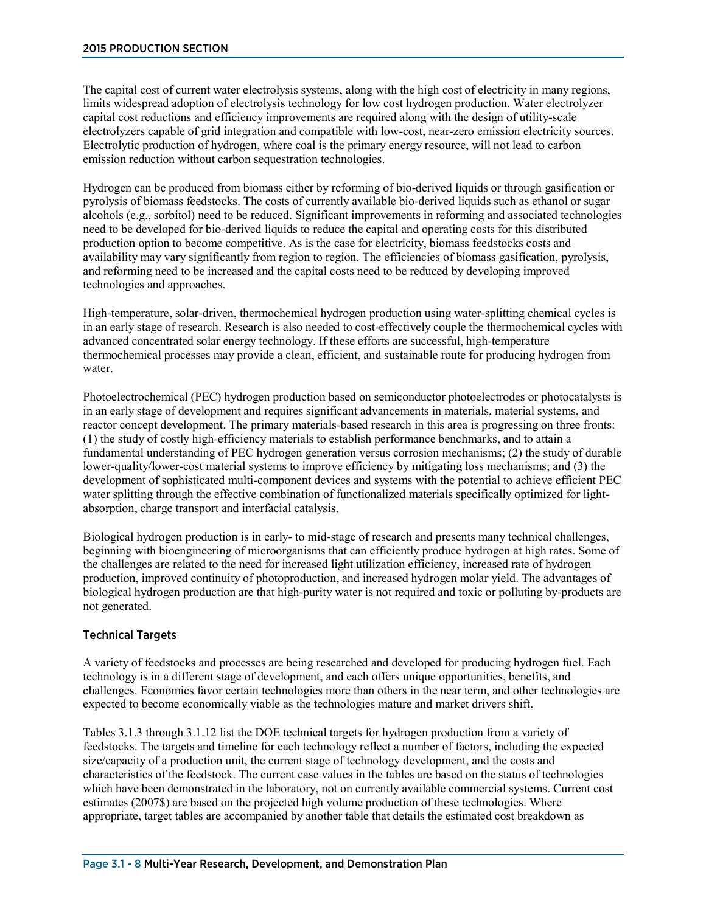The capital cost of current water electrolysis systems, along with the high cost of electricity in many regions, limits widespread adoption of electrolysis technology for low cost hydrogen production. Water electrolyzer capital cost reductions and efficiency improvements are required along with the design of utility-scale electrolyzers capable of grid integration and compatible with low-cost, near-zero emission electricity sources. Electrolytic production of hydrogen, where coal is the primary energy resource, will not lead to carbon emission reduction without carbon sequestration technologies.

Hydrogen can be produced from biomass either by reforming of bio-derived liquids or through gasification or pyrolysis of biomass feedstocks. The costs of currently available bio-derived liquids such as ethanol or sugar alcohols (e.g., sorbitol) need to be reduced. Significant improvements in reforming and associated technologies need to be developed for bio-derived liquids to reduce the capital and operating costs for this distributed production option to become competitive. As is the case for electricity, biomass feedstocks costs and availability may vary significantly from region to region. The efficiencies of biomass gasification, pyrolysis, and reforming need to be increased and the capital costs need to be reduced by developing improved technologies and approaches.

High-temperature, solar-driven, thermochemical hydrogen production using water-splitting chemical cycles is in an early stage of research. Research is also needed to cost-effectively couple the thermochemical cycles with advanced concentrated solar energy technology. If these efforts are successful, high-temperature thermochemical processes may provide a clean, efficient, and sustainable route for producing hydrogen from water.

Photoelectrochemical (PEC) hydrogen production based on semiconductor photoelectrodes or photocatalysts is in an early stage of development and requires significant advancements in materials, material systems, and reactor concept development. The primary materials-based research in this area is progressing on three fronts: (1) the study of costly high-efficiency materials to establish performance benchmarks, and to attain a fundamental understanding of PEC hydrogen generation versus corrosion mechanisms; (2) the study of durable lower-quality/lower-cost material systems to improve efficiency by mitigating loss mechanisms; and (3) the development of sophisticated multi-component devices and systems with the potential to achieve efficient PEC water splitting through the effective combination of functionalized materials specifically optimized for lightabsorption, charge transport and interfacial catalysis.

Biological hydrogen production is in early- to mid-stage of research and presents many technical challenges, beginning with bioengineering of microorganisms that can efficiently produce hydrogen at high rates. Some of the challenges are related to the need for increased light utilization efficiency, increased rate of hydrogen production, improved continuity of photoproduction, and increased hydrogen molar yield. The advantages of biological hydrogen production are that high-purity water is not required and toxic or polluting by-products are not generated.

### Technical Targets

A variety of feedstocks and processes are being researched and developed for producing hydrogen fuel. Each technology is in a different stage of development, and each offers unique opportunities, benefits, and challenges. Economics favor certain technologies more than others in the near term, and other technologies are expected to become economically viable as the technologies mature and market drivers shift.

Tables 3.1.3 through 3.1.12 list the DOE technical targets for hydrogen production from a variety of feedstocks. The targets and timeline for each technology reflect a number of factors, including the expected size/capacity of a production unit, the current stage of technology development, and the costs and characteristics of the feedstock. The current case values in the tables are based on the status of technologies which have been demonstrated in the laboratory, not on currently available commercial systems. Current cost estimates (2007\$) are based on the projected high volume production of these technologies. Where appropriate, target tables are accompanied by another table that details the estimated cost breakdown as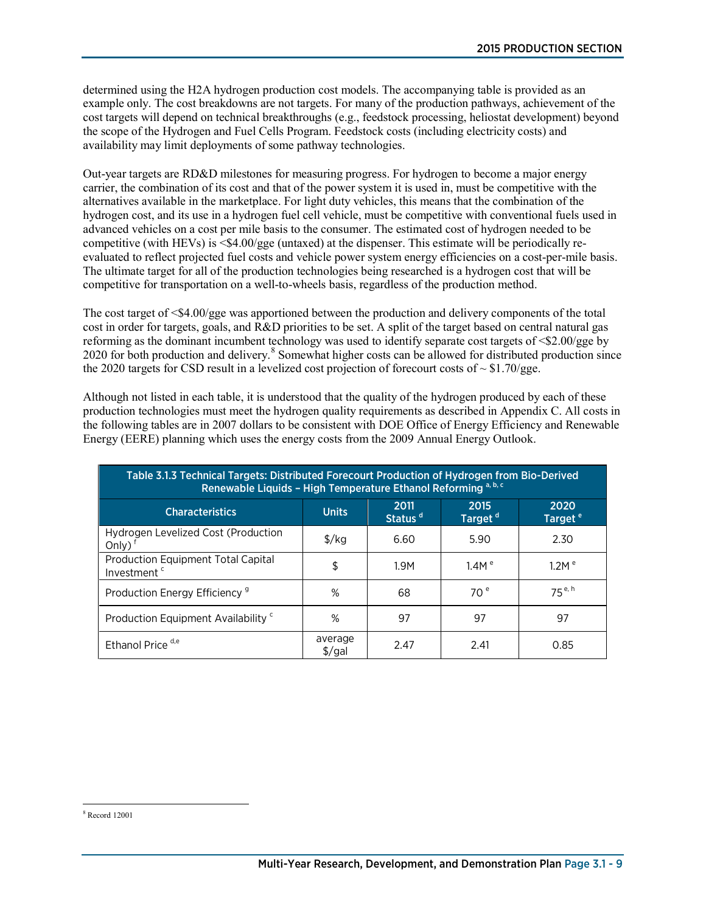determined using the H2A hydrogen production cost models. The accompanying table is provided as an example only. The cost breakdowns are not targets. For many of the production pathways, achievement of the cost targets will depend on technical breakthroughs (e.g., feedstock processing, heliostat development) beyond the scope of the Hydrogen and Fuel Cells Program. Feedstock costs (including electricity costs) and availability may limit deployments of some pathway technologies.

Out-year targets are RD&D milestones for measuring progress. For hydrogen to become a major energy carrier, the combination of its cost and that of the power system it is used in, must be competitive with the alternatives available in the marketplace. For light duty vehicles, this means that the combination of the hydrogen cost, and its use in a hydrogen fuel cell vehicle, must be competitive with conventional fuels used in advanced vehicles on a cost per mile basis to the consumer. The estimated cost of hydrogen needed to be competitive (with HEVs) is  $\leq$ \$4.00/gge (untaxed) at the dispenser. This estimate will be periodically reevaluated to reflect projected fuel costs and vehicle power system energy efficiencies on a cost-per-mile basis. The ultimate target for all of the production technologies being researched is a hydrogen cost that will be competitive for transportation on a well-to-wheels basis, regardless of the production method.

The cost target of  $\leq$ \$4.00/gge was apportioned between the production and delivery components of the total cost in order for targets, goals, and R&D priorities to be set. A split of the target based on central natural gas reforming as the dominant incumbent technology was used to identify separate cost targets of <\$2.00/gge by 2020 for both production and delivery. [8](#page-8-0) Somewhat higher costs can be allowed for distributed production since the 2020 targets for CSD result in a levelized cost projection of forecourt costs of  $\sim $1.70/\text{g}$ ge.

Although not listed in each table, it is understood that the quality of the hydrogen produced by each of these production technologies must meet the hydrogen quality requirements as described in Appendix C. All costs in the following tables are in 2007 dollars to be consistent with DOE Office of Energy Efficiency and Renewable Energy (EERE) planning which uses the energy costs from the 2009 Annual Energy Outlook.

| Table 3.1.3 Technical Targets: Distributed Forecourt Production of Hydrogen from Bio-Derived<br>Renewable Liquids - High Temperature Ethanol Reforming <sup>a, b, c</sup> |                               |      |                   |                   |  |  |  |  |
|---------------------------------------------------------------------------------------------------------------------------------------------------------------------------|-------------------------------|------|-------------------|-------------------|--|--|--|--|
| 2020<br>2011<br>2015<br><b>Characteristics</b><br><b>Units</b><br>Status <sup>d</sup><br>Target <sup>d</sup><br>Target <sup>e</sup>                                       |                               |      |                   |                   |  |  |  |  |
| Hydrogen Levelized Cost (Production<br>Only)                                                                                                                              | $\frac{f}{g}$                 | 6.60 | 5.90              | 2.30              |  |  |  |  |
| <b>Production Equipment Total Capital</b><br>Investment <sup>c</sup>                                                                                                      | \$                            | 1.9M | 1.4M <sup>e</sup> | 1.2M <sup>e</sup> |  |  |  |  |
| Production Energy Efficiency <sup>9</sup>                                                                                                                                 | %                             | 68   | 70 <sup>e</sup>   | $75^{e, h}$       |  |  |  |  |
| Production Equipment Availability <sup>c</sup>                                                                                                                            | $\%$                          | 97   | 97                | 97                |  |  |  |  |
| Ethanol Price <sup>d,e</sup>                                                                                                                                              | average<br>$\frac{1}{2}$ /gal | 2.47 | 2.41              | 0.85              |  |  |  |  |

<span id="page-8-0"></span> $\overline{a}$ <sup>8</sup> Record 12001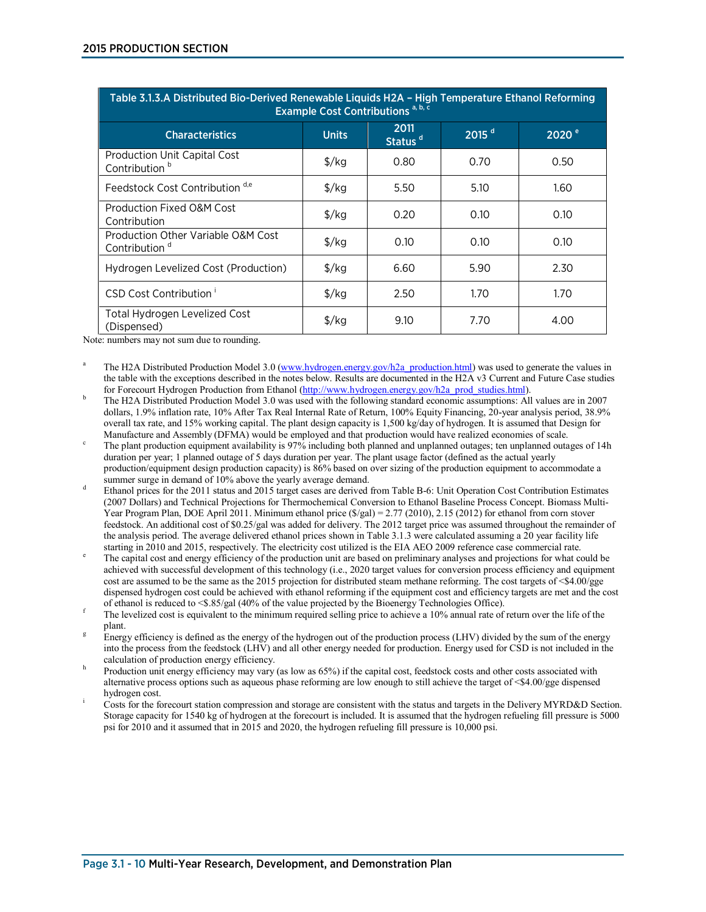| Table 3.1.3.A Distributed Bio-Derived Renewable Liquids H2A - High Temperature Ethanol Reforming<br>Example Cost Contributions <sup>a, b, c</sup> |                      |                             |                   |                   |  |  |
|---------------------------------------------------------------------------------------------------------------------------------------------------|----------------------|-----------------------------|-------------------|-------------------|--|--|
| <b>Characteristics</b>                                                                                                                            | <b>Units</b>         | 2011<br>Status <sup>d</sup> | 2015 <sup>d</sup> | 2020 <sup>e</sup> |  |  |
| <b>Production Unit Capital Cost</b><br>Contribution <sup>b</sup>                                                                                  | $\frac{\sqrt{2}}{2}$ | 0.80                        | 0.70              | 0.50              |  |  |
| Feedstock Cost Contribution d,e                                                                                                                   | $\frac{\sqrt{2}}{2}$ | 5.50                        | 5.10              | 1.60              |  |  |
| Production Fixed O&M Cost<br>Contribution                                                                                                         | $\frac{\sqrt{2}}{2}$ | 0.20                        | 0.10              | 0.10              |  |  |
| Production Other Variable O&M Cost<br>Contribution <sup>d</sup>                                                                                   | $\frac{\sqrt{2}}{2}$ | 0.10                        | 0.10              | 0.10              |  |  |
| Hydrogen Levelized Cost (Production)                                                                                                              | $\frac{\sqrt{2}}{2}$ | 6.60                        | 5.90              | 2.30              |  |  |
| CSD Cost Contribution <sup>i</sup>                                                                                                                | $\frac{\sqrt{2}}{2}$ | 2.50                        | 1.70              | 1.70              |  |  |
| Total Hydrogen Levelized Cost<br>(Dispensed)                                                                                                      | $\frac{1}{2}$        | 9.10                        | 7.70              | 4.00              |  |  |

Note: numbers may not sum due to rounding.

- The H2A Distributed Production Model 3.0 [\(www.hydrogen.energy.gov/h2a\\_production.html\)](http://www.hydrogen.energy.gov/h2a_production.html) was used to generate the values in the table with the exceptions described in the notes below. Results are documented in the H2A v3 Current and Future Case studies for Forecourt Hydrogen Production from Ethanol (http://www.hydrogen.energy.gov/h2a prod studi
- The H2A Distributed Production Model 3.0 was used with the following standard economic assumptions: All values are in 2007 dollars, 1.9% inflation rate, 10% After Tax Real Internal Rate of Return, 100% Equity Financing, 20-year analysis period, 38.9% overall tax rate, and 15% working capital. The plant design capacity is 1,500 kg/day of hydrogen. It is assumed that Design for
- Manufacture and Assembly (DFMA) would be employed and that production would have realized economies of scale.<br>The plant production equipment availability is 97% including both planned and unplanned outages; ten unplanned o duration per year; 1 planned outage of 5 days duration per year. The plant usage factor (defined as the actual yearly production/equipment design production capacity) is 86% based on over sizing of the production equipment to accommodate a summer surge in demand of 10% above the yearly average demand.
- Ethanol prices for the 2011 status and 2015 target cases are derived from Table B-6: Unit Operation Cost Contribution Estimates (2007 Dollars) and Technical Projections for Thermochemical Conversion to Ethanol Baseline Process Concept. Biomass Multi-Year Program Plan, DOE April 2011. Minimum ethanol price (\$/gal) = 2.77 (2010), 2.15 (2012) for ethanol from corn stover feedstock. An additional cost of \$0.25/gal was added for delivery. The 2012 target price was assumed throughout the remainder of the analysis period. The average delivered ethanol prices shown in Table 3.1.3 were calculated assuming a 20 year facility life starting in 2010 and 2015, respectively. The electricity cost utilized is the EIA AEO 2009 ref
- The capital cost and energy efficiency of the production unit are based on preliminary analyses and projections for what could be achieved with successful development of this technology (i.e., 2020 target values for conversion process efficiency and equipment cost are assumed to be the same as the 2015 projection for distributed steam methane reforming. The cost targets of <\$4.00/gge dispensed hydrogen cost could be achieved with ethanol reforming if the equipment cost and efficiency targets are met and the cost of ethanol is reduced to <\$.85/gal (40% of the value projected by the Bioenergy Technologie
- The levelized cost is equivalent to the minimum required selling price to achieve a 10% annual rate of return over the life of the plant.
- Energy efficiency is defined as the energy of the hydrogen out of the production process (LHV) divided by the sum of the energy into the process from the feedstock (LHV) and all other energy needed for production. Energy used for CSD is not included in the
- Production unit energy efficiency may vary (as low as 65%) if the capital cost, feedstock costs and other costs associated with alternative process options such as aqueous phase reforming are low enough to still achieve the target of <\$4.00/gge dispensed
- hydrogen cost.<br>Costs for the forecourt station compression and storage are consistent with the status and targets in the Delivery MYRD&D Section. Storage capacity for 1540 kg of hydrogen at the forecourt is included. It is assumed that the hydrogen refueling fill pressure is 5000 psi for 2010 and it assumed that in 2015 and 2020, the hydrogen refueling fill pressure is 10,000 psi.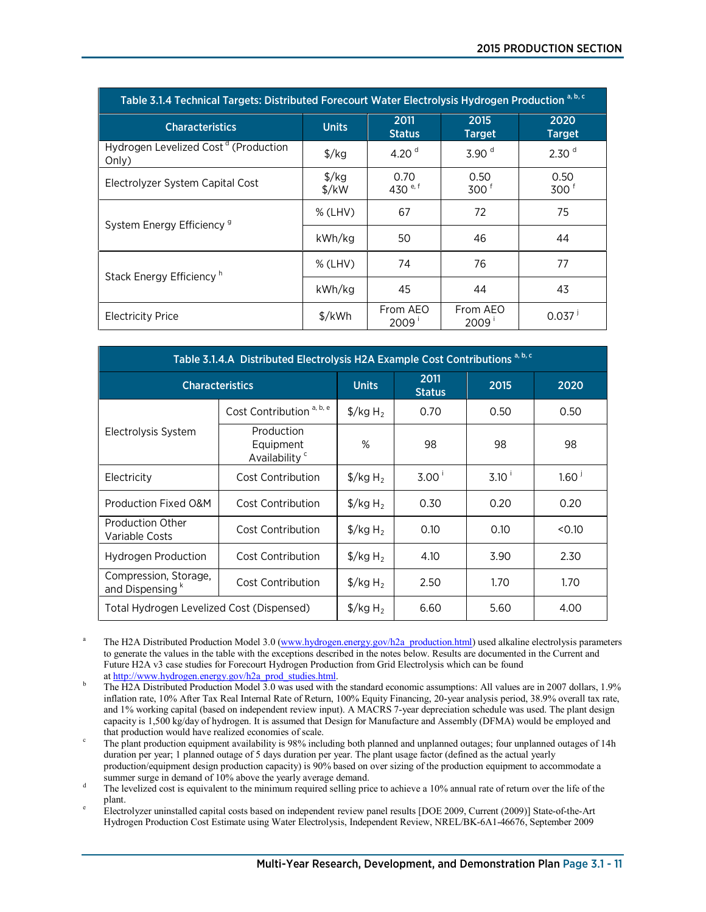| Table 3.1.4 Technical Targets: Distributed Forecourt Water Electrolysis Hydrogen Production <sup>a, b, c</sup> |                                           |                             |                          |                          |  |
|----------------------------------------------------------------------------------------------------------------|-------------------------------------------|-----------------------------|--------------------------|--------------------------|--|
| <b>Characteristics</b>                                                                                         | 2011<br><b>Units</b><br><b>Status</b>     |                             | 2015<br><b>Target</b>    | 2020<br><b>Target</b>    |  |
| Hydrogen Levelized Cost <sup>d</sup> (Production<br>Only)                                                      | $\frac{f}{g}$                             | 4.20 $^{\rm d}$             | 3.90 <sup>d</sup>        | 2.30 <sup>d</sup>        |  |
| Electrolyzer System Capital Cost                                                                               | $\frac{\sqrt{2}}{2}$<br>$\frac{1}{2}$ /kW | 0.70<br>430 <sup>e, f</sup> | 0.50<br>300 <sup>f</sup> | 0.50<br>300 <sup>6</sup> |  |
| System Energy Efficiency <sup>9</sup>                                                                          | $%$ (LHV)                                 | 67                          | 72                       | 75                       |  |
|                                                                                                                | kWh/kg                                    | 50                          | 46                       | 44                       |  |
| Stack Energy Efficiency <sup>h</sup>                                                                           | $%$ (LHV)                                 | 74                          | 76                       | 77                       |  |
|                                                                                                                | kWh/kg                                    | 45                          | 44                       | 43                       |  |
| <b>Electricity Price</b>                                                                                       | $\frac{1}{2}$ /kWh                        | From AEO<br>2009'           | From AEO<br>2009'        | 0.037                    |  |

| Table 3.1.4.A Distributed Electrolysis H2A Example Cost Contributions <sup>a, b, c</sup> |                                                      |                                  |                       |                  |                   |
|------------------------------------------------------------------------------------------|------------------------------------------------------|----------------------------------|-----------------------|------------------|-------------------|
|                                                                                          | <b>Characteristics</b>                               | <b>Units</b>                     | 2011<br><b>Status</b> | 2015             | 2020              |
|                                                                                          | Cost Contribution <sup>a, b, e</sup>                 | $\frac{1}{2}$ /kg H <sub>2</sub> | 0.70                  | 0.50             | 0.50              |
| Electrolysis System                                                                      | Production<br>Equipment<br>Availability <sup>c</sup> | %                                | 98                    | 98               | 98                |
| Electricity                                                                              | Cost Contribution                                    | $\frac{1}{2}$ /kg H <sub>2</sub> | $3.00^{\circ}$        | $3.10^{\degree}$ | 1.60 <sup>1</sup> |
| Production Fixed O&M                                                                     | Cost Contribution                                    | $\frac{1}{2}$ /kg H <sub>2</sub> | 0.30                  | 0.20             | 0.20              |
| <b>Production Other</b><br>Variable Costs                                                | Cost Contribution                                    | $\frac{1}{2}$ /kg H <sub>2</sub> | 0.10                  | 0.10             | < 0.10            |
| <b>Hydrogen Production</b>                                                               | Cost Contribution                                    | $\frac{1}{2}$ /kg H <sub>2</sub> | 4.10                  | 3.90             | 2.30              |
| Compression, Storage,<br>and Dispensing <sup>k</sup>                                     | Cost Contribution                                    | $\frac{1}{2}$ /kg H <sub>2</sub> | 2.50                  | 1.70             | 1.70              |
| Total Hydrogen Levelized Cost (Dispensed)                                                |                                                      | $\frac{1}{2}$ /kg H <sub>2</sub> | 6.60                  | 5.60             | 4.00              |

<sup>a</sup> The H2A Distributed Production Model 3.0 [\(www.hydrogen.energy.gov/h2a\\_production.html\)](http://www.hydrogen.energy.gov/h2a_production.html) used alkaline electrolysis parameters to generate the values in the table with the exceptions described in the notes below. Results are documented in the Current and Future H2A v3 case studies for Forecourt Hydrogen Production from Grid Electrolysis which can be found at http://www.hydrogen.energy.gov/h2a prod studies.html.

The H2A Distributed Production Model 3.0 was used with the standard economic assumptions: All values are in 2007 dollars, 1.9% inflation rate, 10% After Tax Real Internal Rate of Return, 100% Equity Financing, 20-year analysis period, 38.9% overall tax rate, and 1% working capital (based on independent review input). A MACRS 7-year depreciation schedule was used. The plant design capacity is 1,500 kg/day of hydrogen. It is assumed that Design for Manufacture and Assembly (DFMA) would be employed and

that production would have realized economies of scale.<br>The plant production equipment availability is 98% including both planned and unplanned outages; four unplanned outages of 14h duration per year; 1 planned outage of 5 days duration per year. The plant usage factor (defined as the actual yearly production/equipment design production capacity) is 90% based on over sizing of the production equipment to accommodate a

 $\frac{d}{dt}$  The levelized cost is equivalent to the minimum required selling price to achieve a 10% annual rate of return over the life of the

plant.<br>Electrolyzer uninstalled capital costs based on independent review panel results [DOE 2009, Current (2009)] State-of-the-Art Hydrogen Production Cost Estimate using Water Electrolysis, Independent Review, NREL/BK-6A1-46676, September 2009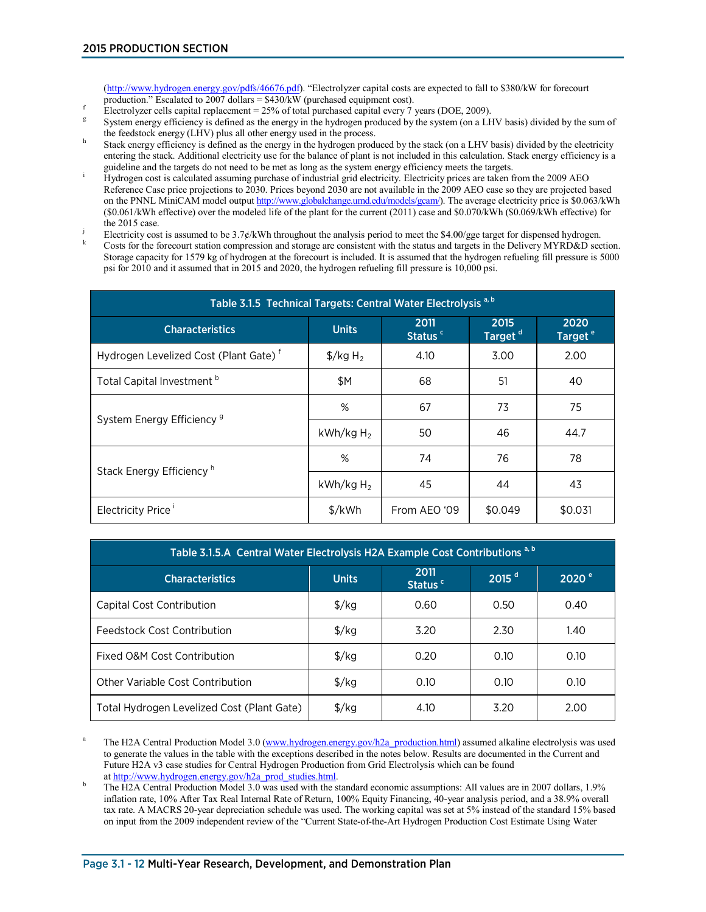[\(http://www.hydrogen.energy.gov/pdfs/46676.pdf\)](http://www.hydrogen.energy.gov/pdfs/46676.pdf). "Electrolyzer capital costs are expected to fall to \$380/kW for forecourt

- 
- production." Escalated to 2007 dollars = \$430/kW (purchased equipment cost).<br>Electrolyzer cells capital replacement = 25% of total purchased capital every 7 years (DOE, 2009).<br>System energy efficiency is defined as the ene the feedstock energy (LHV) plus all other energy used in the process.
- Stack energy efficiency is defined as the energy in the hydrogen produced by the stack (on a LHV basis) divided by the electricity entering the stack. Additional electricity use for the balance of plant is not included in this calculation. Stack energy efficiency is a
- guideline and the targets do not need to be met as long as the system energy efficiency meets the targets.<br>Hydrogen cost is calculated assuming purchase of industrial grid electricity. Electricity prices are taken from the Reference Case price projections to 2030. Prices beyond 2030 are not available in the 2009 AEO case so they are projected based on the PNNL MiniCAM model outpu[t http://www.globalchange.umd.edu/models/gcam/\)](http://www.globalchange.umd.edu/models/gcam/). The average electricity price is \$0.063/kWh (\$0.061/kWh effective) over the modeled life of the plant for the current (2011) case and \$0.070/kWh (\$0.069/kWh effective) for
- Electricity cost is assumed to be 3.7¢/kWh throughout the analysis period to meet the \$4.00/gge target for dispensed hydrogen.<br>Costs for the forecourt station compression and storage are consistent with the status and targ
- Storage capacity for 1579 kg of hydrogen at the forecourt is included. It is assumed that the hydrogen refueling fill pressure is 5000 psi for 2010 and it assumed that in 2015 and 2020, the hydrogen refueling fill pressure is 10,000 psi.

| Table 3.1.5 Technical Targets: Central Water Electrolysis <sup>a, b</sup> |                                  |                             |                             |                             |  |
|---------------------------------------------------------------------------|----------------------------------|-----------------------------|-----------------------------|-----------------------------|--|
| <b>Characteristics</b>                                                    | <b>Units</b>                     | 2011<br>Status <sup>c</sup> | 2015<br>Target <sup>d</sup> | 2020<br>Target <sup>e</sup> |  |
| Hydrogen Levelized Cost (Plant Gate) <sup>f</sup>                         | $\frac{1}{2}$ /kg H <sub>2</sub> | 4.10                        | 3.00                        | 2.00                        |  |
| Total Capital Investment <sup>b</sup>                                     | \$Μ                              | 68                          | 51                          | 40                          |  |
| System Energy Efficiency <sup>9</sup>                                     | %                                | 67                          | 73                          | 75                          |  |
|                                                                           | $kWh/kgH_2$                      | 50                          | 46                          | 44.7                        |  |
| Stack Energy Efficiency <sup>h</sup>                                      | %                                | 74                          | 76                          | 78                          |  |
|                                                                           | $kWh/kgH_2$                      | 45                          | 44                          | 43                          |  |
| Electricity Price                                                         | $\frac{1}{2}$ /kWh               | From AEO '09                | \$0.049                     | \$0.031                     |  |

| Table 3.1.5.A Central Water Electrolysis H2A Example Cost Contributions a, b                                    |                      |      |      |      |  |  |  |
|-----------------------------------------------------------------------------------------------------------------|----------------------|------|------|------|--|--|--|
| 2011<br>2015 <sup>d</sup><br>2020 <sup>°</sup><br><b>Units</b><br><b>Characteristics</b><br>Status <sup>c</sup> |                      |      |      |      |  |  |  |
| Capital Cost Contribution                                                                                       | $\frac{f}{g}$        | 0.60 | 0.50 | 0.40 |  |  |  |
| Feedstock Cost Contribution                                                                                     | $\frac{f}{g}$        | 3.20 | 2.30 | 1.40 |  |  |  |
| Fixed O&M Cost Contribution                                                                                     | $\frac{\sqrt{2}}{2}$ | 0.20 | 0.10 | 0.10 |  |  |  |
| Other Variable Cost Contribution                                                                                | $\frac{f}{g}$        | 0.10 | 0.10 | 0.10 |  |  |  |
| Total Hydrogen Levelized Cost (Plant Gate)                                                                      | $\frac{\sqrt{2}}{2}$ | 4.10 | 3.20 | 2.00 |  |  |  |

The H2A Central Production Model 3.0 [\(www.hydrogen.energy.gov/h2a\\_production.html\)](http://www.hydrogen.energy.gov/h2a_production.html) assumed alkaline electrolysis was used to generate the values in the table with the exceptions described in the notes below. Results are documented in the Current and Future H2A v3 case studies for Central Hydrogen Production from Grid Electrolysis which can be found at http://www.hydrogen.energy.gov/h2a prod studies.html.

The H2A Central Production Model 3.0 was used with the standard economic assumptions: All values are in 2007 dollars, 1.9% inflation rate, 10% After Tax Real Internal Rate of Return, 100% Equity Financing, 40-year analysis period, and a 38.9% overall tax rate. A MACRS 20-year depreciation schedule was used. The working capital was set at 5% instead of the standard 15% based on input from the 2009 independent review of the "Current State-of-the-Art Hydrogen Production Cost Estimate Using Water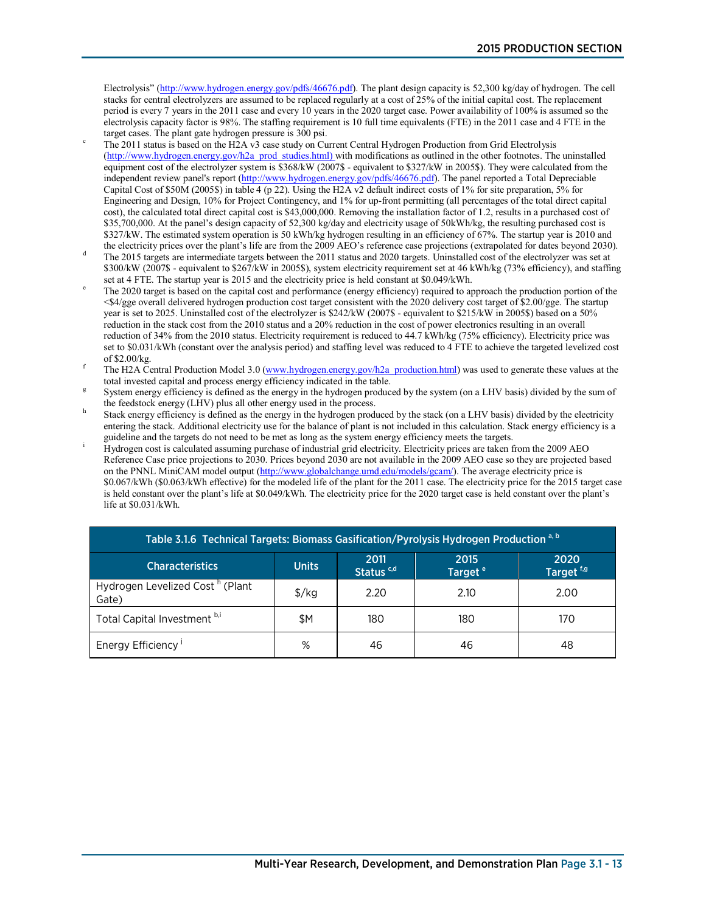Electrolysis" [\(http://www.hydrogen.energy.gov/pdfs/46676.pdf\)](http://www.hydrogen.energy.gov/pdfs/46676.pdf). The plant design capacity is 52,300 kg/day of hydrogen. The cell stacks for central electrolyzers are assumed to be replaced regularly at a cost of 25% of the initial capital cost. The replacement period is every 7 years in the 2011 case and every 10 years in the 2020 target case. Power availability of 100% is assumed so the electrolysis capacity factor is 98%. The staffing requirement is 10 full time equivalents (FTE) in the 2011 case and 4 FTE in the

- The 2011 status is based on the H2A v3 case study on Current Central Hydrogen Production from Grid Electrolysis [\(http://www.hydrogen.energy.gov/h2a\\_prod\\_studies.html\)](http://www.hydrogen.energy.gov/h2a_prod_studies.html) with modifications as outlined in the other footnotes. The uninstalled equipment cost of the electrolyzer system is  $$368/kW (2007$ - equivalent to $327/kW in 2005$).$  They were calculated from the independent review panel's report [\(http://www.hydrogen.energy.gov/pdfs/46676.pdf\)](http://www.hydrogen.energy.gov/pdfs/46676.pdf). The panel reported a Total Depreciable Capital Cost of  $$50M (2005\%)$  in table 4 (p 22). Using the H2A v2 default indirect costs of 1% for site preparation, 5% for Engineering and Design, 10% for Project Contingency, and 1% for up-front permitting (all percentages of the total direct capital cost), the calculated total direct capital cost is \$43,000,000. Removing the installation factor of 1.2, results in a purchased cost of \$35,700,000. At the panel's design capacity of 52,300 kg/day and electricity usage of 50kWh/kg, the resulting purchased cost is \$327/kW. The estimated system operation is 50 kWh/kg hydrogen resulting in an efficiency of 67%. The startup year is 2010 and
- the electricity prices over the plant's life are from the 2009 AEO's reference case projections (extrapolated for dates beyond 2030). The 2015 targets are intermediate targets between the 2011 status and 2020 targets. Uninstalled cost of the electrolyzer was set at \$300/kW (2007\$ - equivalent to \$267/kW in 2005\$), system electricity requirement set at 46 kWh/kg (73% efficiency), and staffing set at 4 FTE. The startup year is 2015 and the electricity price is held constant at \$0.049/kWh.
- The 2020 target is based on the capital cost and performance (energy efficiency) required to approach the production portion of the <\$4/gge overall delivered hydrogen production cost target consistent with the 2020 delivery cost target of \$2.00/gge. The startup year is set to 2025. Uninstalled cost of the electrolyzer is \$242/kW (2007\$ - equivalent to \$215/kW in 2005\$) based on a 50% reduction in the stack cost from the 2010 status and a 20% reduction in the cost of power electronics resulting in an overall reduction of 34% from the 2010 status. Electricity requirement is reduced to 44.7 kWh/kg (75% efficiency). Electricity price was set to \$0.031/kWh (constant over the analysis period) and staffing level was reduced to 4 FTE to achieve the targeted levelized cost of \$2.00/kg.
- The H2A Central Production Model 3.0 [\(www.hydrogen.energy.gov/h2a\\_production.html\)](http://www.hydrogen.energy.gov/h2a_production.html) was used to generate these values at the total invested capital and process energy efficiency indicated in the table.
- System energy efficiency is defined as the energy in the hydrogen produced by the system (on a LHV basis) divided by the sum of the feedstock energy (LHV) plus all other energy used in the process.
- Stack energy efficiency is defined as the energy in the hydrogen produced by the stack (on a LHV basis) divided by the electricity entering the stack. Additional electricity use for the balance of plant is not included in this calculation. Stack energy efficiency is a guideline and the targets do not need to be met as long as the system energy efficiency meets the targets. <sup>i</sup>
- Hydrogen cost is calculated assuming purchase of industrial grid electricity. Electricity prices are taken from the 2009 AEO Reference Case price projections to 2030. Prices beyond 2030 are not available in the 2009 AEO case so they are projected based on the PNNL MiniCAM model output [\(http://www.globalchange.umd.edu/models/gcam/\)](http://www.globalchange.umd.edu/models/gcam/). The average electricity price is \$0.067/kWh (\$0.063/kWh effective) for the modeled life of the plant for the 2011 case. The electricity price for the 2015 target case is held constant over the plant's life at \$0.049/kWh. The electricity price for the 2020 target case is held constant over the plant's life at \$0.031/kWh.

| Table 3.1.6 Technical Targets: Biomass Gasification/Pyrolysis Hydrogen Production <sup>a, b</sup>                                         |               |      |      |      |  |  |  |
|-------------------------------------------------------------------------------------------------------------------------------------------|---------------|------|------|------|--|--|--|
| 2020<br>$2011$<br>Status <sup>c,d</sup><br>2015<br><b>Units</b><br><b>Characteristics</b><br>Target <sup>f,g</sup><br>Target <sup>e</sup> |               |      |      |      |  |  |  |
| Hydrogen Levelized Cost <sup>h</sup> (Plant<br>Gate)                                                                                      | $\frac{f}{g}$ | 2.20 | 2.10 | 2.00 |  |  |  |
| Total Capital Investment b,i                                                                                                              | \$Μ           | 180  | 180  | 170  |  |  |  |
| Energy Efficiency <sup>1</sup>                                                                                                            | %             | 46   | 46   | 48   |  |  |  |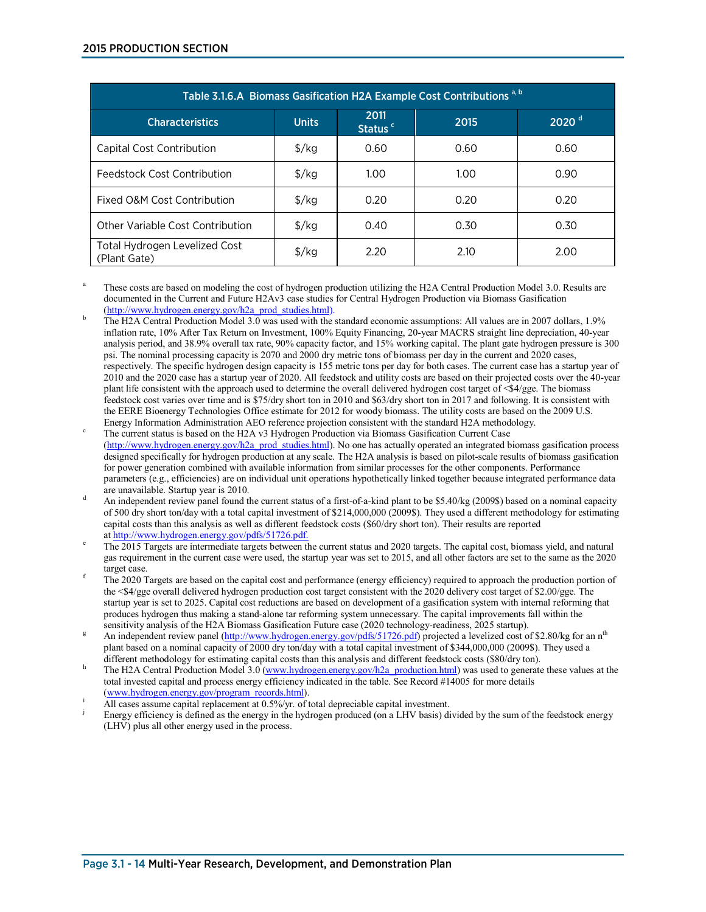| Table 3.1.6.A Biomass Gasification H2A Example Cost Contributions a, b |                     |      |      |      |  |  |
|------------------------------------------------------------------------|---------------------|------|------|------|--|--|
| <b>Characteristics</b>                                                 | $2020$ <sup>d</sup> |      |      |      |  |  |
| Capital Cost Contribution                                              | $\frac{f}{g}$       | 0.60 | 0.60 | 0.60 |  |  |
| Feedstock Cost Contribution                                            | $\frac{f}{g}$       | 1.00 | 1.00 | 0.90 |  |  |
| Fixed O&M Cost Contribution                                            | $\frac{f}{g}$       | 0.20 | 0.20 | 0.20 |  |  |
| Other Variable Cost Contribution                                       | $\frac{f}{g}$       | 0.40 | 0.30 | 0.30 |  |  |
| Total Hydrogen Levelized Cost<br>(Plant Gate)                          | $\frac{f}{g}$       | 2.20 | 2.10 | 2.00 |  |  |

These costs are based on modeling the cost of hydrogen production utilizing the H2A Central Production Model 3.0. Results are documented in the Current and Future H2Av3 case studies for Central Hydrogen Production via Biomass Gasification (http://www.hydrogen.energy.gov/h2a prod studies.html).

- The H2A Central Production Model 3.0 was used with the standard economic assumptions: All values are in 2007 dollars, 1.9% inflation rate, 10% After Tax Return on Investment, 100% Equity Financing, 20-year MACRS straight line depreciation, 40-year analysis period, and 38.9% overall tax rate, 90% capacity factor, and 15% working capital. The plant gate hydrogen pressure is 300 psi. The nominal processing capacity is 2070 and 2000 dry metric tons of biomass per day in the current and 2020 cases, respectively. The specific hydrogen design capacity is 155 metric tons per day for both cases. The current case has a startup year of 2010 and the 2020 case has a startup year of 2020. All feedstock and utility costs are based on their projected costs over the 40-year plant life consistent with the approach used to determine the overall delivered hydrogen cost target of <\$4/gge. The biomass feedstock cost varies over time and is \$75/dry short ton in 2010 and \$63/dry short ton in 2017 and following. It is consistent with the EERE Bioenergy Technologies Office estimate for 2012 for woody biomass. The utility costs are based on the 2009 U.S.
- Energy Information Administration AEO reference projection consistent with the standard H2A methodology. The current status is based on the H2A v3 Hydrogen Production via Biomass Gasification Current Case [\(http://www.hydrogen.energy.gov/h2a\\_prod\\_studies.html\)](http://www.hydrogen.energy.gov/h2a_prod_studies.html). No one has actually operated an integrated biomass gasification process designed specifically for hydrogen production at any scale. The H2A analysis is based on pilot-scale results of biomass gasification for power generation combined with available information from similar processes for the other components. Performance parameters (e.g., efficiencies) are on individual unit operations hypothetically linked together because integrated performance data
- are unavailable. Startup year is 2010.<br>An independent review panel found the current status of a first-of-a-kind plant to be \$5.40/kg (2009\$) based on a nominal capacity of 500 dry short ton/day with a total capital investment of \$214,000,000 (2009\$). They used a different methodology for estimating capital costs than this analysis as well as different feedstock costs (\$60/dry short ton). Their results are reported at http://www.hydrogen.energy.gov/pdfs/51726.pdf.
- The 2015 Targets are intermediate targets between the current status and 2020 targets. The capital cost, biomass yield, and natural gas requirement in the current case were used, the startup year was set to 2015, and all other factors are set to the same as the 2020
- The 2020 Targets are based on the capital cost and performance (energy efficiency) required to approach the production portion of the <\$4/gge overall delivered hydrogen production cost target consistent with the 2020 delivery cost target of \$2.00/gge. The startup year is set to 2025. Capital cost reductions are based on development of a gasification system with internal reforming that produces hydrogen thus making a stand-alone tar reforming system unnecessary. The capital improvements fall within the sensitivity analysis of the H2A Biomass Gasification Future case (2020 technology-readiness, 2025 start
- An independent review panel [\(http://www.hydrogen.energy.gov/pdfs/51726.pdf\)](http://www.hydrogen.energy.gov/pdfs/51726.pdf) projected a levelized cost of \$2.80/kg for an n<sup>th</sup> plant based on a nominal capacity of 2000 dry ton/day with a total capital investment of \$344,000,000 (2009\$). They used a different methodology for estimating capital costs than this analysis and different feedstock costs
- The H2A Central Production Model 3.0 (www.hydrogen.energy.gov/h2a production.html) was used to generate these values at the total invested capital and process energy efficiency indicated in the table. See Record #14005 for more details
- [\(www.hydrogen.energy.gov/program\\_records.html\)](http://www.hydrogen.energy.gov/program_records.html).<br>All cases assume capital replacement at  $0.5\frac{\cancel{0}}{\cancel{0}}$ , of total depreciable capital investment.
- Energy efficiency is defined as the energy in the hydrogen produced (on a LHV basis) divided by the sum of the feedstock energy (LHV) plus all other energy used in the process.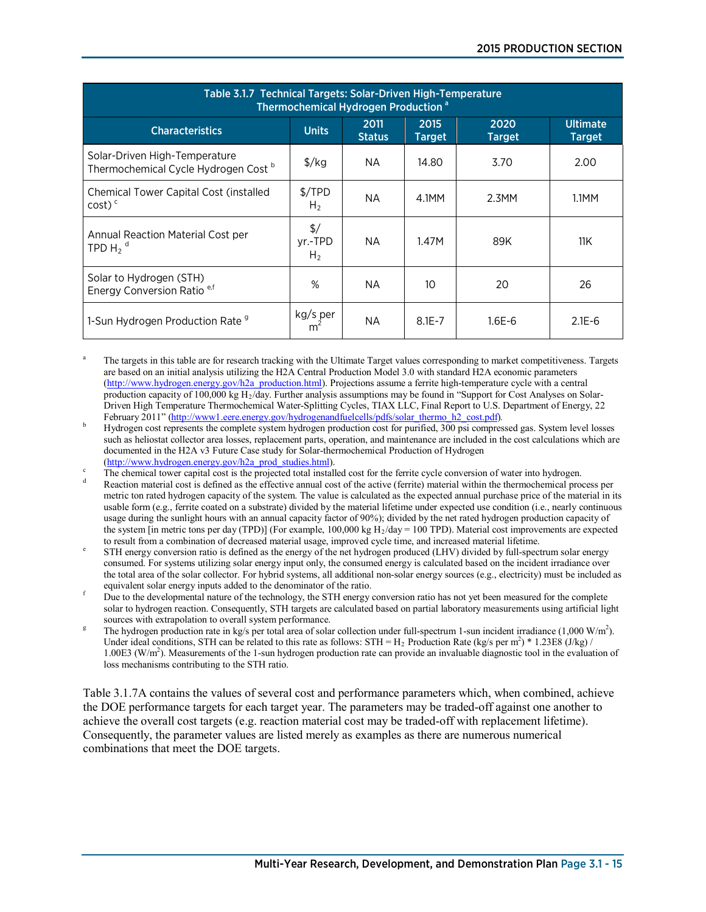| Table 3.1.7 Technical Targets: Solar-Driven High-Temperature<br>Thermochemical Hydrogen Production <sup>a</sup> |                                            |                       |                       |                       |                                  |  |
|-----------------------------------------------------------------------------------------------------------------|--------------------------------------------|-----------------------|-----------------------|-----------------------|----------------------------------|--|
| <b>Characteristics</b>                                                                                          | <b>Units</b>                               | 2011<br><b>Status</b> | 2015<br><b>Target</b> | 2020<br><b>Target</b> | <b>Ultimate</b><br><b>Target</b> |  |
| Solar-Driven High-Temperature<br>Thermochemical Cycle Hydrogen Cost b                                           | $\frac{\sqrt{2}}{2}$                       | NA.                   | 14.80                 | 3.70                  | 2.00                             |  |
| Chemical Tower Capital Cost (installed<br>$cost)$ <sup>c</sup>                                                  | $\frac{5}{TPD}$<br>H <sub>2</sub>          | NA.                   | 4.1MM                 | $2.3$ MM              | 1.1MM                            |  |
| Annual Reaction Material Cost per<br>TPD H <sub>2</sub> <sup>d</sup>                                            | $\frac{1}{2}$<br>yr.-TPD<br>H <sub>2</sub> | <b>NA</b>             | 1.47M                 | 89K                   | 11K                              |  |
| Solar to Hydrogen (STH)<br>Energy Conversion Ratio <sup>e,f</sup>                                               | %                                          | <b>NA</b>             | 10                    | 20                    | 26                               |  |
| 1-Sun Hydrogen Production Rate <sup>9</sup>                                                                     | kg/s per<br>m <sup>2</sup>                 | ΝA                    | $8.1E - 7$            | 1.6E-6                | $2.1E - 6$                       |  |

The targets in this table are for research tracking with the Ultimate Target values corresponding to market competitiveness. Targets are based on an initial analysis utilizing the H2A Central Production Model 3.0 with standard H2A economic parameters [\(http://www.hydrogen.energy.gov/h2a\\_production.html\)](http://www.hydrogen.energy.gov/h2a_production.html). Projections assume a ferrite high-temperature cycle with a central production capacity of 100,000 kg H<sub>2</sub>/day. Further analysis assumptions may be found in "Support for Cost Analyses on Solar-Driven High Temperature Thermochemical Water-Splitting Cycles, TIAX LLC, Final Report to U.S. Department of Energy, 22 February 2011" [\(http://www1.eere.energy.gov/hydrogenandfuelcells/pdfs/solar\\_thermo\\_h2\\_cost.pdf\)](http://www1.eere.energy.gov/hydrogenandfuelcells/pdfs/solar_thermo_h2_cost.pdf).

 Hydrogen cost represents the complete system hydrogen production cost for purified, 300 psi compressed gas. System level losses such as heliostat collector area losses, replacement parts, operation, and maintenance are included in the cost calculations which are documented in the H2A v3 Future Case study for Solar-thermochemical Production of Hydrogen

[\(http://www.hydrogen.energy.gov/h2a\\_prod\\_studies.html\)](http://www.hydrogen.energy.gov/h2a_prod_studies.html).<br>The chemical tower capital cost is the projected total installed cost for the ferrite cycle conversion of water into hydrogen.

Reaction material cost is defined as the effective annual cost of the active (ferrite) material within the thermochemical process per metric ton rated hydrogen capacity of the system. The value is calculated as the expected annual purchase price of the material in its usable form (e.g., ferrite coated on a substrate) divided by the material lifetime under expected use condition (i.e., nearly continuous usage during the sunlight hours with an annual capacity factor of 90%); divided by the net rated hydrogen production capacity of the system [in metric tons per day (TPD)] (For example,  $100,000$  kg H<sub>2</sub>/day = 100 TPD). Material cost improvements are expected to result from a combination of decreased material usage, improved cycle time, and increased material lifetime.

 STH energy conversion ratio is defined as the energy of the net hydrogen produced (LHV) divided by full-spectrum solar energy consumed. For systems utilizing solar energy input only, the consumed energy is calculated based on the incident irradiance over the total area of the solar collector. For hybrid systems, all additional non-solar energy sources (e.g., electricity) must be included as equivalent solar energy inputs added to the denominator of the ratio.

 Due to the developmental nature of the technology, the STH energy conversion ratio has not yet been measured for the complete solar to hydrogen reaction. Consequently, STH targets are calculated based on partial laboratory measurements using artificial light sources with extrapolation to overall system performance.

The hydrogen production rate in kg/s per total area of solar collection under full-spectrum 1-sun incident irradiance  $(1,000 \text{ W/m}^2)$ . Under ideal conditions, STH can be related to this rate as follows: STH =  $H_2$  Production Rate (kg/s per m<sup>2</sup>) \* 1.23E8 (J/kg) / 1.00E3 (W/m<sup>2</sup>). Measurements of the 1-sun hydrogen production rate can provide an invaluable diagnostic tool in the evaluation of loss mechanisms contributing to the STH ratio.

Table 3.1.7A contains the values of several cost and performance parameters which, when combined, achieve the DOE performance targets for each target year. The parameters may be traded-off against one another to achieve the overall cost targets (e.g. reaction material cost may be traded-off with replacement lifetime). Consequently, the parameter values are listed merely as examples as there are numerous numerical combinations that meet the DOE targets.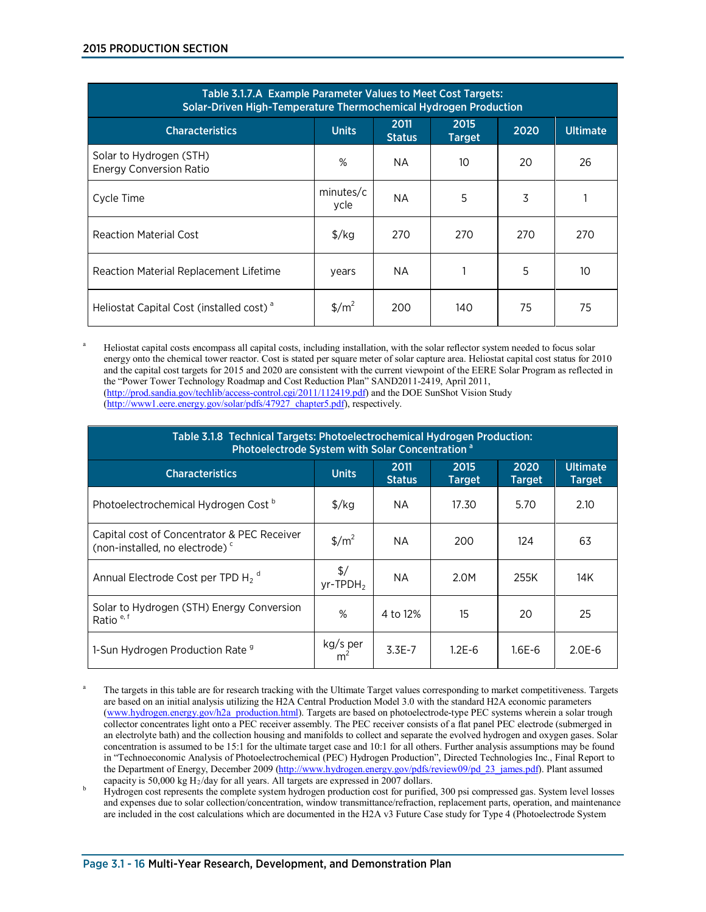| Table 3.1.7.A Example Parameter Values to Meet Cost Targets:<br>Solar-Driven High-Temperature Thermochemical Hydrogen Production |                                 |                       |                       |      |                 |
|----------------------------------------------------------------------------------------------------------------------------------|---------------------------------|-----------------------|-----------------------|------|-----------------|
| <b>Characteristics</b>                                                                                                           | <b>Units</b>                    | 2011<br><b>Status</b> | 2015<br><b>Target</b> | 2020 | <b>Ultimate</b> |
| Solar to Hydrogen (STH)<br><b>Energy Conversion Ratio</b>                                                                        | %                               | NA                    | 10                    | 20   | 26              |
| Cycle Time                                                                                                                       | minutes/c<br>ycle               | <b>NA</b>             | 5                     | 3    |                 |
| Reaction Material Cost                                                                                                           | $\frac{f}{g}$                   | 270                   | 270                   | 270  | 270             |
| Reaction Material Replacement Lifetime                                                                                           | years                           | <b>NA</b>             |                       | 5    | 10              |
| Heliostat Capital Cost (installed cost) <sup>a</sup>                                                                             | $\frac{\text{m}^2}{\text{m}^2}$ | 200                   | 140                   | 75   | 75              |

Heliostat capital costs encompass all capital costs, including installation, with the solar reflector system needed to focus solar energy onto the chemical tower reactor. Cost is stated per square meter of solar capture area. Heliostat capital cost status for 2010 and the capital cost targets for 2015 and 2020 are consistent with the current viewpoint of the EERE Solar Program as reflected in the "Power Tower Technology Roadmap and Cost Reduction Plan" SAND2011-2419, April 2011, [\(http://prod.sandia.gov/techlib/access-control.cgi/2011/112419.pdf\)](http://prod.sandia.gov/techlib/access-control.cgi/2011/112419.pdf) and the DOE SunShot Vision Study [\(http://www1.eere.energy.gov/solar/pdfs/47927\\_chapter5.pdf\)](http://www1.eere.energy.gov/solar/pdfs/47927_chapter5.pdf), respectively.

| Table 3.1.8 Technical Targets: Photoelectrochemical Hydrogen Production:<br>Photoelectrode System with Solar Concentration <sup>a</sup> |                                          |                       |                       |                       |                                  |
|-----------------------------------------------------------------------------------------------------------------------------------------|------------------------------------------|-----------------------|-----------------------|-----------------------|----------------------------------|
| <b>Characteristics</b>                                                                                                                  | <b>Units</b>                             | 2011<br><b>Status</b> | 2015<br><b>Target</b> | 2020<br><b>Target</b> | <b>Ultimate</b><br><b>Target</b> |
| Photoelectrochemical Hydrogen Cost <sup>b</sup>                                                                                         | $\frac{1}{2}$ /kg                        | NA.                   | 17.30                 | 5.70                  | 2.10                             |
| Capital cost of Concentrator & PEC Receiver<br>(non-installed, no electrode) <sup>c</sup>                                               | $\frac{\text{m}^2}{\text{m}^2}$          | <b>NA</b>             | 200                   | 124                   | 63                               |
| Annual Electrode Cost per TPD H <sub>2</sub> <sup>d</sup>                                                                               | $\frac{2}{3}$<br>$yr$ -TPDH <sub>2</sub> | <b>NA</b>             | 2.0M                  | 255K                  | 14K                              |
| Solar to Hydrogen (STH) Energy Conversion<br>Ratio <sup>e, f</sup>                                                                      | %                                        | 4 to 12%              | 15                    | 20                    | 25                               |
| 1-Sun Hydrogen Production Rate <sup>9</sup>                                                                                             | kg/s per                                 | $3.3E-7$              | $1.2E - 6$            | $1.6E-6$              | $2.0E-6$                         |

<sup>a</sup> The targets in this table are for research tracking with the Ultimate Target values corresponding to market competitiveness. Targets are based on an initial analysis utilizing the H2A Central Production Model 3.0 with the standard H2A economic parameters [\(www.hydrogen.energy.gov/h2a\\_production.html\)](http://www.hydrogen.energy.gov/h2a_production.html). Targets are based on photoelectrode-type PEC systems wherein a solar trough collector concentrates light onto a PEC receiver assembly. The PEC receiver consists of a flat panel PEC electrode (submerged in an electrolyte bath) and the collection housing and manifolds to collect and separate the evolved hydrogen and oxygen gases. Solar concentration is assumed to be 15:1 for the ultimate target case and 10:1 for all others. Further analysis assumptions may be found in "Technoeconomic Analysis of Photoelectrochemical (PEC) Hydrogen Production", Directed Technologies Inc., Final Report to the Department of Energy, December 2009 [\(http://www.hydrogen.energy.gov/pdfs/review09/pd\\_23\\_james.pdf\)](http://www.hydrogen.energy.gov/pdfs/review09/pd_23_james.pdf). Plant assumed capacity is 50,000 kg H<sub>2</sub>/day for all years. All targets are expressed in 2007 dollars.

Hydrogen cost represents the complete system hydrogen production cost for purified, 300 psi compressed gas. System level losses and expenses due to solar collection/concentration, window transmittance/refraction, replacement parts, operation, and maintenance are included in the cost calculations which are documented in the H2A v3 Future Case study for Type 4 (Photoelectrode System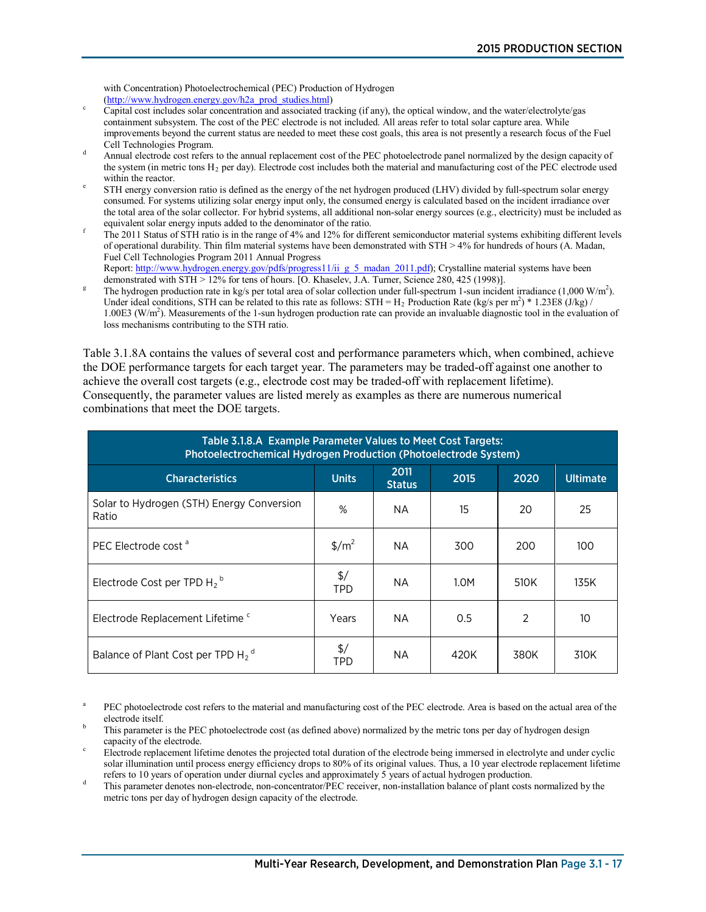with Concentration) Photoelectrochemical (PEC) Production of Hydrogen

- [\(http://www.hydrogen.energy.gov/h2a\\_prod\\_studies.html\)](http://www.hydrogen.energy.gov/h2a_prod_studies.html) Capital cost includes solar concentration and associated tracking (if any), the optical window, and the water/electrolyte/gas containment subsystem. The cost of the PEC electrode is not included. All areas refer to total solar capture area. While improvements beyond the current status are needed to meet these cost goals, this area is not presently a research focus of the Fuel
- Cell Technologies Program.<br>d Annual electrode cost refers to the annual replacement cost of the PEC photoelectrode panel normalized by the design capacity of the system (in metric tons  $H_2$  per day). Electrode cost includes both the material and manufacturing cost of the PEC electrode used within the reactor.
- STH energy conversion ratio is defined as the energy of the net hydrogen produced (LHV) divided by full-spectrum solar energy consumed. For systems utilizing solar energy input only, the consumed energy is calculated based on the incident irradiance over the total area of the solar collector. For hybrid systems, all additional non-solar energy sources (e.g., electricity) must be included as
- The 2011 Status of STH ratio is in the range of 4% and 12% for different semiconductor material systems exhibiting different levels of operational durability. Thin film material systems have been demonstrated with STH > 4% for hundreds of hours (A. Madan, Fuel Cell Technologies Program 2011 Annual Progress Report: http://www.hydrogen.energy.gov/pdfs/progress11/ii g\_5\_madan\_2011.pdf); Crystalline material systems have been
- demonstrated with STH > 12% for tens of hours. [O. Khaselev, J.A. Turner, Science 280, 425 (1998)]. The hydrogen production rate in kg/s per total area of solar collection under full-spectrum 1-sun incident irradiance  $(1,000 \text{ W/m}^2)$ . Under ideal conditions, STH can be related to this rate as follows: STH = H<sub>2</sub> Production Rate (kg/s per m<sup>2</sup>) \* 1.23E8 (J/kg) / 1.00E3 (W/m<sup>2</sup>). Measurements of the 1-sun hydrogen production rate can provide an invaluable diagnostic tool in the evaluation of loss mechanisms contributing to the STH ratio.

Table 3.1.8A contains the values of several cost and performance parameters which, when combined, achieve the DOE performance targets for each target year. The parameters may be traded-off against one another to achieve the overall cost targets (e.g., electrode cost may be traded-off with replacement lifetime). Consequently, the parameter values are listed merely as examples as there are numerous numerical combinations that meet the DOE targets.

| Table 3.1.8.A Example Parameter Values to Meet Cost Targets:<br>Photoelectrochemical Hydrogen Production (Photoelectrode System) |                                 |                       |      |      |                 |
|----------------------------------------------------------------------------------------------------------------------------------|---------------------------------|-----------------------|------|------|-----------------|
| <b>Characteristics</b>                                                                                                           | <b>Units</b>                    | 2011<br><b>Status</b> | 2015 | 2020 | <b>Ultimate</b> |
| Solar to Hydrogen (STH) Energy Conversion<br>Ratio                                                                               | %                               | <b>NA</b>             | 15   | 20   | 25              |
| PEC Electrode cost <sup>a</sup>                                                                                                  | $\frac{\text{m}^2}{\text{m}^2}$ | <b>NA</b>             | 300  | 200  | 100             |
| Electrode Cost per TPD H <sub>2</sub> <sup>b</sup>                                                                               | $\frac{1}{2}$<br>TPD            | <b>NA</b>             | 1.0M | 510K | 135K            |
| Electrode Replacement Lifetime <sup>c</sup>                                                                                      | Years                           | NА                    | 0.5  | 2    | 10              |
| Balance of Plant Cost per TPD H <sub>2</sub> <sup>d</sup>                                                                        | \$/<br>TPD                      | NА                    | 420K | 380K | 310K            |

PEC photoelectrode cost refers to the material and manufacturing cost of the PEC electrode. Area is based on the actual area of the electrode itself.<br>This parameter is the PEC photoelectrode cost (as defined above) normalized by the metric tons per day of hydrogen design

capacity of the electrode.<br>Electrode replacement lifetime denotes the projected total duration of the electrode being immersed in electrolyte and under cyclic

solar illumination until process energy efficiency drops to 80% of its original values. Thus, a 10 year electrode replacement lifetime

refers to 10 years of operation under diurnal cycles and approximately 5 years of actual hydrogen production.<br>This parameter denotes non-electrode, non-concentrator/PEC receiver, non-installation balance of plant costs nor metric tons per day of hydrogen design capacity of the electrode.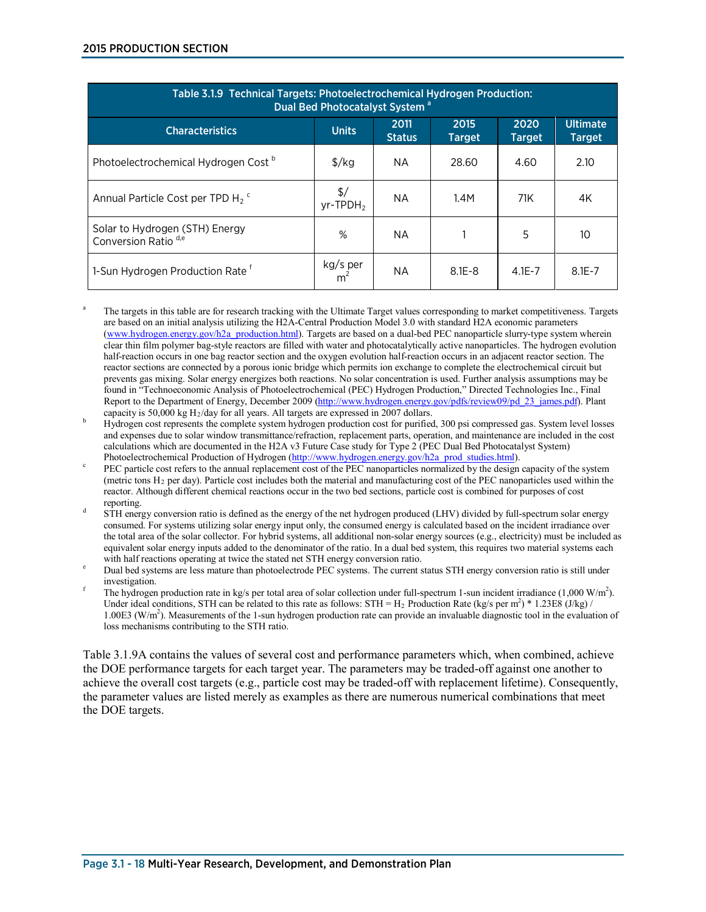| Table 3.1.9 Technical Targets: Photoelectrochemical Hydrogen Production:<br>Dual Bed Photocatalyst System <sup>a</sup> |                                          |                       |                       |                       |                                  |
|------------------------------------------------------------------------------------------------------------------------|------------------------------------------|-----------------------|-----------------------|-----------------------|----------------------------------|
| <b>Characteristics</b>                                                                                                 | <b>Units</b>                             | 2011<br><b>Status</b> | 2015<br><b>Target</b> | 2020<br><b>Target</b> | <b>Ultimate</b><br><b>Target</b> |
| Photoelectrochemical Hydrogen Cost <sup>b</sup>                                                                        | $\frac{\sqrt{2}}{2}$                     | NA.                   | 28.60                 | 4.60                  | 2.10                             |
| Annual Particle Cost per TPD H <sub>2</sub> <sup>c</sup>                                                               | $\frac{1}{2}$<br>$yr$ -TPDH <sub>2</sub> | <b>NA</b>             | 1.4M                  | 71K                   | 4K                               |
| Solar to Hydrogen (STH) Energy<br>Conversion Ratio <sup>d,e</sup>                                                      | %                                        | NA.                   |                       | 5                     | 10                               |
| 1-Sun Hydrogen Production Rate <sup>f</sup>                                                                            | kg/s per                                 | NA.                   | $8.1E - 8$            | $4.1E - 7$            | $8.1E - 7$                       |

<sup>a</sup> The targets in this table are for research tracking with the Ultimate Target values corresponding to market competitiveness. Targets are based on an initial analysis utilizing the H2A-Central Production Model 3.0 with standard H2A economic parameters [\(www.hydrogen.energy.gov/h2a\\_production.html\)](http://www.hydrogen.energy.gov/h2a_production.html). Targets are based on a dual-bed PEC nanoparticle slurry-type system wherein clear thin film polymer bag-style reactors are filled with water and photocatalytically active nanoparticles. The hydrogen evolution half-reaction occurs in one bag reactor section and the oxygen evolution half-reaction occurs in an adjacent reactor section. The reactor sections are connected by a porous ionic bridge which permits ion exchange to complete the electrochemical circuit but prevents gas mixing. Solar energy energizes both reactions. No solar concentration is used. Further analysis assumptions may be found in "Technoeconomic Analysis of Photoelectrochemical (PEC) Hydrogen Production," Directed Technologies Inc., Final Report to the Department of Energy, December 2009 [\(http://www.hydrogen.energy.gov/pdfs/review09/pd\\_23\\_james.pdf\)](http://www.hydrogen.energy.gov/pdfs/review09/pd_23_james.pdf). Plant capacity is 50,000 kg H<sub>2</sub>/day for all years. All targets are expressed in 2007 dollars.

- Hydrogen cost represents the complete system hydrogen production cost for purified, 300 psi compressed gas. System level losses and expenses due to solar window transmittance/refraction, replacement parts, operation, and maintenance are included in the cost calculations which are documented in the H2A v3 Future Case study for Type 2 (PEC Dual Bed Photocatalyst System)
- Photoelectrochemical Production of Hydrogen [\(http://www.hydrogen.energy.gov/h2a\\_prod\\_studies.html\)](http://www.hydrogen.energy.gov/h2a_prod_studies.html).<br>PEC particle cost refers to the annual replacement cost of the PEC nanoparticles normalized by the design capacity of the (metric tons  $H_2$  per day). Particle cost includes both the material and manufacturing cost of the PEC nanoparticles used within the reactor. Although different chemical reactions occur in the two bed sections, particle cost is combined for purposes of cost
- reporting.<br>STH energy conversion ratio is defined as the energy of the net hydrogen produced (LHV) divided by full-spectrum solar energy consumed. For systems utilizing solar energy input only, the consumed energy is calculated based on the incident irradiance over the total area of the solar collector. For hybrid systems, all additional non-solar energy sources (e.g., electricity) must be included as equivalent solar energy inputs added to the denominator of the ratio. In a dual bed system, this requires two material systems each

with half reactions operating at twice the stated net STH energy conversion ratio.<br>Dual bed systems are less mature than photoelectrode PEC systems. The current status STH energy conversion ratio is still under investigation.

The hydrogen production rate in kg/s per total area of solar collection under full-spectrum 1-sun incident irradiance  $(1,000 \text{ W/m}^2)$ . Under ideal conditions, STH can be related to this rate as follows: STH =  $H_2$  Production Rate (kg/s per m<sup>2</sup>) \* 1.23E8 (J/kg) / 1.00E3 (W/m<sup>2</sup>). Measurements of the 1-sun hydrogen production rate can provide an invaluable diagnostic tool in the evaluation of loss mechanisms contributing to the STH ratio.

Table 3.1.9A contains the values of several cost and performance parameters which, when combined, achieve the DOE performance targets for each target year. The parameters may be traded-off against one another to achieve the overall cost targets (e.g., particle cost may be traded-off with replacement lifetime). Consequently, the parameter values are listed merely as examples as there are numerous numerical combinations that meet the DOE targets.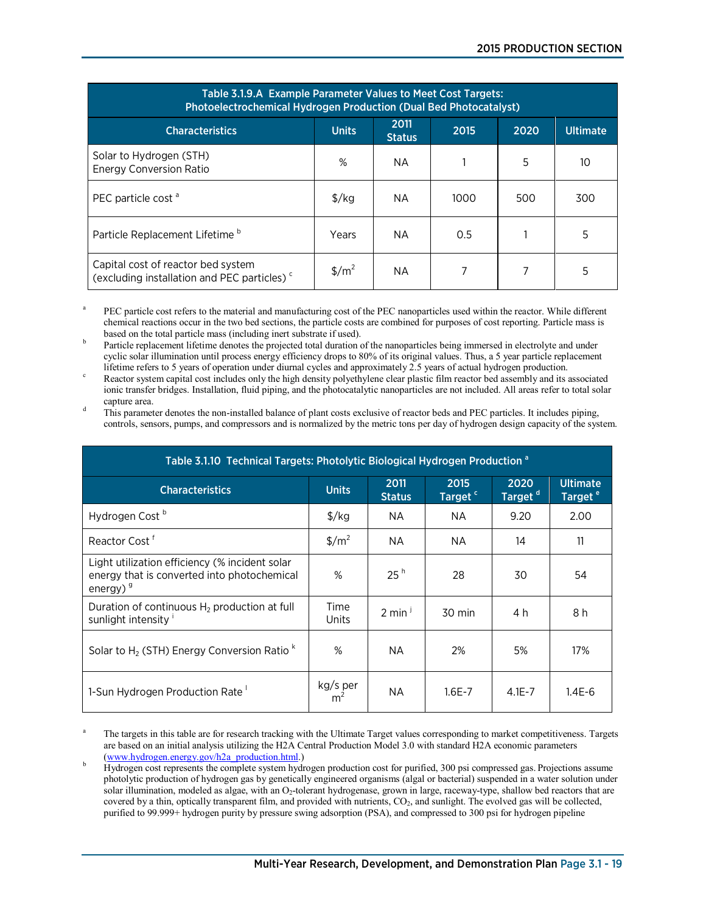| Table 3.1.9.A Example Parameter Values to Meet Cost Targets:<br>Photoelectrochemical Hydrogen Production (Dual Bed Photocatalyst) |                                 |                       |      |      |                 |
|-----------------------------------------------------------------------------------------------------------------------------------|---------------------------------|-----------------------|------|------|-----------------|
| <b>Characteristics</b>                                                                                                            | <b>Units</b>                    | 2011<br><b>Status</b> | 2015 | 2020 | <b>Ultimate</b> |
| Solar to Hydrogen (STH)<br><b>Energy Conversion Ratio</b>                                                                         | %                               | ΝA                    |      | 5    | 10              |
| PEC particle cost <sup>a</sup>                                                                                                    | $\frac{f}{g}$                   | NA.                   | 1000 | 500  | 300             |
| Particle Replacement Lifetime <sup>b</sup>                                                                                        | Years                           | NА                    | 0.5  |      | 5               |
| Capital cost of reactor bed system<br>(excluding installation and PEC particles) <sup>c</sup>                                     | $\frac{\text{m}^2}{\text{m}^2}$ | NА                    |      | 7    | 5               |

PEC particle cost refers to the material and manufacturing cost of the PEC nanoparticles used within the reactor. While different chemical reactions occur in the two bed sections, the particle costs are combined for purposes of cost reporting. Particle mass is based on the total particle mass (including inert substrate if used).

Particle replacement lifetime denotes the projected total duration of the nanoparticles being immersed in electrolyte and under cyclic solar illumination until process energy efficiency drops to 80% of its original values. Thus, a 5 year particle replacement lifetime refers to 5 years of operation under diurnal cycles and approximately 2.5 years of

Reactor system capital cost includes only the high density polyethylene clear plastic film reactor bed assembly and its associated ionic transfer bridges. Installation, fluid piping, and the photocatalytic nanoparticles are not included. All areas refer to total solar

capture area.<br>d This parameter denotes the non-installed balance of plant costs exclusive of reactor beds and PEC particles. It includes piping, controls, sensors, pumps, and compressors and is normalized by the metric tons per day of hydrogen design capacity of the system.

| Table 3.1.10 Technical Targets: Photolytic Biological Hydrogen Production <sup>a</sup>                       |                                 |                       |                             |                             |                                        |
|--------------------------------------------------------------------------------------------------------------|---------------------------------|-----------------------|-----------------------------|-----------------------------|----------------------------------------|
| <b>Characteristics</b>                                                                                       | <b>Units</b>                    | 2011<br><b>Status</b> | 2015<br>Target <sup>c</sup> | 2020<br>Target <sup>d</sup> | <b>Ultimate</b><br>Target <sup>e</sup> |
| Hydrogen Cost <sup>b</sup>                                                                                   | $\frac{\sqrt{2}}{2}$            | NA.                   | <b>NA</b>                   | 9.20                        | 2.00                                   |
| Reactor Cost <sup>f</sup>                                                                                    | $\frac{\text{m}^2}{\text{m}^2}$ | NA.                   | NA<br>14                    |                             | 11                                     |
| Light utilization efficiency (% incident solar<br>energy that is converted into photochemical<br>energy) $9$ | %                               | 25 <sup>h</sup>       | 28                          | 30                          | 54                                     |
| Duration of continuous $H_2$ production at full<br>sunlight intensity                                        | Time<br>Units                   | $2 \text{ min}^3$     | 30 min                      | 4 h                         | 8 h                                    |
| Solar to $H_2$ (STH) Energy Conversion Ratio $k$                                                             | %<br>2%<br>5%<br>NA.            |                       |                             | 17%                         |                                        |
| 1-Sun Hydrogen Production Rate                                                                               | kg/s per                        | <b>NA</b>             | $1.6E - 7$                  | $4.1E - 7$                  | 1.4E-6                                 |

The targets in this table are for research tracking with the Ultimate Target values corresponding to market competitiveness. Targets are based on an initial analysis utilizing the H2A Central Production Model 3.0 with standard H2A economic parameters

[<sup>\(</sup>www.hydrogen.energy.gov/h2a\\_production.html.](http://www.hydrogen.energy.gov/h2a_production.html))<br> Hydrogen cost represents the complete system hydrogen production cost for purified, 300 psi compressed gas. Projections assume photolytic production of hydrogen gas by genetically engineered organisms (algal or bacterial) suspended in a water solution under solar illumination, modeled as algae, with an  $O<sub>2</sub>$ -tolerant hydrogenase, grown in large, raceway-type, shallow bed reactors that are covered by a thin, optically transparent film, and provided with nutrients, CO<sub>2</sub>, and sunlight. The evolved gas will be collected, purified to 99.999+ hydrogen purity by pressure swing adsorption (PSA), and compressed to 300 psi for hydrogen pipeline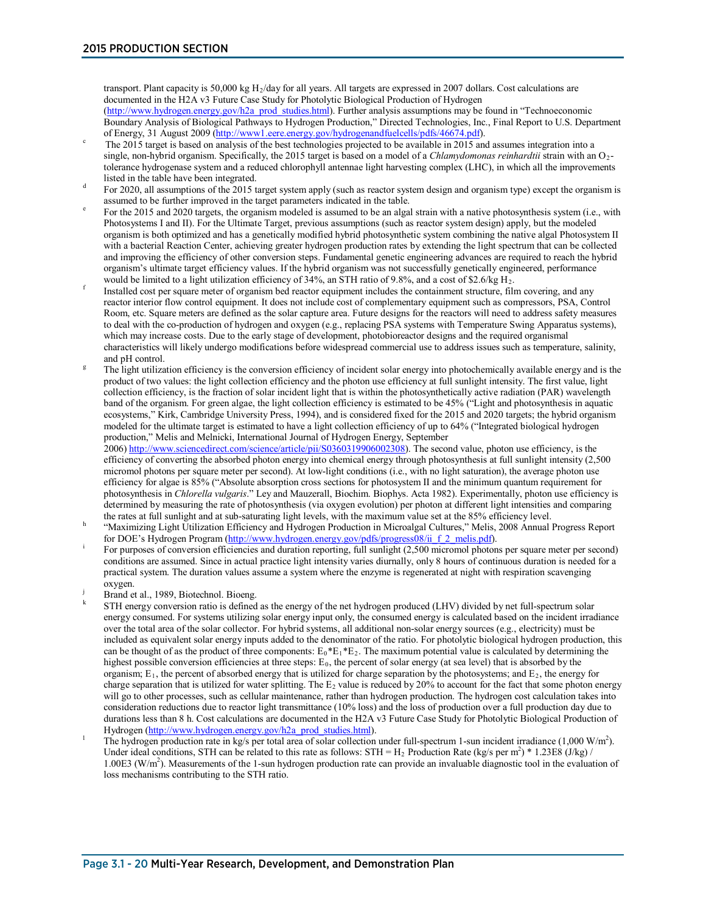transport. Plant capacity is 50,000 kg  $H_2$ /day for all years. All targets are expressed in 2007 dollars. Cost calculations are documented in the H2A v3 Future Case Study for Photolytic Biological Production of Hydrogen [\(http://www.hydrogen.energy.gov/h2a\\_prod\\_studies.html\)](http://www.hydrogen.energy.gov/h2a_prod_studies.html). Further analysis assumptions may be found in "Technoeconomic Boundary Analysis of Biological Pathways to Hydrogen Production," Directed Technologies, Inc., Final Report to U.S. Department of Energy, 31 August 2009 (http://www1.eere.energy.gov/hydrogenandfuelcells/pdfs/46674.pdf).

- The 2015 target is based on analysis of the best technologies projected to be available in 2015 and assumes integration into a single, non-hybrid organism. Specifically, the 2015 target is based on a model of a *Chlamydomonas reinhardtii* strain with an O<sub>2</sub>tolerance hydrogenase system and a reduced chlorophyll antennae light harvesting complex (LHC), in which all the improvements
- For 2020, all assumptions of the 2015 target system apply (such as reactor system design and organism type) except the organism is assumed to be further improved in the target parameters indicated in the table.
- For the 2015 and 2020 targets, the organism modeled is assumed to be an algal strain with a native photosynthesis system (i.e., with Photosystems I and II). For the Ultimate Target, previous assumptions (such as reactor system design) apply, but the modeled organism is both optimized and has a genetically modified hybrid photosynthetic system combining the native algal Photosystem II with a bacterial Reaction Center, achieving greater hydrogen production rates by extending the light spectrum that can be collected and improving the efficiency of other conversion steps. Fundamental genetic engineering advances are required to reach the hybrid organism's ultimate target efficiency values. If the hybrid organism was not successfully genetically engineered, performance would be limited to a light utilization efficiency of 34%, an STH ratio of 9.8%, and a cost of
- Installed cost per square meter of organism bed reactor equipment includes the containment structure, film covering, and any reactor interior flow control equipment. It does not include cost of complementary equipment such as compressors, PSA, Control Room, etc. Square meters are defined as the solar capture area. Future designs for the reactors will need to address safety measures to deal with the co-production of hydrogen and oxygen (e.g., replacing PSA systems with Temperature Swing Apparatus systems), which may increase costs. Due to the early stage of development, photobioreactor designs and the required organismal characteristics will likely undergo modifications before widespread commercial use to address issues such as temperature, salinity, and pH control.<br>The light utilization efficiency is the conversion efficiency of incident solar energy into photochemically available energy and is the
- product of two values: the light collection efficiency and the photon use efficiency at full sunlight intensity. The first value, light collection efficiency, is the fraction of solar incident light that is within the photosynthetically active radiation (PAR) wavelength band of the organism. For green algae, the light collection efficiency is estimated to be 45% ("Light and photosynthesis in aquatic ecosystems," Kirk, Cambridge University Press, 1994), and is considered fixed for the 2015 and 2020 targets; the hybrid organism modeled for the ultimate target is estimated to have a light collection efficiency of up to 64% ("Integrated biological hydrogen production," Melis and Melnicki, International Journal of Hydrogen Energy, September

2006) [http://www.sciencedirect.com/science/article/pii/S0360319906002308\)](http://www.sciencedirect.com/science/article/pii/S0360319906002308). The second value, photon use efficiency, is the efficiency of converting the absorbed photon energy into chemical energy through photosynthesis at full sunlight intensity (2,500 micromol photons per square meter per second). At low-light conditions (i.e., with no light saturation), the average photon use efficiency for algae is 85% ("Absolute absorption cross sections for photosystem II and the minimum quantum requirement for photosynthesis in *Chlorella vulgaris*." Ley and Mauzerall, Biochim. Biophys. Acta 1982). Experimentally, photon use efficiency is determined by measuring the rate of photosynthesis (via oxygen evolution) per photon at different light intensities and comparing

- the rates at full sunlight and at sub-saturating light levels, with the maximum value set at the 85% efficiency level.<br>
"Maximizing Light Utilization Efficiency and Hydrogen Production in Microalgal Cultures," Melis, 2008
- For purposes of conversion efficiencies and duration reporting, full sunlight (2,500 micromol photons per square meter per second) conditions are assumed. Since in actual practice light intensity varies diurnally, only 8 hours of continuous duration is needed for a practical system. The duration values assume a system where the enzyme is regenerated at night with respiration scavenging oxygen.
- 
- Brand et al., 1989, Biotechnol. Bioeng.<br>STH energy conversion ratio is defined as the energy of the net hydrogen produced (LHV) divided by net full-spectrum solar energy consumed. For systems utilizing solar energy input only, the consumed energy is calculated based on the incident irradiance over the total area of the solar collector. For hybrid systems, all additional non-solar energy sources (e.g., electricity) must be included as equivalent solar energy inputs added to the denominator of the ratio. For photolytic biological hydrogen production, this can be thought of as the product of three components:  $E_0*E_1*E_2$ . The maximum potential value is calculated by determining the highest possible conversion efficiencies at three steps:  $E_0$ , the percent of solar energy (at sea level) that is absorbed by the organism;  $E_1$ , the percent of absorbed energy that is utilized for charge separation by the photosystems; and  $E_2$ , the energy for charge separation that is utilized for water splitting. The  $E_2$  value is reduced by 20% to account for the fact that some photon energy will go to other processes, such as cellular maintenance, rather than hydrogen production. The hydrogen cost calculation takes into consideration reductions due to reactor light transmittance (10% loss) and the loss of production over a full production day due to durations less than 8 h. Cost calculations are documented in the H2A v3 Future Case Study for Photolytic Biological Production of Hydrogen (http://www.hydrogen.energy.gov/h2a prod studies.html).
- Hydrogen [\(http://www.hydrogen.energy.gov/h2a\\_prod\\_studies.html\)](http://www.hydrogen.energy.gov/h2a_prod_studies.html).<br><sup>1</sup> The hydrogen production rate in kg/s per total area of solar collection under full-spectrum 1-sun incident irradiance (1,000 W/m<sup>2</sup>). Under ideal conditions, STH can be related to this rate as follows: STH =  $H_2$  Production Rate (kg/s per m<sup>2</sup>) \* 1.23E8 (J/kg) / 1.00E3 (W/m<sup>2</sup>). Measurements of the 1-sun hydrogen production rate can provide an invaluable diagnostic tool in the evaluation of loss mechanisms contributing to the STH ratio.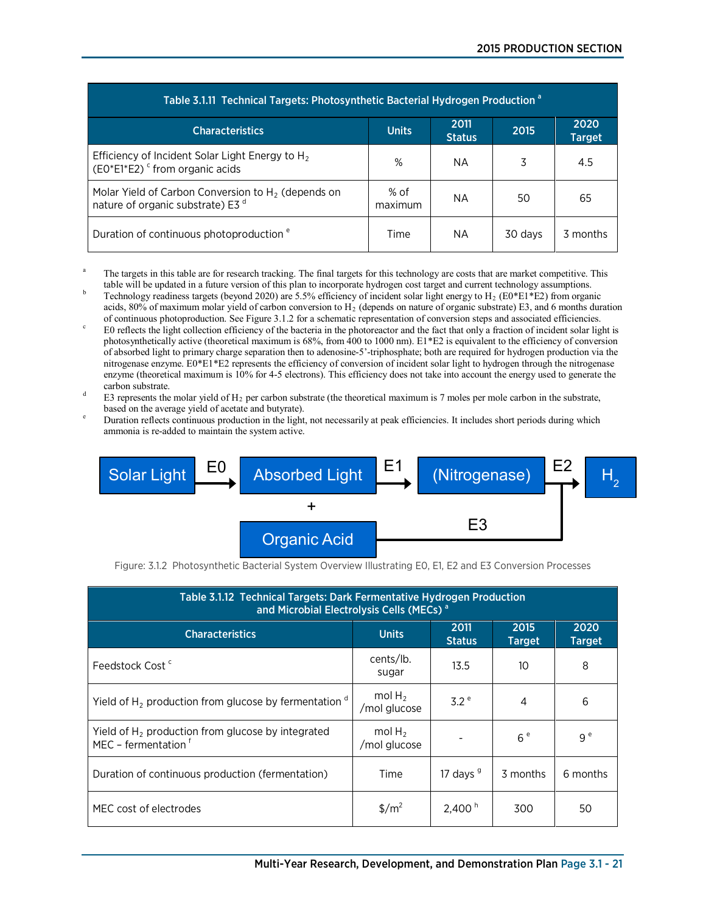| Table 3.1.11 Technical Targets: Photosynthetic Bacterial Hydrogen Production <sup>a</sup>             |                 |                       |         |                       |  |
|-------------------------------------------------------------------------------------------------------|-----------------|-----------------------|---------|-----------------------|--|
| <b>Characteristics</b>                                                                                | <b>Units</b>    | 2011<br><b>Status</b> | 2015    | 2020<br><b>Target</b> |  |
| Efficiency of Incident Solar Light Energy to $H_2$<br>$(EO*E1*E2)$ <sup>c</sup> from organic acids    | %               | NA.                   | 3       | 4.5                   |  |
| Molar Yield of Carbon Conversion to $H_2$ (depends on<br>nature of organic substrate) E3 <sup>d</sup> | % of<br>maximum | ΝA                    | 50      | 65                    |  |
| Duration of continuous photoproduction <sup>e</sup>                                                   | Time            | NA.                   | 30 days | 3 months              |  |

- The targets in this table are for research tracking. The final targets for this technology are costs that are market competitive. This
- table will be updated in a future version of this plan to incorporate hydrogen cost target and current technology assumptions.<br>Technology readiness targets (beyond 2020) are 5.5% efficiency of incident solar light energy acids, 80% of maximum molar yield of carbon conversion to  $H_2$  (depends on nature of organic substrate) E3, and 6 months duration
- of continuous photoproduction. See Figure 3.1.2 for a schematic representation of conversion steps and associated efficiencies.<br>E0 reflects the light collection efficiency of the bacteria in the photoreactor and the fact t photosynthetically active (theoretical maximum is 68%, from 400 to 1000 nm). E1\*E2 is equivalent to the efficiency of conversion of absorbed light to primary charge separation then to adenosine-5'-triphosphate; both are required for hydrogen production via the nitrogenase enzyme. E0\*E1\*E2 represents the efficiency of conversion of incident solar light to hydrogen through the nitrogenase enzyme (theoretical maximum is 10% for 4-5 electrons). This efficiency does not take into account the energy used to generate the
- carbon substrate.<br>
E3 represents the molar yield of H<sub>2</sub> per carbon substrate (the theoretical maximum is 7 moles per mole carbon in the substrate, based on the average yield of acetate and butyrate).
- Duration reflects continuous production in the light, not necessarily at peak efficiencies. It includes short periods during which ammonia is re-added to maintain the system active.



Figure: 3.1.2 Photosynthetic Bacterial System Overview Illustrating E0, E1, E2 and E3 Conversion Processes

| Table 3.1.12 Technical Targets: Dark Fermentative Hydrogen Production<br>and Microbial Electrolysis Cells (MECs) <sup>a</sup> |                           |                       |                       |                       |  |
|-------------------------------------------------------------------------------------------------------------------------------|---------------------------|-----------------------|-----------------------|-----------------------|--|
| <b>Characteristics</b>                                                                                                        | <b>Units</b>              | 2011<br><b>Status</b> | 2015<br><b>Target</b> | 2020<br><b>Target</b> |  |
| Feedstock Cost <sup>c</sup>                                                                                                   | cents/lb.<br>sugar        | 13.5                  | 10                    | 8                     |  |
| Yield of $H_2$ production from glucose by fermentation $\alpha$                                                               | mol $H_2$<br>/mol glucose | 3.2e                  | 4                     | 6                     |  |
| Yield of $H2$ production from glucose by integrated<br>MEC - fermentation f                                                   | mol $H_2$<br>/mol glucose |                       | 6e                    | 9 <sup>e</sup>        |  |
| Duration of continuous production (fermentation)                                                                              | Time                      | 17 days $9$           | 3 months              | 6 months              |  |
| MEC cost of electrodes                                                                                                        | $\frac{m^2}{2}$           | 2,400 <sup>h</sup>    | 300                   | 50                    |  |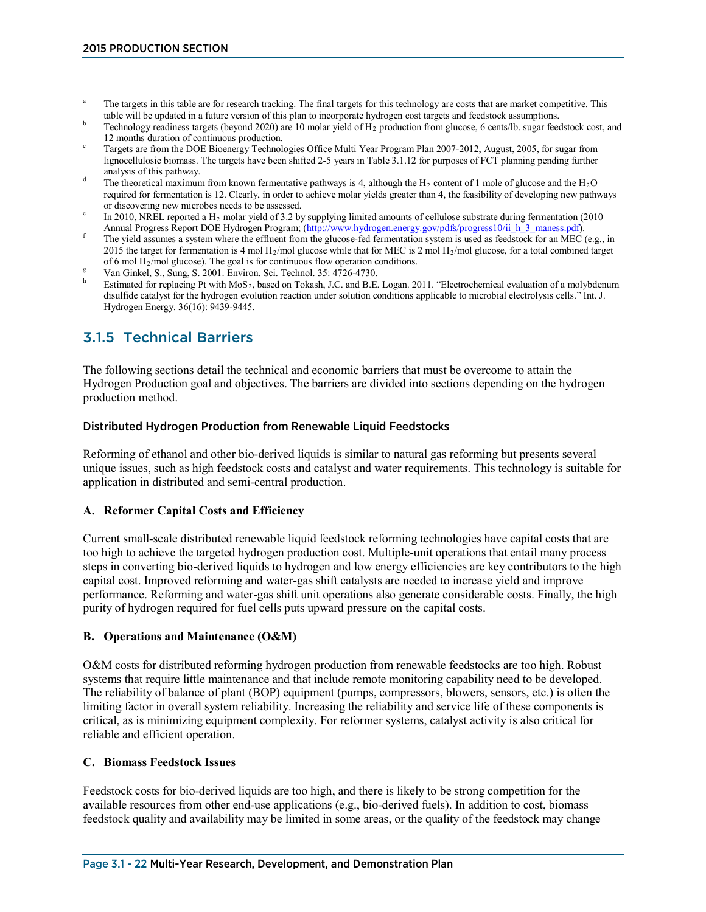- The targets in this table are for research tracking. The final targets for this technology are costs that are market competitive. This table will be updated in a future version of this plan to incorporate hydrogen cost tar
- Technology readiness targets (beyond 2020) are 10 molar yield of H<sub>2</sub> production from glucose, 6 cents/lb. sugar feedstock cost, and
- 12 months duration of continuous production.<br>Targets are from the DOE Bioenergy Technologies Office Multi Year Program Plan 2007-2012, August, 2005, for sugar from lignocellulosic biomass. The targets have been shifted 2-5 years in Table 3.1.12 for purposes of FCT planning pending further analysis of this pathway.<br>The theoretical maximum from known fermentative pathways is 4, although the H<sub>2</sub> content of 1 mole of glucose and the H<sub>2</sub>O
- required for fermentation is 12. Clearly, in order to achieve molar yields greater than 4, the feasibility of developing new pathways
- or discovering new microbes needs to be assessed.<br>
<sup>e</sup> In 2010, NREL reported a H<sub>2</sub> molar yield of 3.2 by supplying limited amounts of cellulose substrate during fermentation (2010 Annual Progress Report DOE Hydrogen Pro
- The yield assumes a system where the effluent from the glucose-fed fermentation system is used as feedstock for an MEC (e.g., in 2015 the target for fermentation is 4 mol  $H_2$ /mol glucose while that for MEC is 2 mol  $H_2$ /mol glucose, for a total combined target of 6 mol  $H_2$ /mol glucose). The goal is for continuous flow operation conditions.
- 
- Van Ginkel, S., Sung, S. 2001. Environ. Sci. Technol. 35: 4726-4730.<br>Estimated for replacing Pt with MoS<sub>2</sub>, based on Tokash, J.C. and B.E. Logan. 2011. "Electrochemical evaluation of a molybdenum disulfide catalyst for the hydrogen evolution reaction under solution conditions applicable to microbial electrolysis cells." Int. J. Hydrogen Energy. 36(16): 9439-9445.

# 3.1.5 Technical Barriers

The following sections detail the technical and economic barriers that must be overcome to attain the Hydrogen Production goal and objectives. The barriers are divided into sections depending on the hydrogen production method.

#### Distributed Hydrogen Production from Renewable Liquid Feedstocks

Reforming of ethanol and other bio-derived liquids is similar to natural gas reforming but presents several unique issues, such as high feedstock costs and catalyst and water requirements. This technology is suitable for application in distributed and semi-central production.

### **A. Reformer Capital Costs and Efficiency**

Current small-scale distributed renewable liquid feedstock reforming technologies have capital costs that are too high to achieve the targeted hydrogen production cost. Multiple-unit operations that entail many process steps in converting bio-derived liquids to hydrogen and low energy efficiencies are key contributors to the high capital cost. Improved reforming and water-gas shift catalysts are needed to increase yield and improve performance. Reforming and water-gas shift unit operations also generate considerable costs. Finally, the high purity of hydrogen required for fuel cells puts upward pressure on the capital costs.

#### **B. Operations and Maintenance (O&M)**

O&M costs for distributed reforming hydrogen production from renewable feedstocks are too high. Robust systems that require little maintenance and that include remote monitoring capability need to be developed. The reliability of balance of plant (BOP) equipment (pumps, compressors, blowers, sensors, etc.) is often the limiting factor in overall system reliability. Increasing the reliability and service life of these components is critical, as is minimizing equipment complexity. For reformer systems, catalyst activity is also critical for reliable and efficient operation.

#### **C. Biomass Feedstock Issues**

Feedstock costs for bio-derived liquids are too high, and there is likely to be strong competition for the available resources from other end-use applications (e.g., bio-derived fuels). In addition to cost, biomass feedstock quality and availability may be limited in some areas, or the quality of the feedstock may change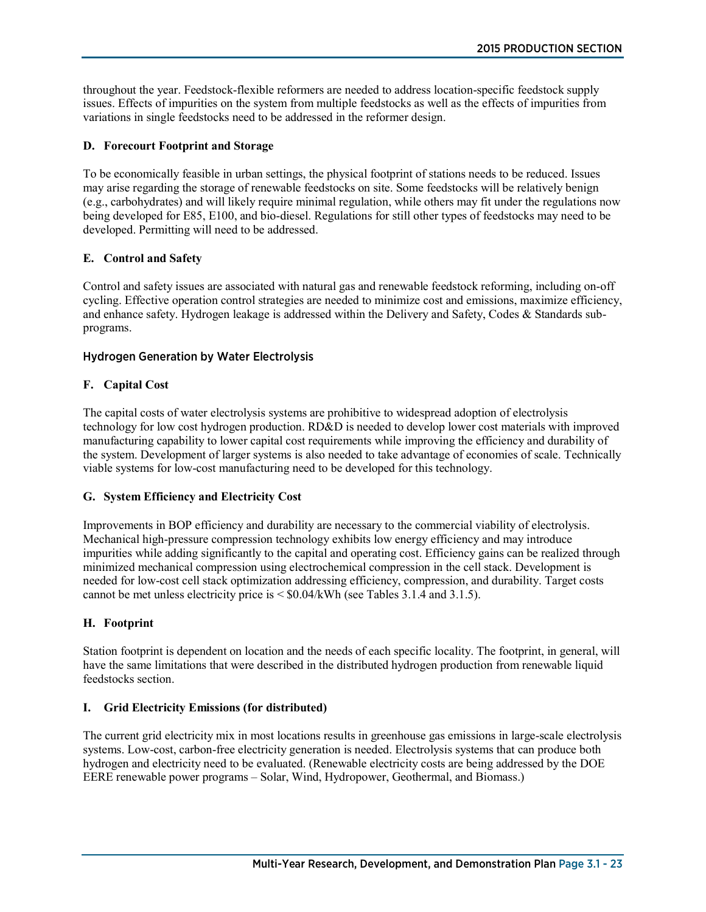throughout the year. Feedstock-flexible reformers are needed to address location-specific feedstock supply issues. Effects of impurities on the system from multiple feedstocks as well as the effects of impurities from variations in single feedstocks need to be addressed in the reformer design.

# **D. Forecourt Footprint and Storage**

To be economically feasible in urban settings, the physical footprint of stations needs to be reduced. Issues may arise regarding the storage of renewable feedstocks on site. Some feedstocks will be relatively benign (e.g., carbohydrates) and will likely require minimal regulation, while others may fit under the regulations now being developed for E85, E100, and bio-diesel. Regulations for still other types of feedstocks may need to be developed. Permitting will need to be addressed.

# **E. Control and Safety**

Control and safety issues are associated with natural gas and renewable feedstock reforming, including on-off cycling. Effective operation control strategies are needed to minimize cost and emissions, maximize efficiency, and enhance safety. Hydrogen leakage is addressed within the Delivery and Safety, Codes & Standards subprograms.

# Hydrogen Generation by Water Electrolysis

# **F. Capital Cost**

The capital costs of water electrolysis systems are prohibitive to widespread adoption of electrolysis technology for low cost hydrogen production. RD&D is needed to develop lower cost materials with improved manufacturing capability to lower capital cost requirements while improving the efficiency and durability of the system. Development of larger systems is also needed to take advantage of economies of scale. Technically viable systems for low-cost manufacturing need to be developed for this technology.

### **G. System Efficiency and Electricity Cost**

Improvements in BOP efficiency and durability are necessary to the commercial viability of electrolysis. Mechanical high-pressure compression technology exhibits low energy efficiency and may introduce impurities while adding significantly to the capital and operating cost. Efficiency gains can be realized through minimized mechanical compression using electrochemical compression in the cell stack. Development is needed for low-cost cell stack optimization addressing efficiency, compression, and durability. Target costs cannot be met unless electricity price is < \$0.04/kWh (see Tables 3.1.4 and 3.1.5).

### **H. Footprint**

Station footprint is dependent on location and the needs of each specific locality. The footprint, in general, will have the same limitations that were described in the distributed hydrogen production from renewable liquid feedstocks section.

### **I. Grid Electricity Emissions (for distributed)**

The current grid electricity mix in most locations results in greenhouse gas emissions in large-scale electrolysis systems. Low-cost, carbon-free electricity generation is needed. Electrolysis systems that can produce both hydrogen and electricity need to be evaluated. (Renewable electricity costs are being addressed by the DOE EERE renewable power programs – Solar, Wind, Hydropower, Geothermal, and Biomass.)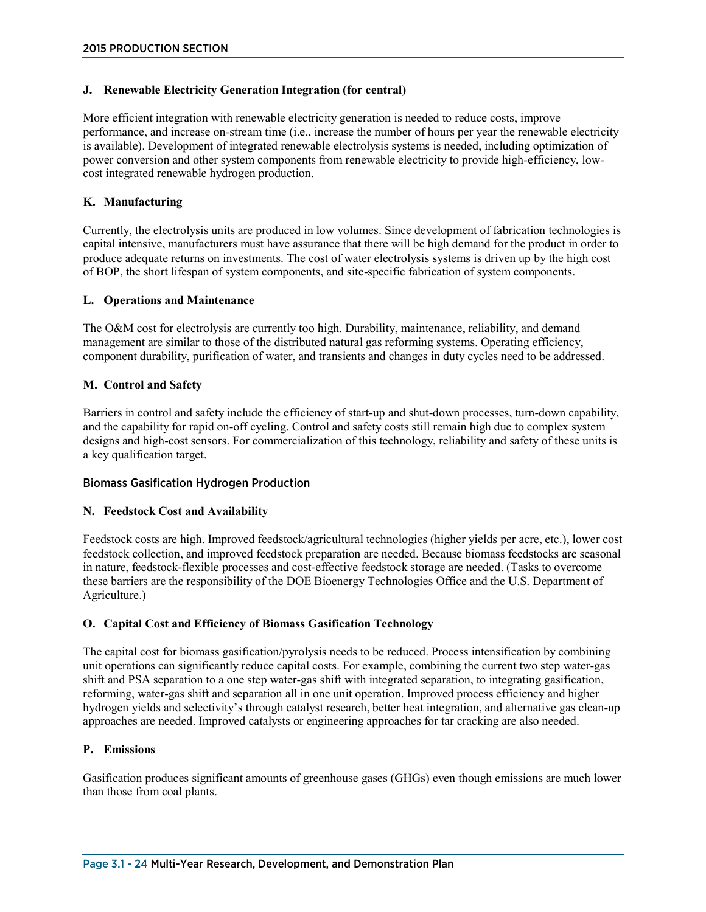#### **J. Renewable Electricity Generation Integration (for central)**

More efficient integration with renewable electricity generation is needed to reduce costs, improve performance, and increase on-stream time (i.e., increase the number of hours per year the renewable electricity is available). Development of integrated renewable electrolysis systems is needed, including optimization of power conversion and other system components from renewable electricity to provide high-efficiency, lowcost integrated renewable hydrogen production.

#### **K. Manufacturing**

Currently, the electrolysis units are produced in low volumes. Since development of fabrication technologies is capital intensive, manufacturers must have assurance that there will be high demand for the product in order to produce adequate returns on investments. The cost of water electrolysis systems is driven up by the high cost of BOP, the short lifespan of system components, and site-specific fabrication of system components.

#### **L. Operations and Maintenance**

The O&M cost for electrolysis are currently too high. Durability, maintenance, reliability, and demand management are similar to those of the distributed natural gas reforming systems. Operating efficiency, component durability, purification of water, and transients and changes in duty cycles need to be addressed.

#### **M. Control and Safety**

Barriers in control and safety include the efficiency of start-up and shut-down processes, turn-down capability, and the capability for rapid on-off cycling. Control and safety costs still remain high due to complex system designs and high-cost sensors. For commercialization of this technology, reliability and safety of these units is a key qualification target.

#### Biomass Gasification Hydrogen Production

#### **N. Feedstock Cost and Availability**

Feedstock costs are high. Improved feedstock/agricultural technologies (higher yields per acre, etc.), lower cost feedstock collection, and improved feedstock preparation are needed. Because biomass feedstocks are seasonal in nature, feedstock-flexible processes and cost-effective feedstock storage are needed. (Tasks to overcome these barriers are the responsibility of the DOE Bioenergy Technologies Office and the U.S. Department of Agriculture.)

### **O. Capital Cost and Efficiency of Biomass Gasification Technology**

The capital cost for biomass gasification/pyrolysis needs to be reduced. Process intensification by combining unit operations can significantly reduce capital costs. For example, combining the current two step water-gas shift and PSA separation to a one step water-gas shift with integrated separation, to integrating gasification, reforming, water-gas shift and separation all in one unit operation. Improved process efficiency and higher hydrogen yields and selectivity's through catalyst research, better heat integration, and alternative gas clean-up approaches are needed. Improved catalysts or engineering approaches for tar cracking are also needed.

#### **P. Emissions**

Gasification produces significant amounts of greenhouse gases (GHGs) even though emissions are much lower than those from coal plants.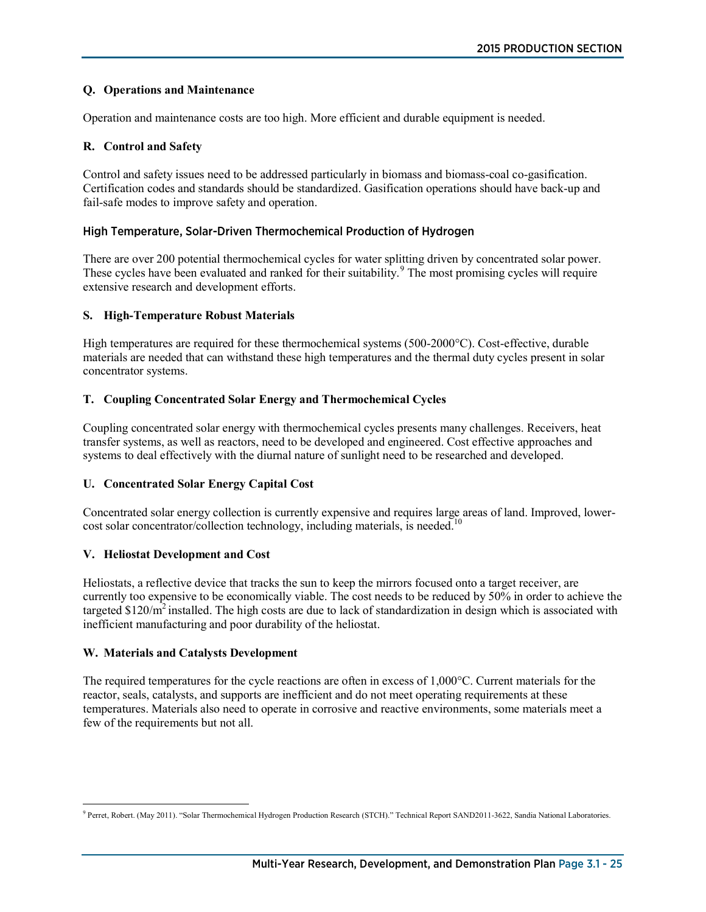### **Q. Operations and Maintenance**

Operation and maintenance costs are too high. More efficient and durable equipment is needed.

# **R. Control and Safety**

Control and safety issues need to be addressed particularly in biomass and biomass-coal co-gasification. Certification codes and standards should be standardized. Gasification operations should have back-up and fail-safe modes to improve safety and operation.

# High Temperature, Solar-Driven Thermochemical Production of Hydrogen

There are over 200 potential thermochemical cycles for water splitting driven by concentrated solar power. These cycles have been evaluated and ranked for their suitability.<sup>[9](#page-24-0)</sup> The most promising cycles will require extensive research and development efforts.

### **S. High-Temperature Robust Materials**

High temperatures are required for these thermochemical systems (500-2000°C). Cost-effective, durable materials are needed that can withstand these high temperatures and the thermal duty cycles present in solar concentrator systems.

# **T. Coupling Concentrated Solar Energy and Thermochemical Cycles**

Coupling concentrated solar energy with thermochemical cycles presents many challenges. Receivers, heat transfer systems, as well as reactors, need to be developed and engineered. Cost effective approaches and systems to deal effectively with the diurnal nature of sunlight need to be researched and developed.

### **U. Concentrated Solar Energy Capital Cost**

Concentrated solar energy collection is currently expensive and requires large areas of land. Improved, lowercost solar concentrator/collection technology, including materials, is needed.<sup>10</sup>

### **V. Heliostat Development and Cost**

Heliostats, a reflective device that tracks the sun to keep the mirrors focused onto a target receiver, are currently too expensive to be economically viable. The cost needs to be reduced by 50% in order to achieve the targeted  $$120/m^2$  installed. The high costs are due to lack of standardization in design which is associated with inefficient manufacturing and poor durability of the heliostat.

### **W. Materials and Catalysts Development**

The required temperatures for the cycle reactions are often in excess of 1,000°C. Current materials for the reactor, seals, catalysts, and supports are inefficient and do not meet operating requirements at these temperatures. Materials also need to operate in corrosive and reactive environments, some materials meet a few of the requirements but not all.

<span id="page-24-0"></span> <sup>9</sup> Perret, Robert. (May 2011). "Solar Thermochemical Hydrogen Production Research (STCH)." Technical Report SAND2011-3622, Sandia National Laboratories.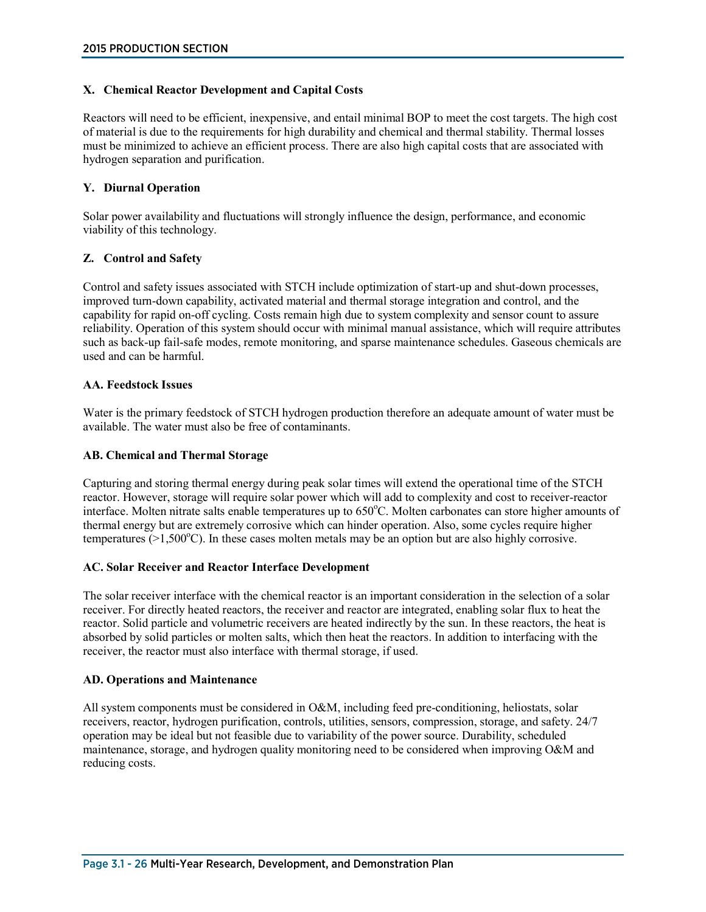#### **X. Chemical Reactor Development and Capital Costs**

Reactors will need to be efficient, inexpensive, and entail minimal BOP to meet the cost targets. The high cost of material is due to the requirements for high durability and chemical and thermal stability. Thermal losses must be minimized to achieve an efficient process. There are also high capital costs that are associated with hydrogen separation and purification.

#### **Y. Diurnal Operation**

Solar power availability and fluctuations will strongly influence the design, performance, and economic viability of this technology.

#### **Z. Control and Safety**

Control and safety issues associated with STCH include optimization of start-up and shut-down processes, improved turn-down capability, activated material and thermal storage integration and control, and the capability for rapid on-off cycling. Costs remain high due to system complexity and sensor count to assure reliability. Operation of this system should occur with minimal manual assistance, which will require attributes such as back-up fail-safe modes, remote monitoring, and sparse maintenance schedules. Gaseous chemicals are used and can be harmful.

#### **AA. Feedstock Issues**

Water is the primary feedstock of STCH hydrogen production therefore an adequate amount of water must be available. The water must also be free of contaminants.

#### **AB. Chemical and Thermal Storage**

Capturing and storing thermal energy during peak solar times will extend the operational time of the STCH reactor. However, storage will require solar power which will add to complexity and cost to receiver-reactor interface. Molten nitrate salts enable temperatures up to 650°C. Molten carbonates can store higher amounts of thermal energy but are extremely corrosive which can hinder operation. Also, some cycles require higher temperatures  $(>1,500^{\circ}C)$ . In these cases molten metals may be an option but are also highly corrosive.

#### **AC. Solar Receiver and Reactor Interface Development**

The solar receiver interface with the chemical reactor is an important consideration in the selection of a solar receiver. For directly heated reactors, the receiver and reactor are integrated, enabling solar flux to heat the reactor. Solid particle and volumetric receivers are heated indirectly by the sun. In these reactors, the heat is absorbed by solid particles or molten salts, which then heat the reactors. In addition to interfacing with the receiver, the reactor must also interface with thermal storage, if used.

#### **AD. Operations and Maintenance**

All system components must be considered in O&M, including feed pre-conditioning, heliostats, solar receivers, reactor, hydrogen purification, controls, utilities, sensors, compression, storage, and safety. 24/7 operation may be ideal but not feasible due to variability of the power source. Durability, scheduled maintenance, storage, and hydrogen quality monitoring need to be considered when improving O&M and reducing costs.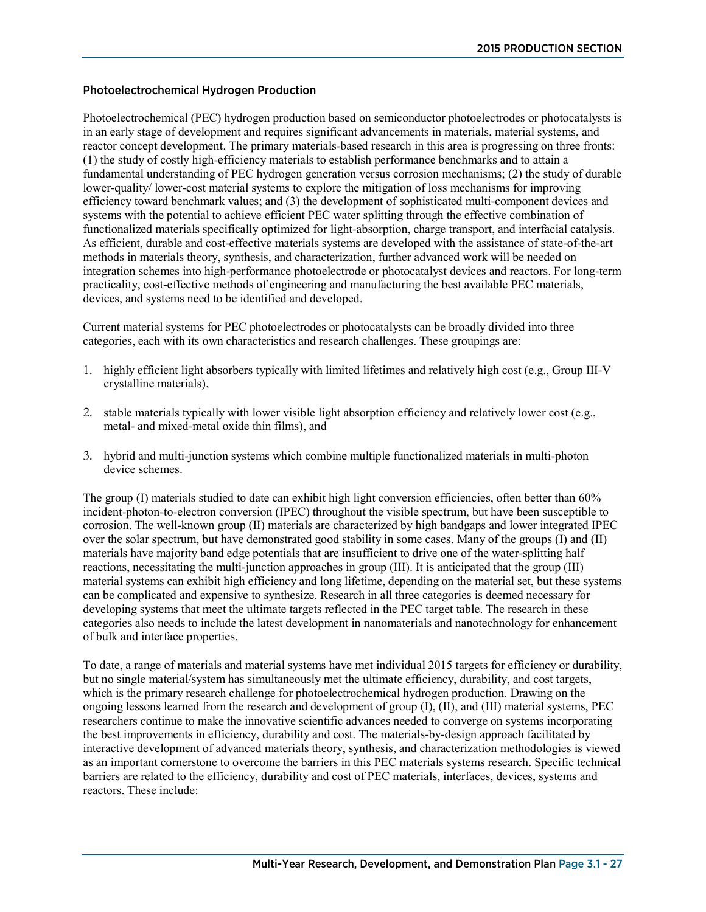### Photoelectrochemical Hydrogen Production

Photoelectrochemical (PEC) hydrogen production based on semiconductor photoelectrodes or photocatalysts is in an early stage of development and requires significant advancements in materials, material systems, and reactor concept development. The primary materials-based research in this area is progressing on three fronts: (1) the study of costly high-efficiency materials to establish performance benchmarks and to attain a fundamental understanding of PEC hydrogen generation versus corrosion mechanisms; (2) the study of durable lower-quality/ lower-cost material systems to explore the mitigation of loss mechanisms for improving efficiency toward benchmark values; and (3) the development of sophisticated multi-component devices and systems with the potential to achieve efficient PEC water splitting through the effective combination of functionalized materials specifically optimized for light-absorption, charge transport, and interfacial catalysis. As efficient, durable and cost-effective materials systems are developed with the assistance of state-of-the-art methods in materials theory, synthesis, and characterization, further advanced work will be needed on integration schemes into high-performance photoelectrode or photocatalyst devices and reactors. For long-term practicality, cost-effective methods of engineering and manufacturing the best available PEC materials, devices, and systems need to be identified and developed.

Current material systems for PEC photoelectrodes or photocatalysts can be broadly divided into three categories, each with its own characteristics and research challenges. These groupings are:

- 1. highly efficient light absorbers typically with limited lifetimes and relatively high cost (e.g., Group III-V crystalline materials),
- 2. stable materials typically with lower visible light absorption efficiency and relatively lower cost (e.g., metal- and mixed-metal oxide thin films), and
- 3. hybrid and multi-junction systems which combine multiple functionalized materials in multi-photon device schemes.

The group (I) materials studied to date can exhibit high light conversion efficiencies, often better than 60% incident-photon-to-electron conversion (IPEC) throughout the visible spectrum, but have been susceptible to corrosion. The well-known group (II) materials are characterized by high bandgaps and lower integrated IPEC over the solar spectrum, but have demonstrated good stability in some cases. Many of the groups (I) and (II) materials have majority band edge potentials that are insufficient to drive one of the water-splitting half reactions, necessitating the multi-junction approaches in group (III). It is anticipated that the group (III) material systems can exhibit high efficiency and long lifetime, depending on the material set, but these systems can be complicated and expensive to synthesize. Research in all three categories is deemed necessary for developing systems that meet the ultimate targets reflected in the PEC target table. The research in these categories also needs to include the latest development in nanomaterials and nanotechnology for enhancement of bulk and interface properties.

To date, a range of materials and material systems have met individual 2015 targets for efficiency or durability, but no single material/system has simultaneously met the ultimate efficiency, durability, and cost targets, which is the primary research challenge for photoelectrochemical hydrogen production. Drawing on the ongoing lessons learned from the research and development of group (I), (II), and (III) material systems, PEC researchers continue to make the innovative scientific advances needed to converge on systems incorporating the best improvements in efficiency, durability and cost. The materials-by-design approach facilitated by interactive development of advanced materials theory, synthesis, and characterization methodologies is viewed as an important cornerstone to overcome the barriers in this PEC materials systems research. Specific technical barriers are related to the efficiency, durability and cost of PEC materials, interfaces, devices, systems and reactors. These include: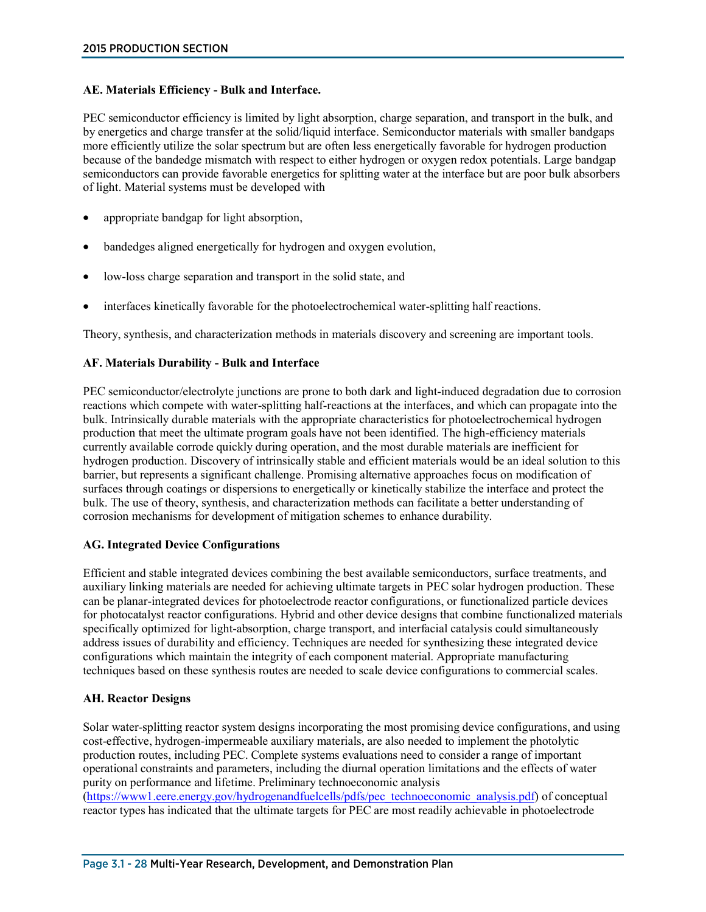### **AE. Materials Efficiency - Bulk and Interface.**

PEC semiconductor efficiency is limited by light absorption, charge separation, and transport in the bulk, and by energetics and charge transfer at the solid/liquid interface. Semiconductor materials with smaller bandgaps more efficiently utilize the solar spectrum but are often less energetically favorable for hydrogen production because of the bandedge mismatch with respect to either hydrogen or oxygen redox potentials. Large bandgap semiconductors can provide favorable energetics for splitting water at the interface but are poor bulk absorbers of light. Material systems must be developed with

- appropriate bandgap for light absorption,
- bandedges aligned energetically for hydrogen and oxygen evolution,
- low-loss charge separation and transport in the solid state, and
- interfaces kinetically favorable for the photoelectrochemical water-splitting half reactions.

Theory, synthesis, and characterization methods in materials discovery and screening are important tools.

### **AF. Materials Durability - Bulk and Interface**

PEC semiconductor/electrolyte junctions are prone to both dark and light-induced degradation due to corrosion reactions which compete with water-splitting half-reactions at the interfaces, and which can propagate into the bulk. Intrinsically durable materials with the appropriate characteristics for photoelectrochemical hydrogen production that meet the ultimate program goals have not been identified. The high-efficiency materials currently available corrode quickly during operation, and the most durable materials are inefficient for hydrogen production. Discovery of intrinsically stable and efficient materials would be an ideal solution to this barrier, but represents a significant challenge. Promising alternative approaches focus on modification of surfaces through coatings or dispersions to energetically or kinetically stabilize the interface and protect the bulk. The use of theory, synthesis, and characterization methods can facilitate a better understanding of corrosion mechanisms for development of mitigation schemes to enhance durability.

### **AG. Integrated Device Configurations**

Efficient and stable integrated devices combining the best available semiconductors, surface treatments, and auxiliary linking materials are needed for achieving ultimate targets in PEC solar hydrogen production. These can be planar-integrated devices for photoelectrode reactor configurations, or functionalized particle devices for photocatalyst reactor configurations. Hybrid and other device designs that combine functionalized materials specifically optimized for light-absorption, charge transport, and interfacial catalysis could simultaneously address issues of durability and efficiency. Techniques are needed for synthesizing these integrated device configurations which maintain the integrity of each component material. Appropriate manufacturing techniques based on these synthesis routes are needed to scale device configurations to commercial scales.

### **AH. Reactor Designs**

Solar water-splitting reactor system designs incorporating the most promising device configurations, and using cost-effective, hydrogen-impermeable auxiliary materials, are also needed to implement the photolytic production routes, including PEC. Complete systems evaluations need to consider a range of important operational constraints and parameters, including the diurnal operation limitations and the effects of water purity on performance and lifetime. Preliminary technoeconomic analysis [\(https://www1.eere.energy.gov/hydrogenandfuelcells/pdfs/pec\\_technoeconomic\\_analysis.pdf\)](https://www1.eere.energy.gov/hydrogenandfuelcells/pdfs/pec_technoeconomic_analysis.pdf) of conceptual reactor types has indicated that the ultimate targets for PEC are most readily achievable in photoelectrode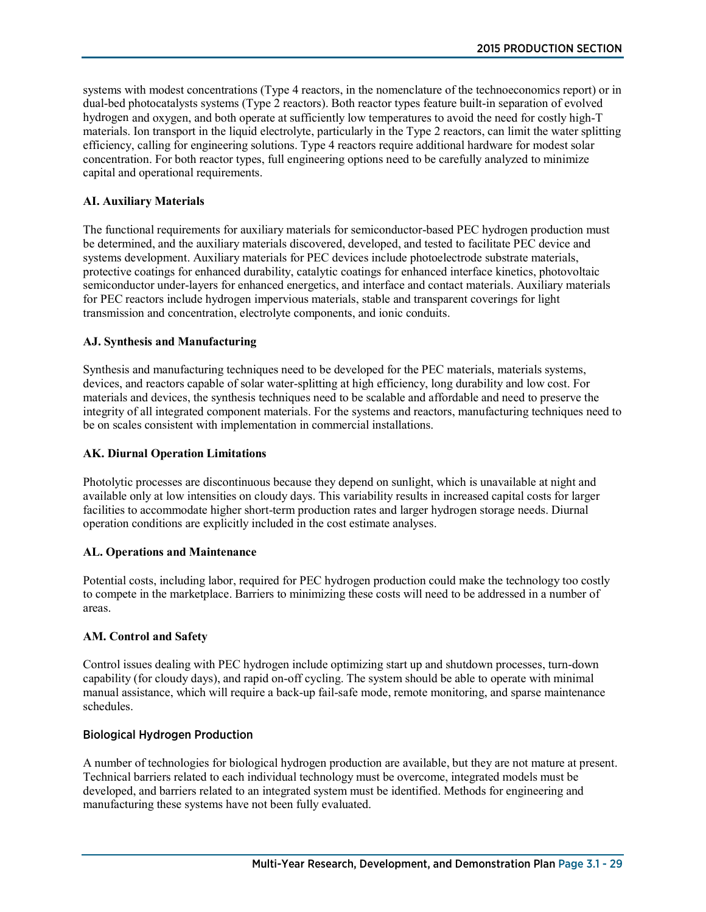systems with modest concentrations (Type 4 reactors, in the nomenclature of the technoeconomics report) or in dual-bed photocatalysts systems (Type 2 reactors). Both reactor types feature built-in separation of evolved hydrogen and oxygen, and both operate at sufficiently low temperatures to avoid the need for costly high-T materials. Ion transport in the liquid electrolyte, particularly in the Type 2 reactors, can limit the water splitting efficiency, calling for engineering solutions. Type 4 reactors require additional hardware for modest solar concentration. For both reactor types, full engineering options need to be carefully analyzed to minimize capital and operational requirements.

### **AI. Auxiliary Materials**

The functional requirements for auxiliary materials for semiconductor-based PEC hydrogen production must be determined, and the auxiliary materials discovered, developed, and tested to facilitate PEC device and systems development. Auxiliary materials for PEC devices include photoelectrode substrate materials, protective coatings for enhanced durability, catalytic coatings for enhanced interface kinetics, photovoltaic semiconductor under-layers for enhanced energetics, and interface and contact materials. Auxiliary materials for PEC reactors include hydrogen impervious materials, stable and transparent coverings for light transmission and concentration, electrolyte components, and ionic conduits.

### **AJ. Synthesis and Manufacturing**

Synthesis and manufacturing techniques need to be developed for the PEC materials, materials systems, devices, and reactors capable of solar water-splitting at high efficiency, long durability and low cost. For materials and devices, the synthesis techniques need to be scalable and affordable and need to preserve the integrity of all integrated component materials. For the systems and reactors, manufacturing techniques need to be on scales consistent with implementation in commercial installations.

# **AK. Diurnal Operation Limitations**

Photolytic processes are discontinuous because they depend on sunlight, which is unavailable at night and available only at low intensities on cloudy days. This variability results in increased capital costs for larger facilities to accommodate higher short-term production rates and larger hydrogen storage needs. Diurnal operation conditions are explicitly included in the cost estimate analyses.

### **AL. Operations and Maintenance**

Potential costs, including labor, required for PEC hydrogen production could make the technology too costly to compete in the marketplace. Barriers to minimizing these costs will need to be addressed in a number of areas.

### **AM. Control and Safety**

Control issues dealing with PEC hydrogen include optimizing start up and shutdown processes, turn-down capability (for cloudy days), and rapid on-off cycling. The system should be able to operate with minimal manual assistance, which will require a back-up fail-safe mode, remote monitoring, and sparse maintenance schedules.

### Biological Hydrogen Production

A number of technologies for biological hydrogen production are available, but they are not mature at present. Technical barriers related to each individual technology must be overcome, integrated models must be developed, and barriers related to an integrated system must be identified. Methods for engineering and manufacturing these systems have not been fully evaluated.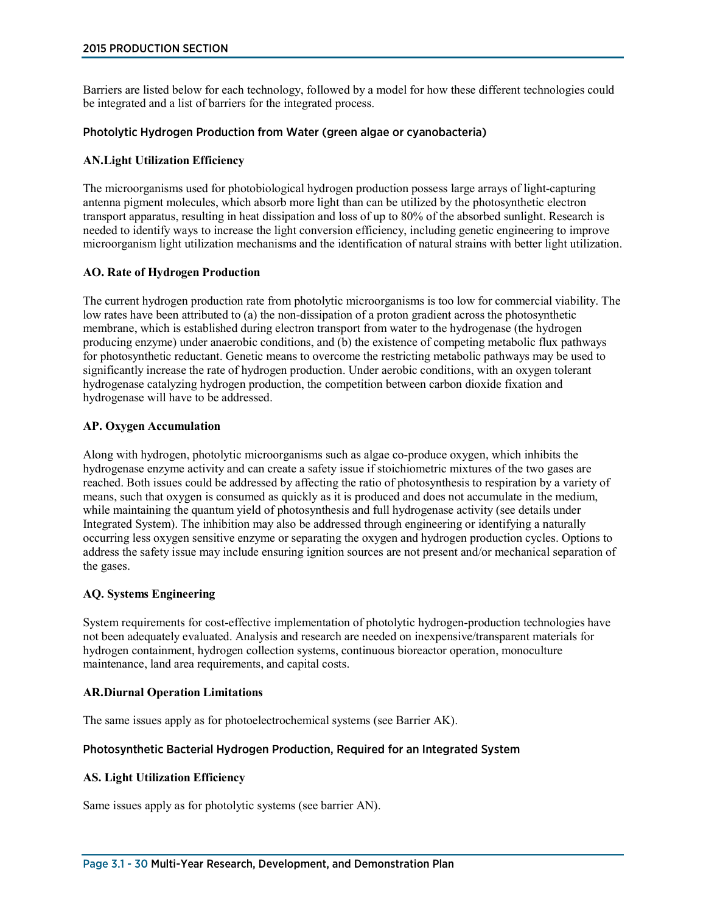Barriers are listed below for each technology, followed by a model for how these different technologies could be integrated and a list of barriers for the integrated process.

#### Photolytic Hydrogen Production from Water (green algae or cyanobacteria)

#### **AN.Light Utilization Efficiency**

The microorganisms used for photobiological hydrogen production possess large arrays of light-capturing antenna pigment molecules, which absorb more light than can be utilized by the photosynthetic electron transport apparatus, resulting in heat dissipation and loss of up to 80% of the absorbed sunlight. Research is needed to identify ways to increase the light conversion efficiency, including genetic engineering to improve microorganism light utilization mechanisms and the identification of natural strains with better light utilization.

#### **AO. Rate of Hydrogen Production**

The current hydrogen production rate from photolytic microorganisms is too low for commercial viability. The low rates have been attributed to (a) the non-dissipation of a proton gradient across the photosynthetic membrane, which is established during electron transport from water to the hydrogenase (the hydrogen producing enzyme) under anaerobic conditions, and (b) the existence of competing metabolic flux pathways for photosynthetic reductant. Genetic means to overcome the restricting metabolic pathways may be used to significantly increase the rate of hydrogen production. Under aerobic conditions, with an oxygen tolerant hydrogenase catalyzing hydrogen production, the competition between carbon dioxide fixation and hydrogenase will have to be addressed.

#### **AP. Oxygen Accumulation**

Along with hydrogen, photolytic microorganisms such as algae co-produce oxygen, which inhibits the hydrogenase enzyme activity and can create a safety issue if stoichiometric mixtures of the two gases are reached. Both issues could be addressed by affecting the ratio of photosynthesis to respiration by a variety of means, such that oxygen is consumed as quickly as it is produced and does not accumulate in the medium, while maintaining the quantum yield of photosynthesis and full hydrogenase activity (see details under Integrated System). The inhibition may also be addressed through engineering or identifying a naturally occurring less oxygen sensitive enzyme or separating the oxygen and hydrogen production cycles. Options to address the safety issue may include ensuring ignition sources are not present and/or mechanical separation of the gases.

### **AQ. Systems Engineering**

System requirements for cost-effective implementation of photolytic hydrogen-production technologies have not been adequately evaluated. Analysis and research are needed on inexpensive/transparent materials for hydrogen containment, hydrogen collection systems, continuous bioreactor operation, monoculture maintenance, land area requirements, and capital costs.

#### **AR.Diurnal Operation Limitations**

The same issues apply as for photoelectrochemical systems (see Barrier AK).

### Photosynthetic Bacterial Hydrogen Production, Required for an Integrated System

### **AS. Light Utilization Efficiency**

Same issues apply as for photolytic systems (see barrier AN).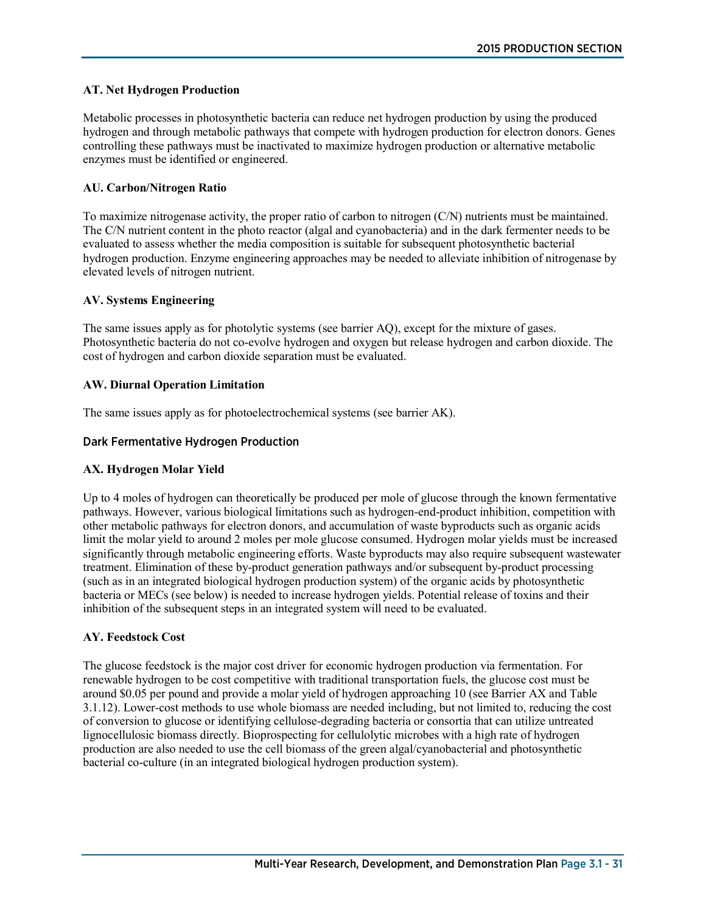### **AT. Net Hydrogen Production**

Metabolic processes in photosynthetic bacteria can reduce net hydrogen production by using the produced hydrogen and through metabolic pathways that compete with hydrogen production for electron donors. Genes controlling these pathways must be inactivated to maximize hydrogen production or alternative metabolic enzymes must be identified or engineered.

#### **AU. Carbon/Nitrogen Ratio**

To maximize nitrogenase activity, the proper ratio of carbon to nitrogen (C/N) nutrients must be maintained. The C/N nutrient content in the photo reactor (algal and cyanobacteria) and in the dark fermenter needs to be evaluated to assess whether the media composition is suitable for subsequent photosynthetic bacterial hydrogen production. Enzyme engineering approaches may be needed to alleviate inhibition of nitrogenase by elevated levels of nitrogen nutrient.

#### **AV. Systems Engineering**

The same issues apply as for photolytic systems (see barrier AQ), except for the mixture of gases. Photosynthetic bacteria do not co-evolve hydrogen and oxygen but release hydrogen and carbon dioxide. The cost of hydrogen and carbon dioxide separation must be evaluated.

#### **AW. Diurnal Operation Limitation**

The same issues apply as for photoelectrochemical systems (see barrier AK).

#### Dark Fermentative Hydrogen Production

### **AX. Hydrogen Molar Yield**

Up to 4 moles of hydrogen can theoretically be produced per mole of glucose through the known fermentative pathways. However, various biological limitations such as hydrogen-end-product inhibition, competition with other metabolic pathways for electron donors, and accumulation of waste byproducts such as organic acids limit the molar yield to around 2 moles per mole glucose consumed. Hydrogen molar yields must be increased significantly through metabolic engineering efforts. Waste byproducts may also require subsequent wastewater treatment. Elimination of these by-product generation pathways and/or subsequent by-product processing (such as in an integrated biological hydrogen production system) of the organic acids by photosynthetic bacteria or MECs (see below) is needed to increase hydrogen yields. Potential release of toxins and their inhibition of the subsequent steps in an integrated system will need to be evaluated.

### **AY. Feedstock Cost**

The glucose feedstock is the major cost driver for economic hydrogen production via fermentation. For renewable hydrogen to be cost competitive with traditional transportation fuels, the glucose cost must be around \$0.05 per pound and provide a molar yield of hydrogen approaching 10 (see Barrier AX and Table 3.1.12). Lower-cost methods to use whole biomass are needed including, but not limited to, reducing the cost of conversion to glucose or identifying cellulose-degrading bacteria or consortia that can utilize untreated lignocellulosic biomass directly. Bioprospecting for cellulolytic microbes with a high rate of hydrogen production are also needed to use the cell biomass of the green algal/cyanobacterial and photosynthetic bacterial co-culture (in an integrated biological hydrogen production system).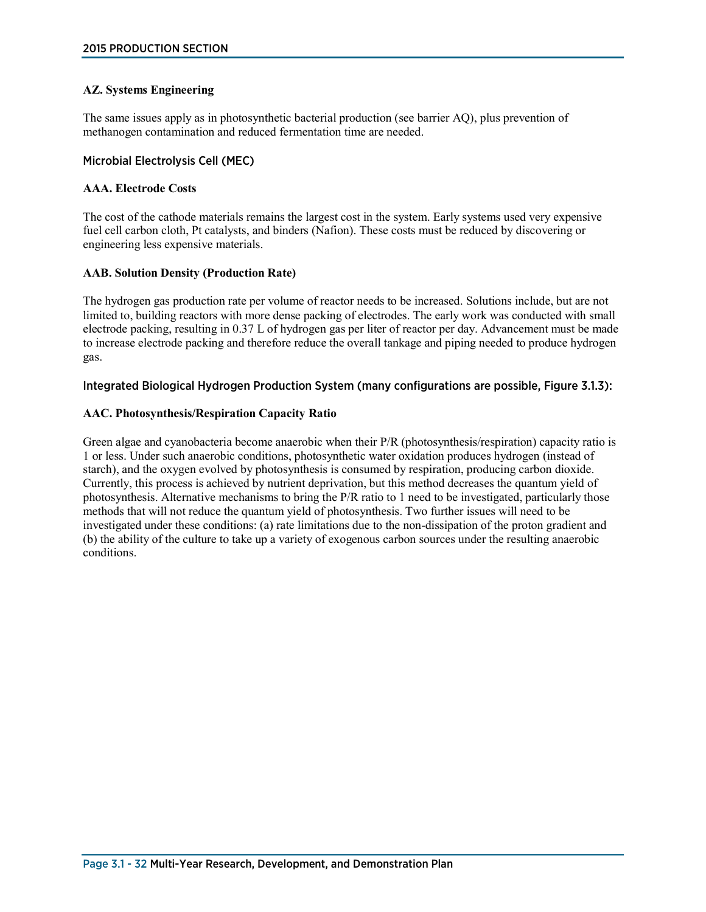### **AZ. Systems Engineering**

The same issues apply as in photosynthetic bacterial production (see barrier AQ), plus prevention of methanogen contamination and reduced fermentation time are needed.

#### Microbial Electrolysis Cell (MEC)

#### **AAA. Electrode Costs**

The cost of the cathode materials remains the largest cost in the system. Early systems used very expensive fuel cell carbon cloth, Pt catalysts, and binders (Nafion). These costs must be reduced by discovering or engineering less expensive materials.

#### **AAB. Solution Density (Production Rate)**

The hydrogen gas production rate per volume of reactor needs to be increased. Solutions include, but are not limited to, building reactors with more dense packing of electrodes. The early work was conducted with small electrode packing, resulting in 0.37 L of hydrogen gas per liter of reactor per day. Advancement must be made to increase electrode packing and therefore reduce the overall tankage and piping needed to produce hydrogen gas.

#### Integrated Biological Hydrogen Production System (many configurations are possible, Figure 3.1.3):

#### **AAC. Photosynthesis/Respiration Capacity Ratio**

Green algae and cyanobacteria become anaerobic when their P/R (photosynthesis/respiration) capacity ratio is 1 or less. Under such anaerobic conditions, photosynthetic water oxidation produces hydrogen (instead of starch), and the oxygen evolved by photosynthesis is consumed by respiration, producing carbon dioxide. Currently, this process is achieved by nutrient deprivation, but this method decreases the quantum yield of photosynthesis. Alternative mechanisms to bring the P/R ratio to 1 need to be investigated, particularly those methods that will not reduce the quantum yield of photosynthesis. Two further issues will need to be investigated under these conditions: (a) rate limitations due to the non-dissipation of the proton gradient and (b) the ability of the culture to take up a variety of exogenous carbon sources under the resulting anaerobic conditions.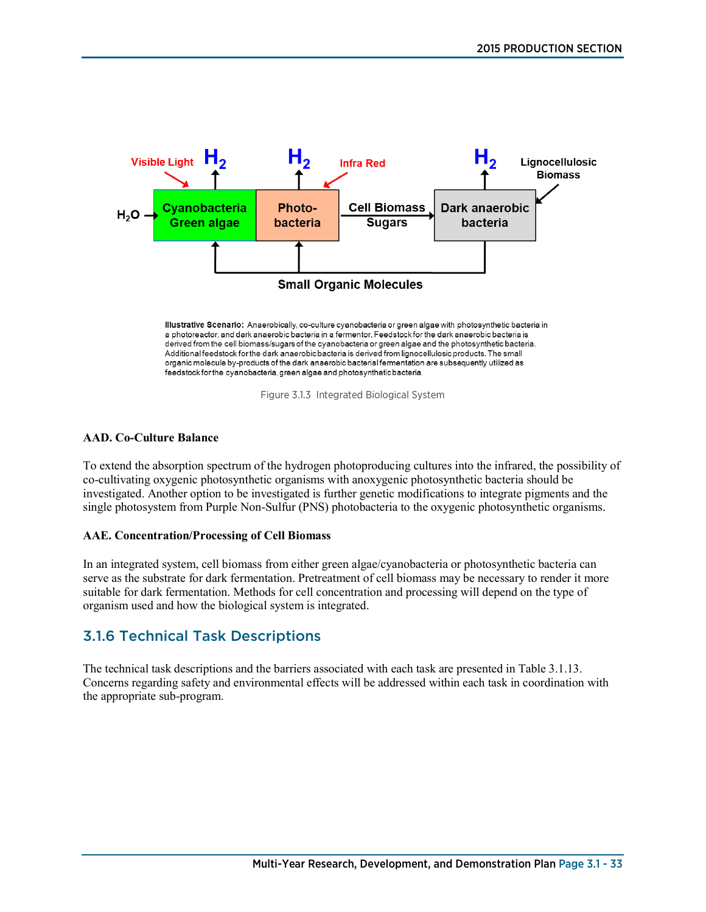

Figure 3.1.3 Integrated Biological System

#### **AAD. Co-Culture Balance**

To extend the absorption spectrum of the hydrogen photoproducing cultures into the infrared, the possibility of co-cultivating oxygenic photosynthetic organisms with anoxygenic photosynthetic bacteria should be investigated. Another option to be investigated is further genetic modifications to integrate pigments and the single photosystem from Purple Non-Sulfur (PNS) photobacteria to the oxygenic photosynthetic organisms.

#### **AAE. Concentration/Processing of Cell Biomass**

In an integrated system, cell biomass from either green algae/cyanobacteria or photosynthetic bacteria can serve as the substrate for dark fermentation. Pretreatment of cell biomass may be necessary to render it more suitable for dark fermentation. Methods for cell concentration and processing will depend on the type of organism used and how the biological system is integrated.

# 3.1.6 Technical Task Descriptions

The technical task descriptions and the barriers associated with each task are presented in Table 3.1.13. Concerns regarding safety and environmental effects will be addressed within each task in coordination with the appropriate sub-program.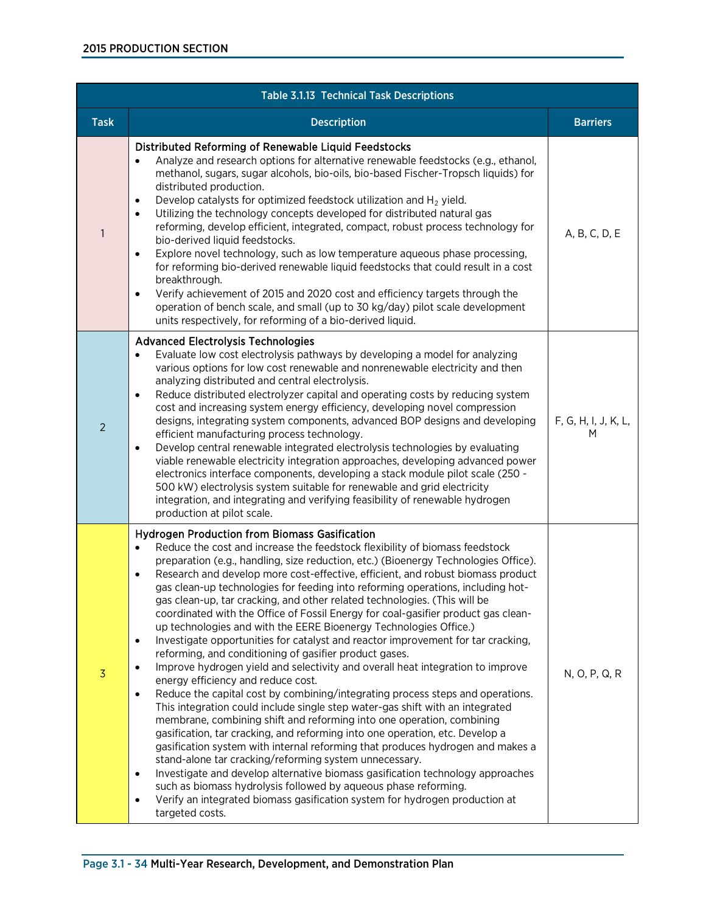| <b>Table 3.1.13 Technical Task Descriptions</b> |                                                                                                                                                                                                                                                                                                                                                                                                                                                                                                                                                                                                                                                                                                                                                                                                                                                                                                                                                                                                                                                                                                                                                                                                                                                                                                                                                                                                                                                                                                                                                                                                                                                                                            |                           |  |  |  |
|-------------------------------------------------|--------------------------------------------------------------------------------------------------------------------------------------------------------------------------------------------------------------------------------------------------------------------------------------------------------------------------------------------------------------------------------------------------------------------------------------------------------------------------------------------------------------------------------------------------------------------------------------------------------------------------------------------------------------------------------------------------------------------------------------------------------------------------------------------------------------------------------------------------------------------------------------------------------------------------------------------------------------------------------------------------------------------------------------------------------------------------------------------------------------------------------------------------------------------------------------------------------------------------------------------------------------------------------------------------------------------------------------------------------------------------------------------------------------------------------------------------------------------------------------------------------------------------------------------------------------------------------------------------------------------------------------------------------------------------------------------|---------------------------|--|--|--|
| <b>Task</b>                                     | <b>Description</b>                                                                                                                                                                                                                                                                                                                                                                                                                                                                                                                                                                                                                                                                                                                                                                                                                                                                                                                                                                                                                                                                                                                                                                                                                                                                                                                                                                                                                                                                                                                                                                                                                                                                         | <b>Barriers</b>           |  |  |  |
| 1                                               | Distributed Reforming of Renewable Liquid Feedstocks<br>Analyze and research options for alternative renewable feedstocks (e.g., ethanol,<br>methanol, sugars, sugar alcohols, bio-oils, bio-based Fischer-Tropsch liquids) for<br>distributed production.<br>Develop catalysts for optimized feedstock utilization and $H_2$ yield.<br>٠<br>Utilizing the technology concepts developed for distributed natural gas<br>$\bullet$<br>reforming, develop efficient, integrated, compact, robust process technology for<br>bio-derived liquid feedstocks.<br>Explore novel technology, such as low temperature aqueous phase processing,<br>٠<br>for reforming bio-derived renewable liquid feedstocks that could result in a cost<br>breakthrough.<br>Verify achievement of 2015 and 2020 cost and efficiency targets through the<br>$\bullet$<br>operation of bench scale, and small (up to 30 kg/day) pilot scale development<br>units respectively, for reforming of a bio-derived liquid.                                                                                                                                                                                                                                                                                                                                                                                                                                                                                                                                                                                                                                                                                               | A, B, C, D, E             |  |  |  |
| $\overline{2}$                                  | <b>Advanced Electrolysis Technologies</b><br>Evaluate low cost electrolysis pathways by developing a model for analyzing<br>٠<br>various options for low cost renewable and nonrenewable electricity and then<br>analyzing distributed and central electrolysis.<br>Reduce distributed electrolyzer capital and operating costs by reducing system<br>٠<br>cost and increasing system energy efficiency, developing novel compression<br>designs, integrating system components, advanced BOP designs and developing<br>efficient manufacturing process technology.<br>Develop central renewable integrated electrolysis technologies by evaluating<br>$\bullet$<br>viable renewable electricity integration approaches, developing advanced power<br>electronics interface components, developing a stack module pilot scale (250 -<br>500 kW) electrolysis system suitable for renewable and grid electricity<br>integration, and integrating and verifying feasibility of renewable hydrogen<br>production at pilot scale.                                                                                                                                                                                                                                                                                                                                                                                                                                                                                                                                                                                                                                                              | F, G, H, I, J, K, L,<br>M |  |  |  |
| $\overline{3}$                                  | <b>Hydrogen Production from Biomass Gasification</b><br>Reduce the cost and increase the feedstock flexibility of biomass feedstock<br>preparation (e.g., handling, size reduction, etc.) (Bioenergy Technologies Office).<br>Research and develop more cost-effective, efficient, and robust biomass product<br>٠<br>gas clean-up technologies for feeding into reforming operations, including hot-<br>gas clean-up, tar cracking, and other related technologies. (This will be<br>coordinated with the Office of Fossil Energy for coal-gasifier product gas clean-<br>up technologies and with the EERE Bioenergy Technologies Office.)<br>Investigate opportunities for catalyst and reactor improvement for tar cracking,<br>$\bullet$<br>reforming, and conditioning of gasifier product gases.<br>Improve hydrogen yield and selectivity and overall heat integration to improve<br>$\bullet$<br>energy efficiency and reduce cost.<br>Reduce the capital cost by combining/integrating process steps and operations.<br>٠<br>This integration could include single step water-gas shift with an integrated<br>membrane, combining shift and reforming into one operation, combining<br>gasification, tar cracking, and reforming into one operation, etc. Develop a<br>gasification system with internal reforming that produces hydrogen and makes a<br>stand-alone tar cracking/reforming system unnecessary.<br>Investigate and develop alternative biomass gasification technology approaches<br>٠<br>such as biomass hydrolysis followed by aqueous phase reforming.<br>Verify an integrated biomass gasification system for hydrogen production at<br>٠<br>targeted costs. | N, O, P, Q, R             |  |  |  |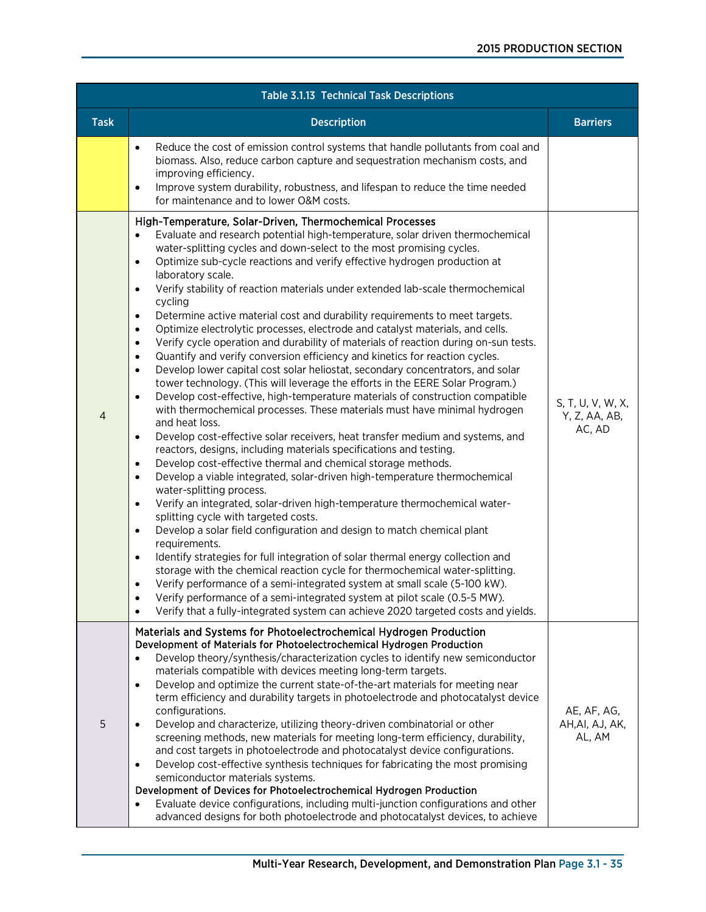| <b>Table 3.1.13 Technical Task Descriptions</b> |                                                                                                                                                                                                                                                                                                                                                                                                                                                                                                                                                                                                                                                                                                                                                                                                                                                                                                                                                                                                                                                                                                                                                                                                                                                                                                                                                                                                                                                                                                                                                                                                                                                                                                                                                                                                                                                                                                                                                                                                                                                                                                                                                                                                                                                                                            |                                              |  |  |  |
|-------------------------------------------------|--------------------------------------------------------------------------------------------------------------------------------------------------------------------------------------------------------------------------------------------------------------------------------------------------------------------------------------------------------------------------------------------------------------------------------------------------------------------------------------------------------------------------------------------------------------------------------------------------------------------------------------------------------------------------------------------------------------------------------------------------------------------------------------------------------------------------------------------------------------------------------------------------------------------------------------------------------------------------------------------------------------------------------------------------------------------------------------------------------------------------------------------------------------------------------------------------------------------------------------------------------------------------------------------------------------------------------------------------------------------------------------------------------------------------------------------------------------------------------------------------------------------------------------------------------------------------------------------------------------------------------------------------------------------------------------------------------------------------------------------------------------------------------------------------------------------------------------------------------------------------------------------------------------------------------------------------------------------------------------------------------------------------------------------------------------------------------------------------------------------------------------------------------------------------------------------------------------------------------------------------------------------------------------------|----------------------------------------------|--|--|--|
| <b>Task</b>                                     | <b>Description</b>                                                                                                                                                                                                                                                                                                                                                                                                                                                                                                                                                                                                                                                                                                                                                                                                                                                                                                                                                                                                                                                                                                                                                                                                                                                                                                                                                                                                                                                                                                                                                                                                                                                                                                                                                                                                                                                                                                                                                                                                                                                                                                                                                                                                                                                                         | <b>Barriers</b>                              |  |  |  |
|                                                 | Reduce the cost of emission control systems that handle pollutants from coal and<br>$\bullet$<br>biomass. Also, reduce carbon capture and sequestration mechanism costs, and<br>improving efficiency.<br>Improve system durability, robustness, and lifespan to reduce the time needed<br>٠<br>for maintenance and to lower O&M costs.                                                                                                                                                                                                                                                                                                                                                                                                                                                                                                                                                                                                                                                                                                                                                                                                                                                                                                                                                                                                                                                                                                                                                                                                                                                                                                                                                                                                                                                                                                                                                                                                                                                                                                                                                                                                                                                                                                                                                     |                                              |  |  |  |
| 4                                               | High-Temperature, Solar-Driven, Thermochemical Processes<br>Evaluate and research potential high-temperature, solar driven thermochemical<br>$\bullet$<br>water-splitting cycles and down-select to the most promising cycles.<br>Optimize sub-cycle reactions and verify effective hydrogen production at<br>$\bullet$<br>laboratory scale.<br>Verify stability of reaction materials under extended lab-scale thermochemical<br>$\bullet$<br>cycling<br>Determine active material cost and durability requirements to meet targets.<br>$\bullet$<br>Optimize electrolytic processes, electrode and catalyst materials, and cells.<br>$\bullet$<br>Verify cycle operation and durability of materials of reaction during on-sun tests.<br>$\bullet$<br>Quantify and verify conversion efficiency and kinetics for reaction cycles.<br>$\bullet$<br>Develop lower capital cost solar heliostat, secondary concentrators, and solar<br>$\bullet$<br>tower technology. (This will leverage the efforts in the EERE Solar Program.)<br>Develop cost-effective, high-temperature materials of construction compatible<br>$\bullet$<br>with thermochemical processes. These materials must have minimal hydrogen<br>and heat loss.<br>Develop cost-effective solar receivers, heat transfer medium and systems, and<br>$\bullet$<br>reactors, designs, including materials specifications and testing.<br>Develop cost-effective thermal and chemical storage methods.<br>$\bullet$<br>Develop a viable integrated, solar-driven high-temperature thermochemical<br>$\bullet$<br>water-splitting process.<br>Verify an integrated, solar-driven high-temperature thermochemical water-<br>$\bullet$<br>splitting cycle with targeted costs.<br>Develop a solar field configuration and design to match chemical plant<br>$\bullet$<br>requirements.<br>Identify strategies for full integration of solar thermal energy collection and<br>$\bullet$<br>storage with the chemical reaction cycle for thermochemical water-splitting.<br>Verify performance of a semi-integrated system at small scale (5-100 kW).<br>$\bullet$<br>Verify performance of a semi-integrated system at pilot scale (0.5-5 MW).<br>Verify that a fully-integrated system can achieve 2020 targeted costs and yields. | S, T, U, V, W, X,<br>Y, Z, AA, AB,<br>AC, AD |  |  |  |
| 5                                               | Materials and Systems for Photoelectrochemical Hydrogen Production<br>Development of Materials for Photoelectrochemical Hydrogen Production<br>Develop theory/synthesis/characterization cycles to identify new semiconductor<br>$\bullet$<br>materials compatible with devices meeting long-term targets.<br>Develop and optimize the current state-of-the-art materials for meeting near<br>$\bullet$<br>term efficiency and durability targets in photoelectrode and photocatalyst device<br>configurations.<br>Develop and characterize, utilizing theory-driven combinatorial or other<br>$\bullet$<br>screening methods, new materials for meeting long-term efficiency, durability,<br>and cost targets in photoelectrode and photocatalyst device configurations.<br>Develop cost-effective synthesis techniques for fabricating the most promising<br>$\bullet$<br>semiconductor materials systems.<br>Development of Devices for Photoelectrochemical Hydrogen Production<br>Evaluate device configurations, including multi-junction configurations and other<br>advanced designs for both photoelectrode and photocatalyst devices, to achieve                                                                                                                                                                                                                                                                                                                                                                                                                                                                                                                                                                                                                                                                                                                                                                                                                                                                                                                                                                                                                                                                                                                                 | AE, AF, AG,<br>AH, AI, AJ, AK,<br>AL, AM     |  |  |  |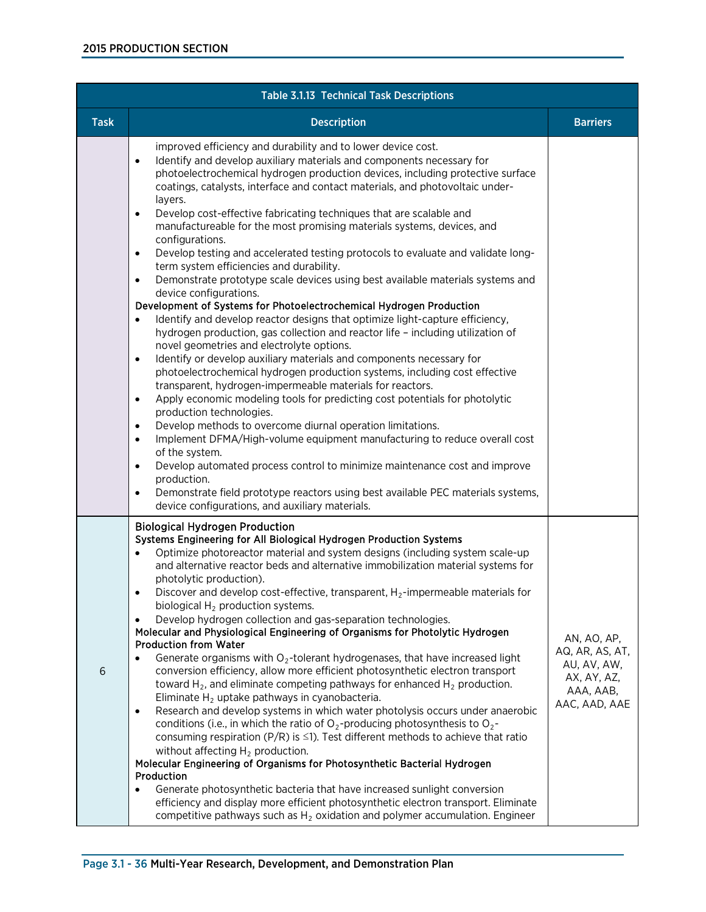| Table 3.1.13 Technical Task Descriptions |                                                                                                                                                                                                                                                                                                                                                                                                                                                                                                                                                                                                                                                                                                                                                                                                                                                                                                                                                                                                                                                                                                                                                                                                                                                                                                                                                                                                                                                                                                                                                                                                                                                                                                                                                                                                                                                                                             |                                                                                            |  |  |
|------------------------------------------|---------------------------------------------------------------------------------------------------------------------------------------------------------------------------------------------------------------------------------------------------------------------------------------------------------------------------------------------------------------------------------------------------------------------------------------------------------------------------------------------------------------------------------------------------------------------------------------------------------------------------------------------------------------------------------------------------------------------------------------------------------------------------------------------------------------------------------------------------------------------------------------------------------------------------------------------------------------------------------------------------------------------------------------------------------------------------------------------------------------------------------------------------------------------------------------------------------------------------------------------------------------------------------------------------------------------------------------------------------------------------------------------------------------------------------------------------------------------------------------------------------------------------------------------------------------------------------------------------------------------------------------------------------------------------------------------------------------------------------------------------------------------------------------------------------------------------------------------------------------------------------------------|--------------------------------------------------------------------------------------------|--|--|
| <b>Task</b>                              | <b>Description</b>                                                                                                                                                                                                                                                                                                                                                                                                                                                                                                                                                                                                                                                                                                                                                                                                                                                                                                                                                                                                                                                                                                                                                                                                                                                                                                                                                                                                                                                                                                                                                                                                                                                                                                                                                                                                                                                                          | <b>Barriers</b>                                                                            |  |  |
|                                          | improved efficiency and durability and to lower device cost.<br>Identify and develop auxiliary materials and components necessary for<br>$\bullet$<br>photoelectrochemical hydrogen production devices, including protective surface<br>coatings, catalysts, interface and contact materials, and photovoltaic under-<br>layers.<br>Develop cost-effective fabricating techniques that are scalable and<br>$\bullet$<br>manufactureable for the most promising materials systems, devices, and<br>configurations.<br>Develop testing and accelerated testing protocols to evaluate and validate long-<br>$\bullet$<br>term system efficiencies and durability.<br>Demonstrate prototype scale devices using best available materials systems and<br>$\bullet$<br>device configurations.<br>Development of Systems for Photoelectrochemical Hydrogen Production<br>Identify and develop reactor designs that optimize light-capture efficiency,<br>hydrogen production, gas collection and reactor life - including utilization of<br>novel geometries and electrolyte options.<br>Identify or develop auxiliary materials and components necessary for<br>$\bullet$<br>photoelectrochemical hydrogen production systems, including cost effective<br>transparent, hydrogen-impermeable materials for reactors.<br>Apply economic modeling tools for predicting cost potentials for photolytic<br>$\bullet$<br>production technologies.<br>Develop methods to overcome diurnal operation limitations.<br>$\bullet$<br>Implement DFMA/High-volume equipment manufacturing to reduce overall cost<br>$\bullet$<br>of the system.<br>Develop automated process control to minimize maintenance cost and improve<br>$\bullet$<br>production.<br>Demonstrate field prototype reactors using best available PEC materials systems,<br>$\bullet$<br>device configurations, and auxiliary materials. |                                                                                            |  |  |
| 6                                        | <b>Biological Hydrogen Production</b><br>Systems Engineering for All Biological Hydrogen Production Systems<br>Optimize photoreactor material and system designs (including system scale-up<br>$\bullet$<br>and alternative reactor beds and alternative immobilization material systems for<br>photolytic production).<br>Discover and develop cost-effective, transparent, $H_2$ -impermeable materials for<br>$\bullet$<br>biological $H_2$ production systems.<br>Develop hydrogen collection and gas-separation technologies.<br>$\bullet$<br>Molecular and Physiological Engineering of Organisms for Photolytic Hydrogen<br><b>Production from Water</b><br>Generate organisms with $O_2$ -tolerant hydrogenases, that have increased light<br>conversion efficiency, allow more efficient photosynthetic electron transport<br>toward $H_2$ , and eliminate competing pathways for enhanced $H_2$ production.<br>Eliminate $H_2$ uptake pathways in cyanobacteria.<br>Research and develop systems in which water photolysis occurs under anaerobic<br>$\bullet$<br>conditions (i.e., in which the ratio of $O_2$ -producing photosynthesis to $O_2$ -<br>consuming respiration (P/R) is $\leq$ 1). Test different methods to achieve that ratio<br>without affecting $H_2$ production.<br>Molecular Engineering of Organisms for Photosynthetic Bacterial Hydrogen<br>Production<br>Generate photosynthetic bacteria that have increased sunlight conversion<br>efficiency and display more efficient photosynthetic electron transport. Eliminate<br>competitive pathways such as $H_2$ oxidation and polymer accumulation. Engineer                                                                                                                                                                                                                                              | AN, AO, AP,<br>AQ, AR, AS, AT,<br>AU, AV, AW,<br>AX, AY, AZ,<br>AAA, AAB,<br>AAC, AAD, AAE |  |  |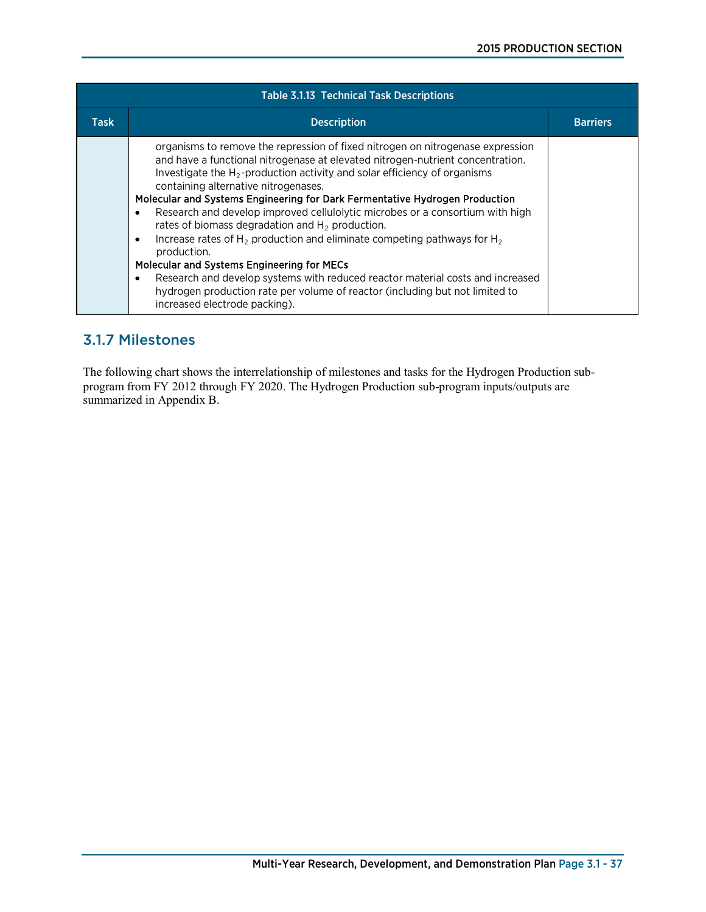| <b>Table 3.1.13 Technical Task Descriptions</b> |                                                                                                                                                                                                                                                                                                                                                                                                                                                                                                                                                                                                                                                                                                                                                                                                                                                                                        |                 |
|-------------------------------------------------|----------------------------------------------------------------------------------------------------------------------------------------------------------------------------------------------------------------------------------------------------------------------------------------------------------------------------------------------------------------------------------------------------------------------------------------------------------------------------------------------------------------------------------------------------------------------------------------------------------------------------------------------------------------------------------------------------------------------------------------------------------------------------------------------------------------------------------------------------------------------------------------|-----------------|
| Task                                            | <b>Description</b>                                                                                                                                                                                                                                                                                                                                                                                                                                                                                                                                                                                                                                                                                                                                                                                                                                                                     | <b>Barriers</b> |
|                                                 | organisms to remove the repression of fixed nitrogen on nitrogenase expression<br>and have a functional nitrogenase at elevated nitrogen-nutrient concentration.<br>Investigate the $H_2$ -production activity and solar efficiency of organisms<br>containing alternative nitrogenases.<br>Molecular and Systems Engineering for Dark Fermentative Hydrogen Production<br>Research and develop improved cellulolytic microbes or a consortium with high<br>$\bullet$<br>rates of biomass degradation and $H_2$ production.<br>Increase rates of $H_2$ production and eliminate competing pathways for $H_2$<br>٠<br>production.<br>Molecular and Systems Engineering for MECs<br>Research and develop systems with reduced reactor material costs and increased<br>٠<br>hydrogen production rate per volume of reactor (including but not limited to<br>increased electrode packing). |                 |

# 3.1.7 Milestones

The following chart shows the interrelationship of milestones and tasks for the Hydrogen Production subprogram from FY 2012 through FY 2020. The Hydrogen Production sub-program inputs/outputs are summarized in Appendix B.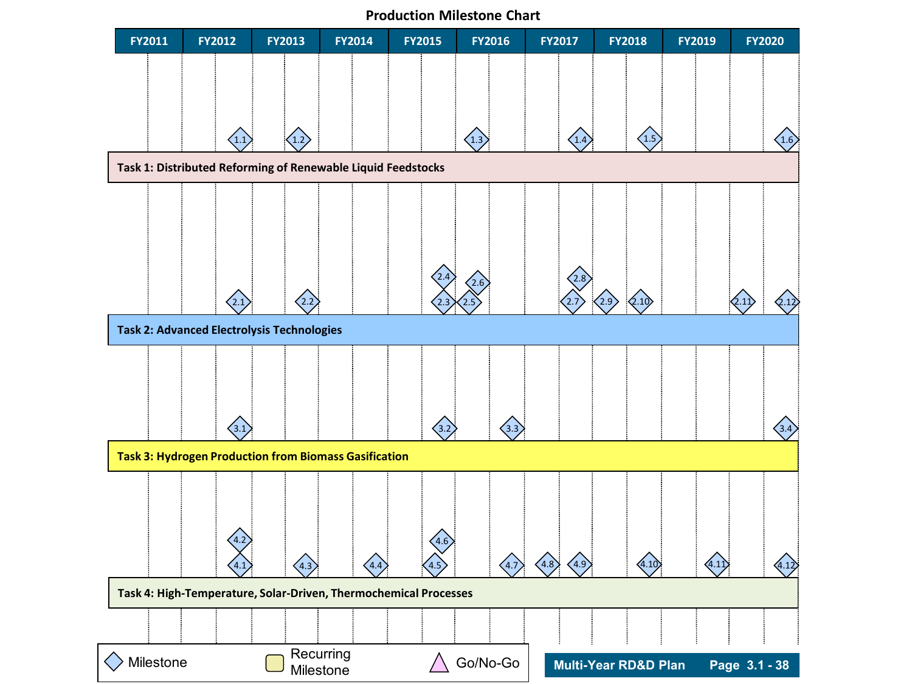**Production Milestone Chart**

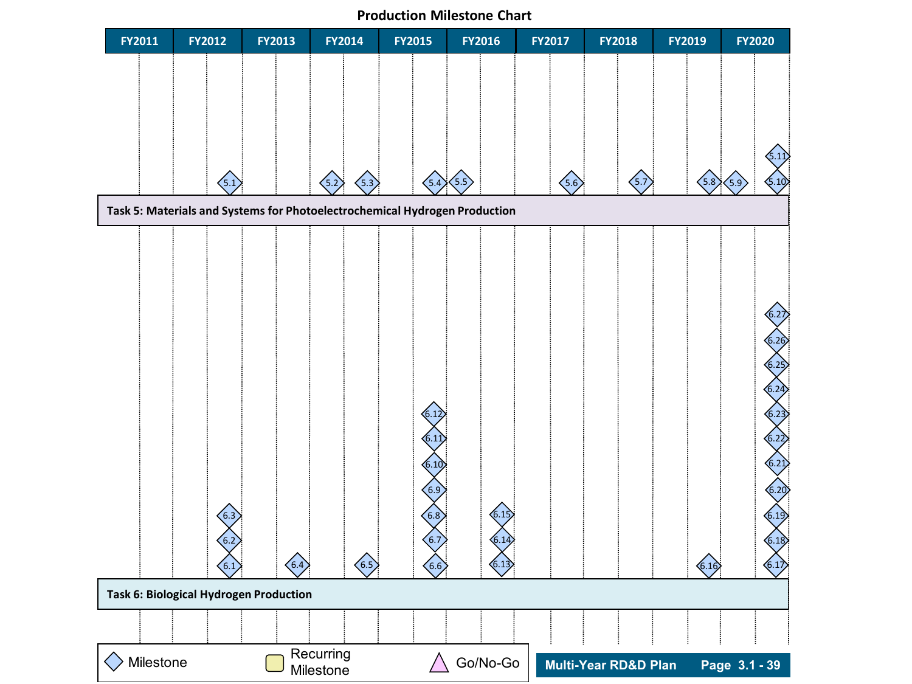**Production Milestone Chart**

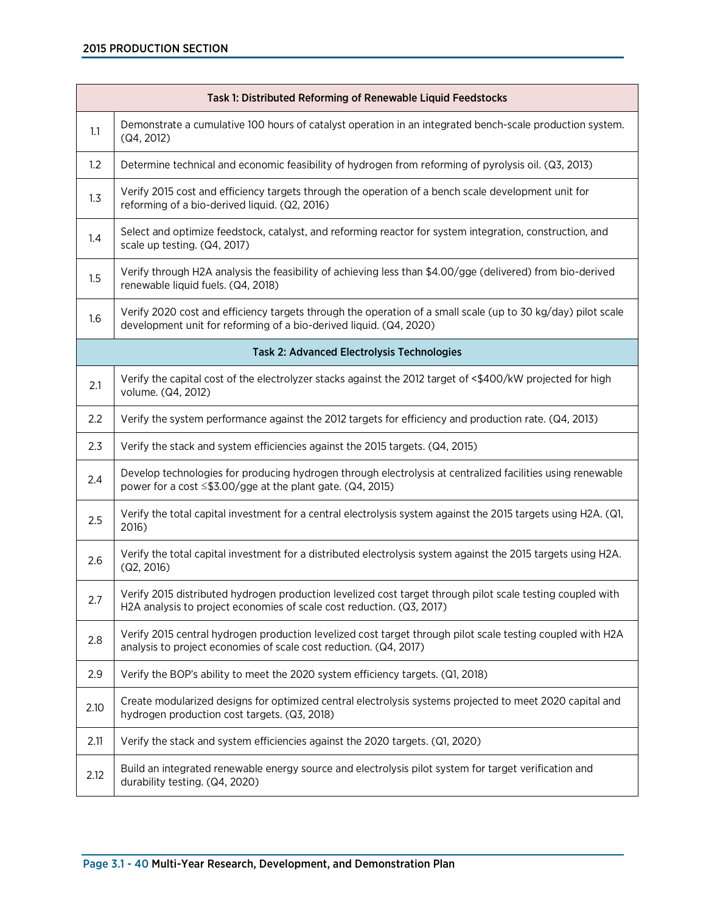| Task 1: Distributed Reforming of Renewable Liquid Feedstocks |                                                                                                                                                                                     |  |
|--------------------------------------------------------------|-------------------------------------------------------------------------------------------------------------------------------------------------------------------------------------|--|
| 1.1                                                          | Demonstrate a cumulative 100 hours of catalyst operation in an integrated bench-scale production system.<br>(Q4, 2012)                                                              |  |
| 1.2                                                          | Determine technical and economic feasibility of hydrogen from reforming of pyrolysis oil. (Q3, 2013)                                                                                |  |
| 1.3                                                          | Verify 2015 cost and efficiency targets through the operation of a bench scale development unit for<br>reforming of a bio-derived liquid. (Q2, 2016)                                |  |
| 1.4                                                          | Select and optimize feedstock, catalyst, and reforming reactor for system integration, construction, and<br>scale up testing. (Q4, 2017)                                            |  |
| 1.5                                                          | Verify through H2A analysis the feasibility of achieving less than \$4.00/gge (delivered) from bio-derived<br>renewable liquid fuels. (Q4, 2018)                                    |  |
| 1.6                                                          | Verify 2020 cost and efficiency targets through the operation of a small scale (up to 30 kg/day) pilot scale<br>development unit for reforming of a bio-derived liquid. (Q4, 2020)  |  |
|                                                              | <b>Task 2: Advanced Electrolysis Technologies</b>                                                                                                                                   |  |
| 2.1                                                          | Verify the capital cost of the electrolyzer stacks against the 2012 target of <\$400/kW projected for high<br>volume. (Q4, 2012)                                                    |  |
| 2.2                                                          | Verify the system performance against the 2012 targets for efficiency and production rate. (Q4, 2013)                                                                               |  |
| 2.3                                                          | Verify the stack and system efficiencies against the 2015 targets. (Q4, 2015)                                                                                                       |  |
| 2.4                                                          | Develop technologies for producing hydrogen through electrolysis at centralized facilities using renewable<br>power for a cost $\leq$ \$3.00/gge at the plant gate. (Q4, 2015)      |  |
| 2.5                                                          | Verify the total capital investment for a central electrolysis system against the 2015 targets using H2A. (Q1,<br>2016)                                                             |  |
| 2.6                                                          | Verify the total capital investment for a distributed electrolysis system against the 2015 targets using H2A.<br>(Q2, 2016)                                                         |  |
| 2.7                                                          | Verify 2015 distributed hydrogen production levelized cost target through pilot scale testing coupled with<br>H2A analysis to project economies of scale cost reduction. (Q3, 2017) |  |
| 2.8                                                          | Verify 2015 central hydrogen production levelized cost target through pilot scale testing coupled with H2A<br>analysis to project economies of scale cost reduction. (Q4, 2017)     |  |
| 2.9                                                          | Verify the BOP's ability to meet the 2020 system efficiency targets. (Q1, 2018)                                                                                                     |  |
| 2.10                                                         | Create modularized designs for optimized central electrolysis systems projected to meet 2020 capital and<br>hydrogen production cost targets. (Q3, 2018)                            |  |
| 2.11                                                         | Verify the stack and system efficiencies against the 2020 targets. (Q1, 2020)                                                                                                       |  |
| 2.12                                                         | Build an integrated renewable energy source and electrolysis pilot system for target verification and<br>durability testing. (Q4, 2020)                                             |  |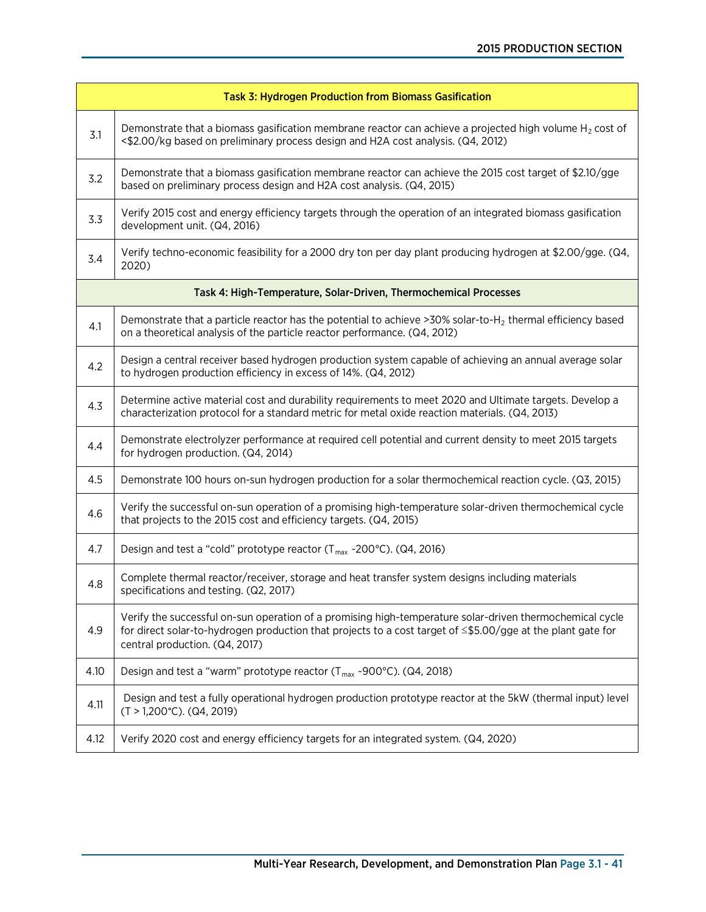| <b>Task 3: Hydrogen Production from Biomass Gasification</b>     |                                                                                                                                                                                                                                                           |  |
|------------------------------------------------------------------|-----------------------------------------------------------------------------------------------------------------------------------------------------------------------------------------------------------------------------------------------------------|--|
| 3.1                                                              | Demonstrate that a biomass gasification membrane reactor can achieve a projected high volume $H_2$ cost of<br><\$2.00/kg based on preliminary process design and H2A cost analysis. (Q4, 2012)                                                            |  |
| 3.2                                                              | Demonstrate that a biomass gasification membrane reactor can achieve the 2015 cost target of \$2.10/gge<br>based on preliminary process design and H2A cost analysis. (Q4, 2015)                                                                          |  |
| 3.3                                                              | Verify 2015 cost and energy efficiency targets through the operation of an integrated biomass gasification<br>development unit. (Q4, 2016)                                                                                                                |  |
| 3.4                                                              | Verify techno-economic feasibility for a 2000 dry ton per day plant producing hydrogen at \$2.00/gge. (Q4,<br>2020)                                                                                                                                       |  |
| Task 4: High-Temperature, Solar-Driven, Thermochemical Processes |                                                                                                                                                                                                                                                           |  |
| 4.1                                                              | Demonstrate that a particle reactor has the potential to achieve >30% solar-to-H <sub>2</sub> thermal efficiency based<br>on a theoretical analysis of the particle reactor performance. (Q4, 2012)                                                       |  |
| 4.2                                                              | Design a central receiver based hydrogen production system capable of achieving an annual average solar<br>to hydrogen production efficiency in excess of 14%. (Q4, 2012)                                                                                 |  |
| 4.3                                                              | Determine active material cost and durability requirements to meet 2020 and Ultimate targets. Develop a<br>characterization protocol for a standard metric for metal oxide reaction materials. (Q4, 2013)                                                 |  |
| 4.4                                                              | Demonstrate electrolyzer performance at required cell potential and current density to meet 2015 targets<br>for hydrogen production. (Q4, 2014)                                                                                                           |  |
| 4.5                                                              | Demonstrate 100 hours on-sun hydrogen production for a solar thermochemical reaction cycle. (Q3, 2015)                                                                                                                                                    |  |
| 4.6                                                              | Verify the successful on-sun operation of a promising high-temperature solar-driven thermochemical cycle<br>that projects to the 2015 cost and efficiency targets. (Q4, 2015)                                                                             |  |
| 4.7                                                              | Design and test a "cold" prototype reactor (T <sub>max</sub> ~200°C). (Q4, 2016)                                                                                                                                                                          |  |
| 4.8                                                              | Complete thermal reactor/receiver, storage and heat transfer system designs including materials<br>specifications and testing. (Q2, 2017)                                                                                                                 |  |
| 4.9                                                              | Verify the successful on-sun operation of a promising high-temperature solar-driven thermochemical cycle<br>for direct solar-to-hydrogen production that projects to a cost target of ≤\$5.00/gge at the plant gate for<br>central production. (Q4, 2017) |  |
| 4.10                                                             | Design and test a "warm" prototype reactor $(T_{max}$ ~900°C). (Q4, 2018)                                                                                                                                                                                 |  |
| 4.11                                                             | Design and test a fully operational hydrogen production prototype reactor at the 5kW (thermal input) level<br>$(T > 1,200^{\circ}C)$ . (Q4, 2019)                                                                                                         |  |
| 4.12                                                             | Verify 2020 cost and energy efficiency targets for an integrated system. (Q4, 2020)                                                                                                                                                                       |  |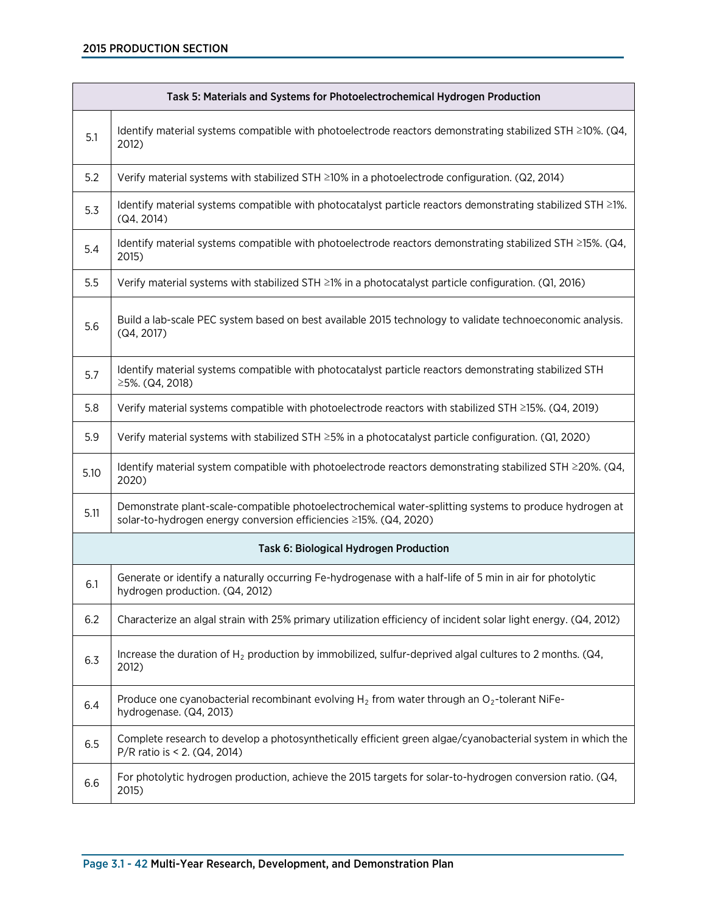# 2015 PRODUCTION SECTION

| Task 5: Materials and Systems for Photoelectrochemical Hydrogen Production |                                                                                                                                                                             |  |
|----------------------------------------------------------------------------|-----------------------------------------------------------------------------------------------------------------------------------------------------------------------------|--|
| 5.1                                                                        | Identify material systems compatible with photoelectrode reactors demonstrating stabilized STH ≥10%. (Q4,<br>2012)                                                          |  |
| 5.2                                                                        | Verify material systems with stabilized STH ≥10% in a photoelectrode configuration. (Q2, 2014)                                                                              |  |
| 5.3                                                                        | Identify material systems compatible with photocatalyst particle reactors demonstrating stabilized STH ≥1%.<br>(Q4, 2014)                                                   |  |
| 5.4                                                                        | Identify material systems compatible with photoelectrode reactors demonstrating stabilized STH ≥15%. (Q4,<br>2015)                                                          |  |
| 5.5                                                                        | Verify material systems with stabilized STH ≥1% in a photocatalyst particle configuration. (Q1, 2016)                                                                       |  |
| 5.6                                                                        | Build a lab-scale PEC system based on best available 2015 technology to validate technoeconomic analysis.<br>(Q4, 2017)                                                     |  |
| 5.7                                                                        | Identify material systems compatible with photocatalyst particle reactors demonstrating stabilized STH<br>≥5%. (Q4, 2018)                                                   |  |
| 5.8                                                                        | Verify material systems compatible with photoelectrode reactors with stabilized STH ≥15%. (Q4, 2019)                                                                        |  |
| 5.9                                                                        | Verify material systems with stabilized STH ≥5% in a photocatalyst particle configuration. (Q1, 2020)                                                                       |  |
| 5.10                                                                       | Identify material system compatible with photoelectrode reactors demonstrating stabilized STH $\geq$ 20%. (Q4,<br>2020)                                                     |  |
| 5.11                                                                       | Demonstrate plant-scale-compatible photoelectrochemical water-splitting systems to produce hydrogen at<br>solar-to-hydrogen energy conversion efficiencies ≥15%. (Q4, 2020) |  |
| Task 6: Biological Hydrogen Production                                     |                                                                                                                                                                             |  |
| 6.1                                                                        | Generate or identify a naturally occurring Fe-hydrogenase with a half-life of 5 min in air for photolytic<br>hydrogen production. (Q4, 2012)                                |  |
| 6.2                                                                        | Characterize an algal strain with 25% primary utilization efficiency of incident solar light energy. (Q4, 2012)                                                             |  |
| 6.3                                                                        | Increase the duration of $H_2$ production by immobilized, sulfur-deprived algal cultures to 2 months. (Q4,<br>2012)                                                         |  |
| 6.4                                                                        | Produce one cyanobacterial recombinant evolving $H_2$ from water through an O <sub>2</sub> -tolerant NiFe-<br>hydrogenase. (Q4, 2013)                                       |  |
| 6.5                                                                        | Complete research to develop a photosynthetically efficient green algae/cyanobacterial system in which the<br>P/R ratio is < 2. (Q4, 2014)                                  |  |
| 6.6                                                                        | For photolytic hydrogen production, achieve the 2015 targets for solar-to-hydrogen conversion ratio. (Q4,<br>2015)                                                          |  |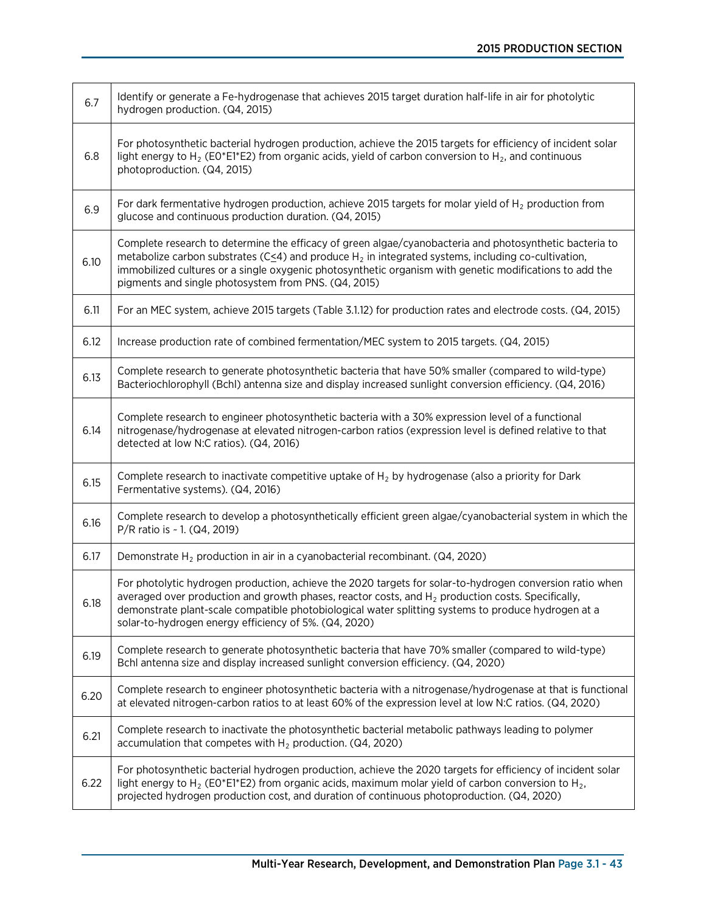| 6.7  | Identify or generate a Fe-hydrogenase that achieves 2015 target duration half-life in air for photolytic<br>hydrogen production. (Q4, 2015)                                                                                                                                                                                                                                                  |
|------|----------------------------------------------------------------------------------------------------------------------------------------------------------------------------------------------------------------------------------------------------------------------------------------------------------------------------------------------------------------------------------------------|
| 6.8  | For photosynthetic bacterial hydrogen production, achieve the 2015 targets for efficiency of incident solar<br>light energy to H <sub>2</sub> (E0*E1*E2) from organic acids, yield of carbon conversion to H <sub>2</sub> , and continuous<br>photoproduction. (Q4, 2015)                                                                                                                    |
| 6.9  | For dark fermentative hydrogen production, achieve 2015 targets for molar yield of $H_2$ production from<br>glucose and continuous production duration. (Q4, 2015)                                                                                                                                                                                                                           |
| 6.10 | Complete research to determine the efficacy of green algae/cyanobacteria and photosynthetic bacteria to<br>metabolize carbon substrates ( $C \leq 4$ ) and produce $H_2$ in integrated systems, including co-cultivation,<br>immobilized cultures or a single oxygenic photosynthetic organism with genetic modifications to add the<br>pigments and single photosystem from PNS. (Q4, 2015) |
| 6.11 | For an MEC system, achieve 2015 targets (Table 3.1.12) for production rates and electrode costs. (Q4, 2015)                                                                                                                                                                                                                                                                                  |
| 6.12 | Increase production rate of combined fermentation/MEC system to 2015 targets. (Q4, 2015)                                                                                                                                                                                                                                                                                                     |
| 6.13 | Complete research to generate photosynthetic bacteria that have 50% smaller (compared to wild-type)<br>Bacteriochlorophyll (Bchl) antenna size and display increased sunlight conversion efficiency. (Q4, 2016)                                                                                                                                                                              |
| 6.14 | Complete research to engineer photosynthetic bacteria with a 30% expression level of a functional<br>nitrogenase/hydrogenase at elevated nitrogen-carbon ratios (expression level is defined relative to that<br>detected at low N:C ratios). (Q4, 2016)                                                                                                                                     |
| 6.15 | Complete research to inactivate competitive uptake of $H_2$ by hydrogenase (also a priority for Dark<br>Fermentative systems). (Q4, 2016)                                                                                                                                                                                                                                                    |
| 6.16 | Complete research to develop a photosynthetically efficient green algae/cyanobacterial system in which the<br>P/R ratio is ~ 1. (Q4, 2019)                                                                                                                                                                                                                                                   |
| 6.17 | Demonstrate $H_2$ production in air in a cyanobacterial recombinant. ( $Q4$ , 2020)                                                                                                                                                                                                                                                                                                          |
| 6.18 | For photolytic hydrogen production, achieve the 2020 targets for solar-to-hydrogen conversion ratio when<br>averaged over production and growth phases, reactor costs, and $H_2$ production costs. Specifically,<br>demonstrate plant-scale compatible photobiological water splitting systems to produce hydrogen at a<br>solar-to-hydrogen energy efficiency of 5%. (Q4, 2020)             |
| 6.19 | Complete research to generate photosynthetic bacteria that have 70% smaller (compared to wild-type)<br>Bchl antenna size and display increased sunlight conversion efficiency. (Q4, 2020)                                                                                                                                                                                                    |
| 6.20 | Complete research to engineer photosynthetic bacteria with a nitrogenase/hydrogenase at that is functional<br>at elevated nitrogen-carbon ratios to at least 60% of the expression level at low N:C ratios. (Q4, 2020)                                                                                                                                                                       |
| 6.21 | Complete research to inactivate the photosynthetic bacterial metabolic pathways leading to polymer<br>accumulation that competes with $H_2$ production. (Q4, 2020)                                                                                                                                                                                                                           |
| 6.22 | For photosynthetic bacterial hydrogen production, achieve the 2020 targets for efficiency of incident solar<br>light energy to H <sub>2</sub> (E0*E1*E2) from organic acids, maximum molar yield of carbon conversion to H <sub>2</sub> ,<br>projected hydrogen production cost, and duration of continuous photoproduction. (Q4, 2020)                                                      |